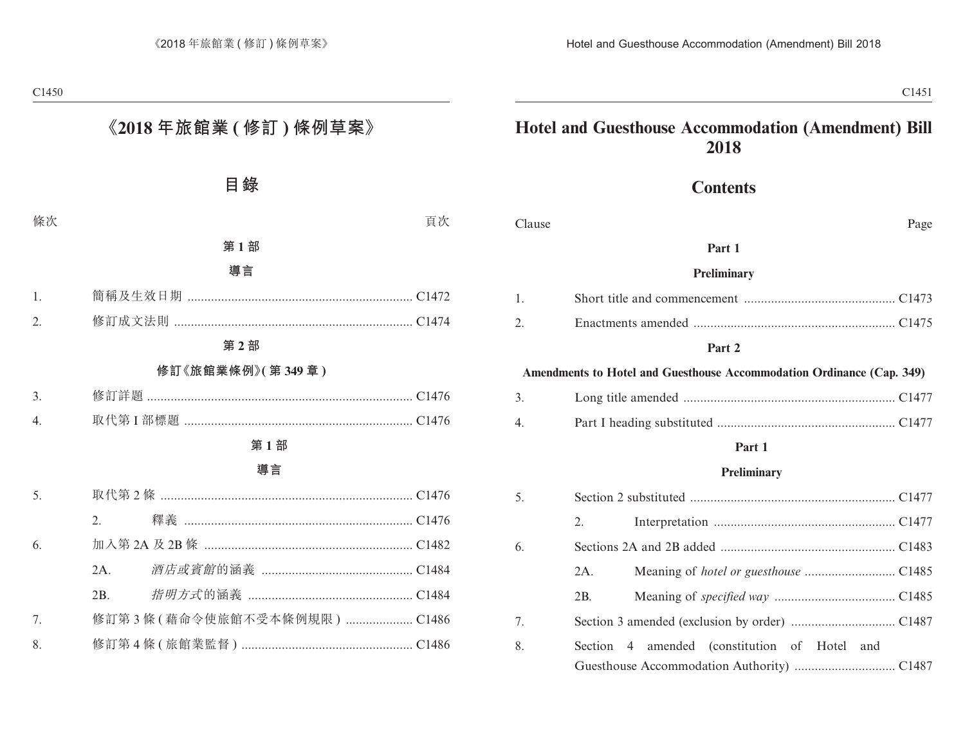# **Contents**

| Clause |     | Page                                                                  |
|--------|-----|-----------------------------------------------------------------------|
|        |     | Part 1                                                                |
|        |     | <b>Preliminary</b>                                                    |
| 1.     |     |                                                                       |
| 2.     |     |                                                                       |
|        |     | Part 2                                                                |
|        |     | Amendments to Hotel and Guesthouse Accommodation Ordinance (Cap. 349) |
| 3.     |     |                                                                       |
| 4.     |     |                                                                       |
|        |     | Part 1                                                                |
|        |     | Preliminary                                                           |
| 5.     |     |                                                                       |
|        | 2.  |                                                                       |
| 6.     |     |                                                                       |
|        | 2A. |                                                                       |
|        | 2B. |                                                                       |
|        |     |                                                                       |

7. Section 3 amended (exclusion by order) ............................... C1487 8. Section 4 amended (constitution of Hotel and Guesthouse Accommodation Authority) .............................. C1487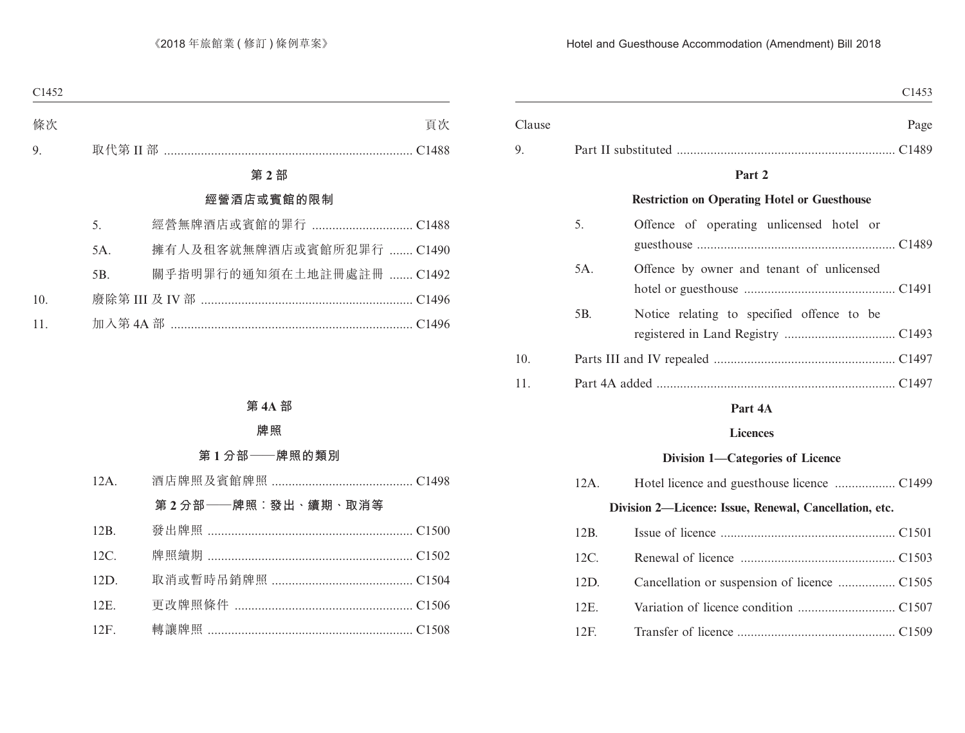| C <sub>1453</sub> |                                                     |     |        |
|-------------------|-----------------------------------------------------|-----|--------|
|                   |                                                     |     | Clause |
|                   |                                                     |     | 9.     |
|                   | Part 2                                              |     |        |
|                   | <b>Restriction on Operating Hotel or Guesthouse</b> |     |        |
|                   | Offence of operating unlicensed hotel or            | 5.  |        |
|                   | Offence by owner and tenant of unlicensed           | 5A. |        |
|                   | Notice relating to specified offence to be          | 5B. |        |
|                   |                                                     |     | 10.    |
|                   |                                                     |     | 11.    |

# **Part 4A**

# **Licences**

# **Division 1—Categories of Licence**

| $12A$ . |                                                        |
|---------|--------------------------------------------------------|
|         | Division 2—Licence: Issue, Renewal, Cancellation, etc. |
| 12B.    |                                                        |
| 12C.    |                                                        |
| 12D.    |                                                        |
| 12E.    |                                                        |
| 12F.    |                                                        |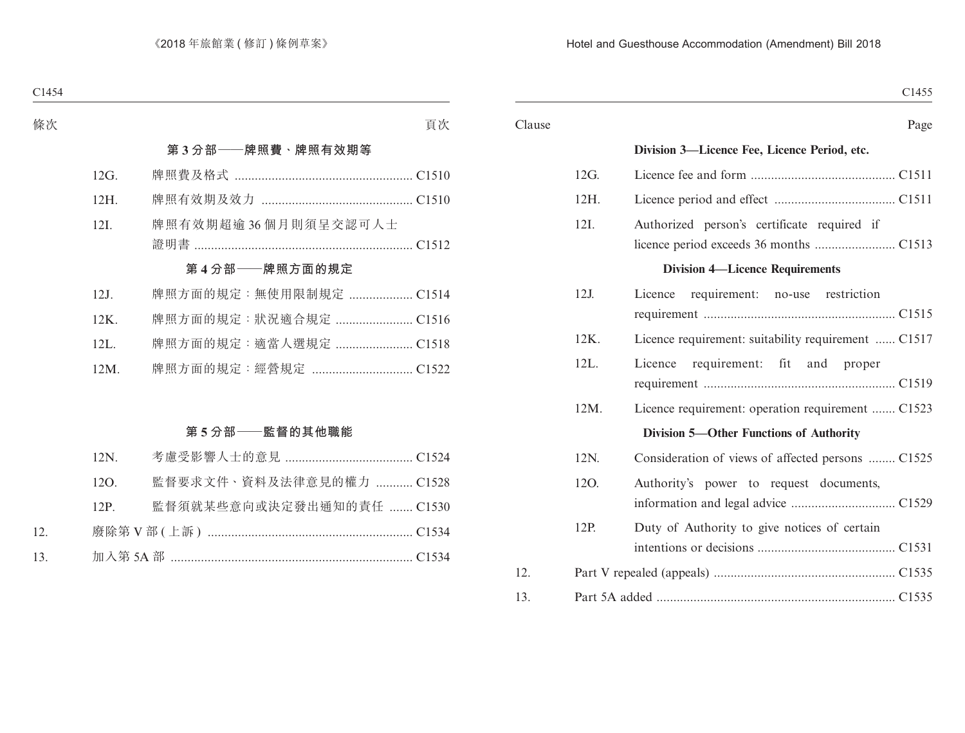| C <sub>1455</sub>                            |        |
|----------------------------------------------|--------|
| Page                                         | Clause |
| Division 3—Licence Fee, Licence Period, etc. |        |
|                                              | 12G.   |
|                                              | 12H.   |
| Authorized person's certificate required if  | 12I.   |
|                                              |        |

#### **Division 4—Licence Requirements**

| 12J.    | Licence requirement: no-use restriction             |  |  |
|---------|-----------------------------------------------------|--|--|
|         |                                                     |  |  |
| $12K$ . | Licence requirement: suitability requirement  C1517 |  |  |
|         | 12L. Licence requirement: fit and proper            |  |  |
|         |                                                     |  |  |

12M. Licence requirement: operation requirement ....... C1523

## **Division 5—Other Functions of Authority**

|     | 12N. | Consideration of views of affected persons  C1525 |
|-----|------|---------------------------------------------------|
|     | 12O. | Authority's power to request documents,           |
|     | 12P. | Duty of Authority to give notices of certain      |
| 12. |      |                                                   |
| 13. |      |                                                   |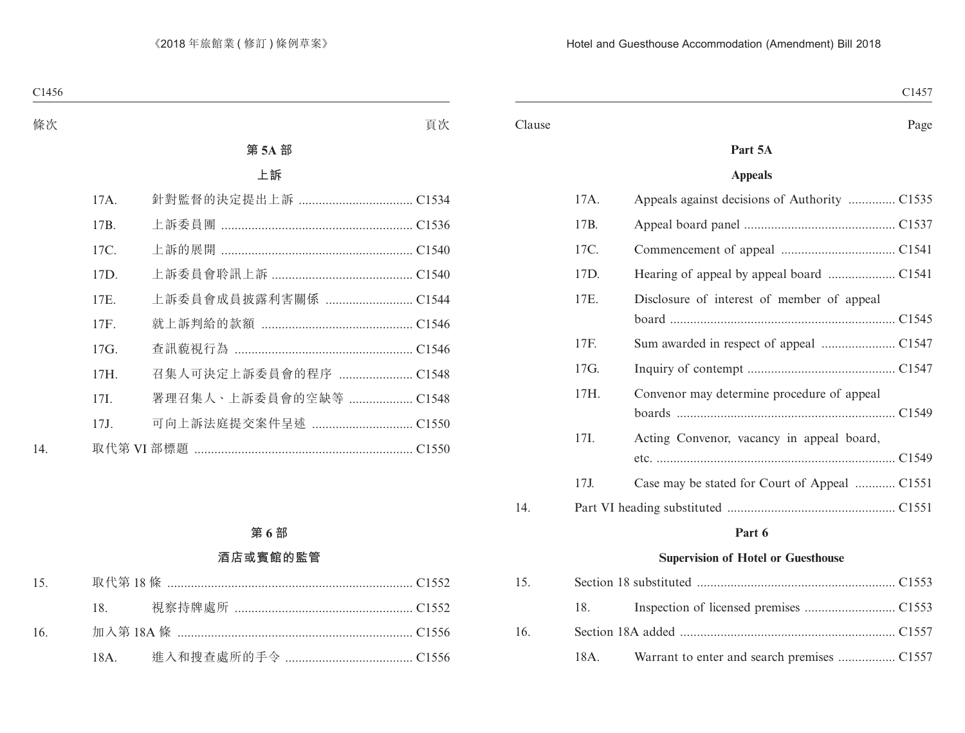Clause Page

# **Part 5A**

# **Appeals**

|     |      | Part 6                                     |  |
|-----|------|--------------------------------------------|--|
| 14. |      |                                            |  |
|     | 17J. |                                            |  |
|     |      |                                            |  |
|     | 17I. | Acting Convenor, vacancy in appeal board,  |  |
|     |      |                                            |  |
|     | 17H. | Convenor may determine procedure of appeal |  |
|     | 17G. |                                            |  |
|     | 17F. |                                            |  |
|     |      |                                            |  |
|     | 17E. | Disclosure of interest of member of appeal |  |
|     | 17D. |                                            |  |
|     | 17C. |                                            |  |
|     | 17B. |                                            |  |
|     | 17A. |                                            |  |

# **Supervision of Hotel or Guesthouse**

| 15 <sub>1</sub> |     |  |
|-----------------|-----|--|
|                 | 18. |  |
| 16.             |     |  |
|                 |     |  |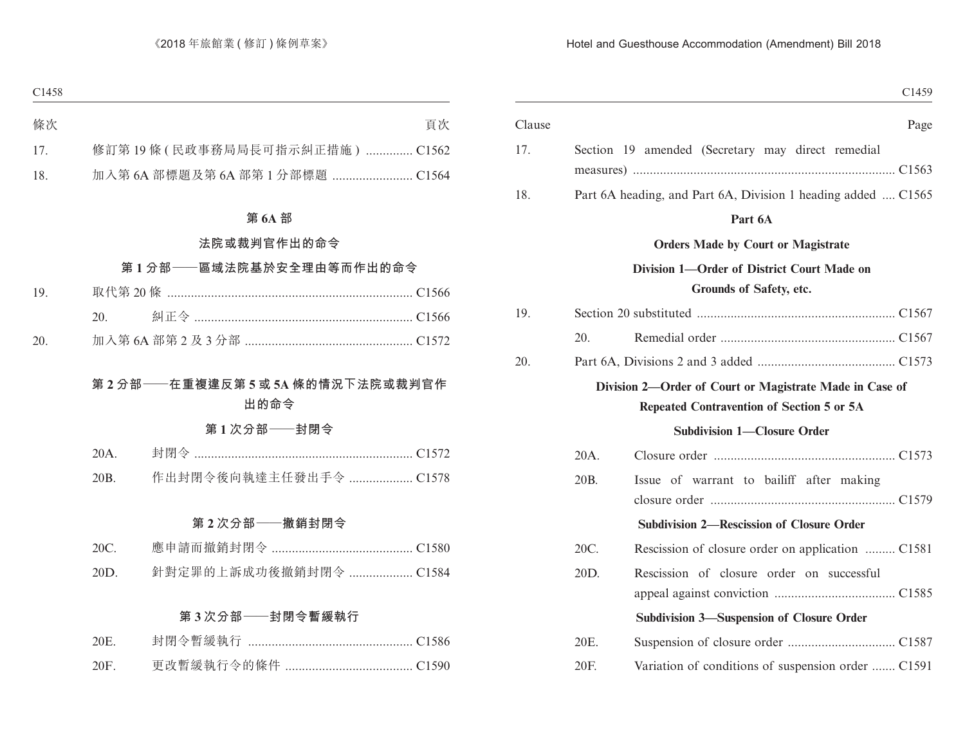|        |      |                                                                                                      | C <sub>1459</sub> |
|--------|------|------------------------------------------------------------------------------------------------------|-------------------|
| Clause |      |                                                                                                      | Page              |
| 17.    |      | Section 19 amended (Secretary may direct remedial                                                    |                   |
|        |      |                                                                                                      |                   |
| 18.    |      | Part 6A heading, and Part 6A, Division 1 heading added  C1565                                        |                   |
|        |      | Part 6A                                                                                              |                   |
|        |      | <b>Orders Made by Court or Magistrate</b>                                                            |                   |
|        |      | Division 1-Order of District Court Made on                                                           |                   |
|        |      | Grounds of Safety, etc.                                                                              |                   |
| 19.    |      |                                                                                                      |                   |
|        | 20.  |                                                                                                      |                   |
| 20.    |      |                                                                                                      |                   |
|        |      | Division 2-Order of Court or Magistrate Made in Case of<br>Repeated Contravention of Section 5 or 5A |                   |
|        |      |                                                                                                      |                   |
|        |      | <b>Subdivision 1-Closure Order</b>                                                                   |                   |
|        | 20A. |                                                                                                      |                   |
|        | 20B. | Issue of warrant to bailiff after making                                                             |                   |
|        |      | <b>Subdivision 2-Rescission of Closure Order</b>                                                     |                   |
|        | 20C. | Rescission of closure order on application  C1581                                                    |                   |
|        | 20D. | Rescission of closure order on successful                                                            |                   |
|        |      |                                                                                                      |                   |
|        |      | <b>Subdivision 3-Suspension of Closure Order</b>                                                     |                   |
|        | 20E. |                                                                                                      |                   |
|        | 20F. | Variation of conditions of suspension order  C1591                                                   |                   |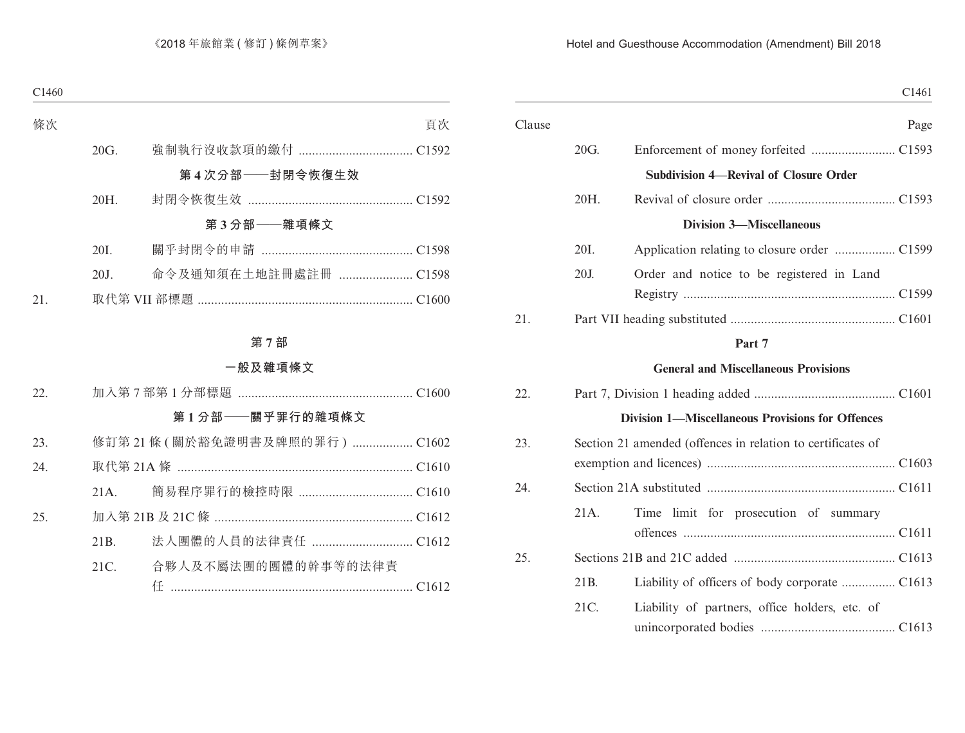|        |      | C1461                                                       |
|--------|------|-------------------------------------------------------------|
| Clause |      | Page                                                        |
|        | 20G. |                                                             |
|        |      | <b>Subdivision 4-Revival of Closure Order</b>               |
|        | 20H. |                                                             |
|        |      | <b>Division 3-Miscellaneous</b>                             |
|        | 20I. |                                                             |
|        | 20J. | Order and notice to be registered in Land                   |
|        |      |                                                             |
| 21.    |      |                                                             |
|        |      | Part 7                                                      |
|        |      | <b>General and Miscellaneous Provisions</b>                 |
| 22.    |      |                                                             |
|        |      | <b>Division 1-Miscellaneous Provisions for Offences</b>     |
| 23.    |      | Section 21 amended (offences in relation to certificates of |
|        |      |                                                             |
| 24.    |      |                                                             |
|        | 21A. | Time limit for prosecution of summary                       |
|        |      |                                                             |
| 25.    |      |                                                             |
|        | 21B. |                                                             |
|        | 21C. | Liability of partners, office holders, etc. of              |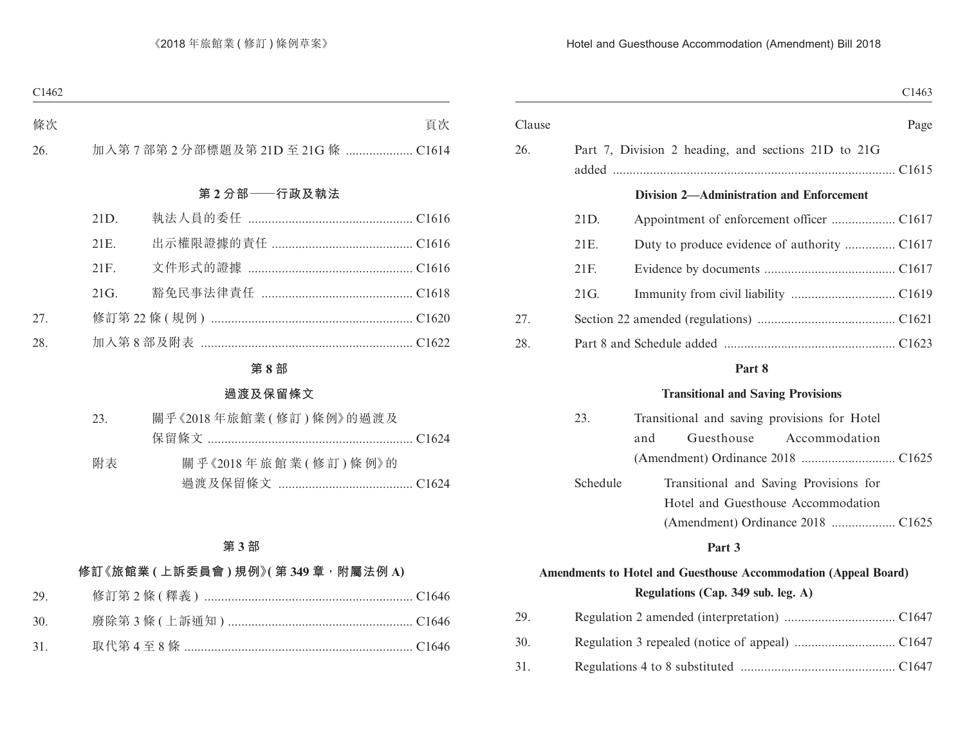|        |      | C1463                                               |
|--------|------|-----------------------------------------------------|
| Clause |      | Page                                                |
| 26.    |      | Part 7, Division 2 heading, and sections 21D to 21G |
|        |      |                                                     |
|        |      | Division 2—Administration and Enforcement           |
|        | 21D. |                                                     |
|        | 21E. |                                                     |
|        | 21F. |                                                     |
|        | 21G. |                                                     |
| 27.    |      |                                                     |
| 28.    |      |                                                     |
|        |      | Part 8                                              |
|        |      | <b>Transitional and Saving Provisions</b>           |
|        | 23.  | Transitional and saving provisions for Hotel        |
|        |      | Guesthouse<br>Accommodation<br>and                  |
|        |      |                                                     |

Schedule Transitional and Saving Provisions for Hotel and Guesthouse Accommodation (Amendment) Ordinance 2018 ................... C1625

#### **Part 3**

# **Amendments to Hotel and Guesthouse Accommodation (Appeal Board) Regulations (Cap. 349 sub. leg. A)**

| 29. |  |
|-----|--|
| 30. |  |
| 31. |  |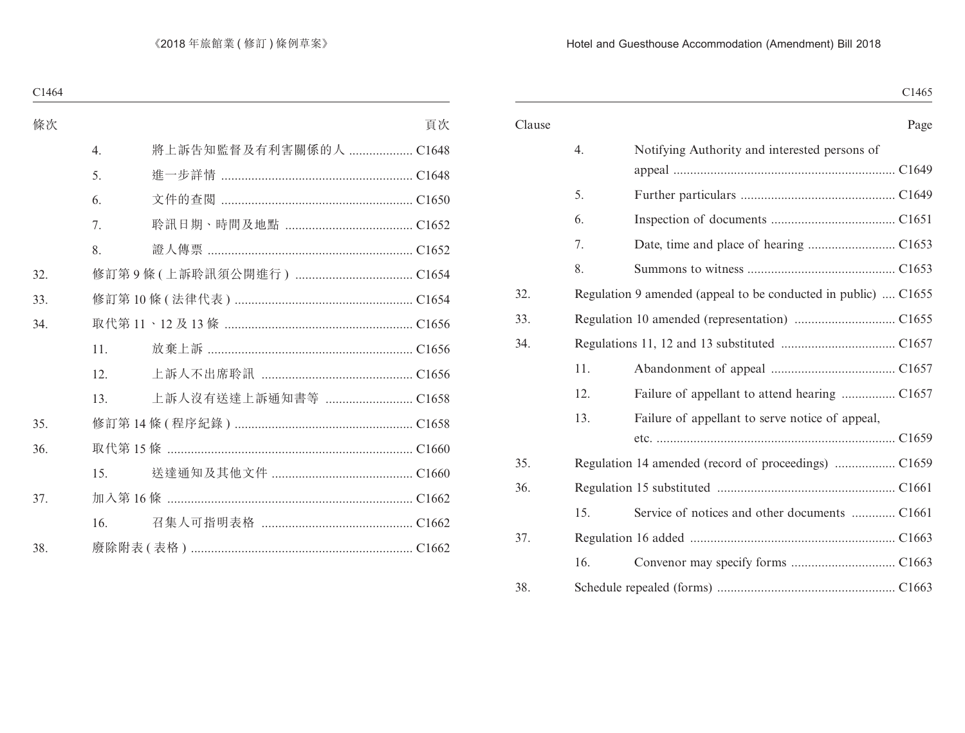|        |                                                                | C1465 |
|--------|----------------------------------------------------------------|-------|
| Clause |                                                                | Page  |
| 4.     | Notifying Authority and interested persons of                  |       |
|        |                                                                |       |
| 5.     |                                                                |       |
| 6.     |                                                                |       |
| 7.     |                                                                |       |
| 8.     |                                                                |       |
| 32.    | Regulation 9 amended (appeal to be conducted in public)  C1655 |       |
| 33.    |                                                                |       |
| 34.    |                                                                |       |
| 11.    |                                                                |       |
| 12.    | Failure of appellant to attend hearing  C1657                  |       |
| 13.    | Failure of appellant to serve notice of appeal,                |       |
|        |                                                                |       |
| 35.    |                                                                |       |
| 36.    |                                                                |       |
| 15.    |                                                                |       |
| 37.    |                                                                |       |
| 16.    |                                                                |       |
| 38.    |                                                                |       |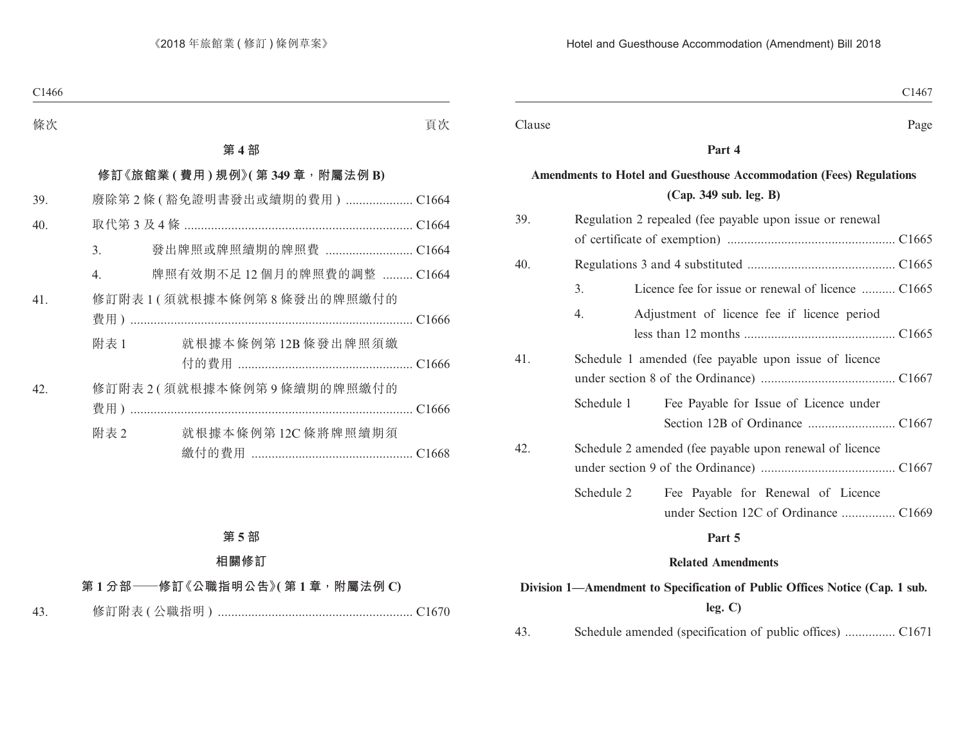Clause Page

#### **Part 4**

# **Amendments to Hotel and Guesthouse Accommodation (Fees) Regulations (Cap. 349 sub. leg. B)**

| 39. |            | Regulation 2 repealed (fee payable upon issue or renewal |  |
|-----|------------|----------------------------------------------------------|--|
|     |            |                                                          |  |
| 40. |            |                                                          |  |
|     | 3.         | Licence fee for issue or renewal of licence  C1665       |  |
|     | 4.         | Adjustment of licence fee if licence period              |  |
| 41. |            | Schedule 1 amended (fee payable upon issue of licence    |  |
|     | Schedule 1 | Fee Payable for Issue of Licence under                   |  |
| 42. |            | Schedule 2 amended (fee payable upon renewal of licence  |  |
|     | Schedule 2 | Fee Payable for Renewal of Licence                       |  |
|     |            | Part 5                                                   |  |

#### **Related Amendments**

# **Division 1—Amendment to Specification of Public Offices Notice (Cap. 1 sub. leg. C)**

43. Schedule amended (specification of public offices) ............... C1671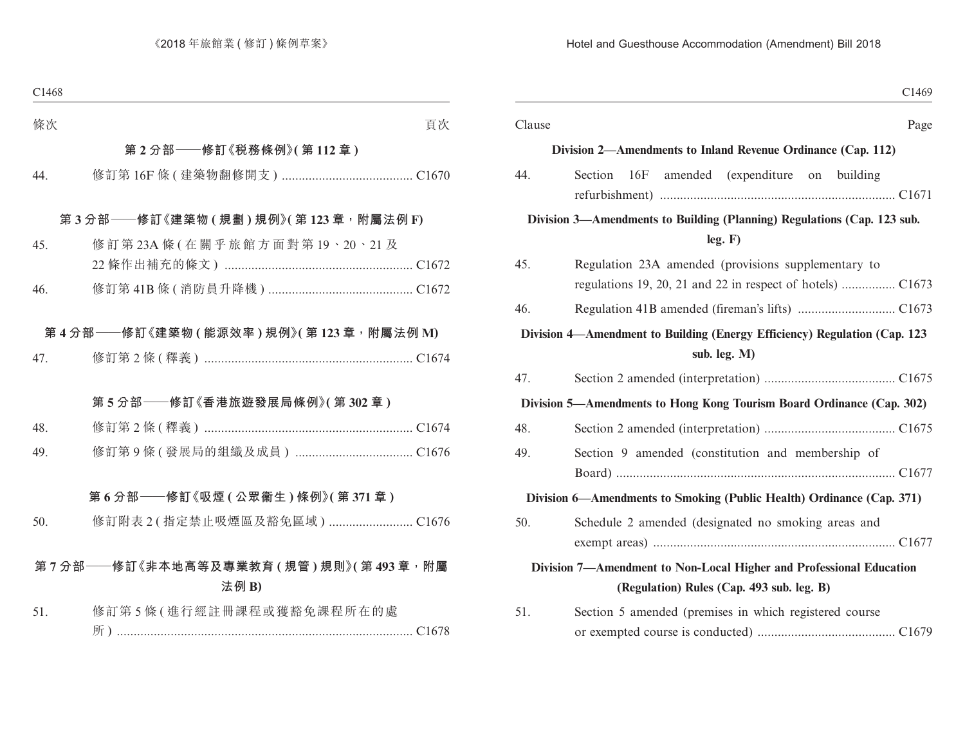|        | C <sub>1469</sub>                                                                                                |
|--------|------------------------------------------------------------------------------------------------------------------|
| Clause | Page                                                                                                             |
|        | Division 2—Amendments to Inland Revenue Ordinance (Cap. 112)                                                     |
| 44.    | Section 16F amended (expenditure on building                                                                     |
|        | Division 3—Amendments to Building (Planning) Regulations (Cap. 123 sub.<br>leg. F)                               |
| 45.    | Regulation 23A amended (provisions supplementary to                                                              |
| 46.    |                                                                                                                  |
|        | Division 4—Amendment to Building (Energy Efficiency) Regulation (Cap. 123<br>sub. leg. M)                        |
| 47.    |                                                                                                                  |
|        | Division 5—Amendments to Hong Kong Tourism Board Ordinance (Cap. 302)                                            |
| 48.    |                                                                                                                  |
| 49.    | Section 9 amended (constitution and membership of                                                                |
|        |                                                                                                                  |
|        | Division 6—Amendments to Smoking (Public Health) Ordinance (Cap. 371)                                            |
| 50.    | Schedule 2 amended (designated no smoking areas and                                                              |
|        |                                                                                                                  |
|        | Division 7-Amendment to Non-Local Higher and Professional Education<br>(Regulation) Rules (Cap. 493 sub. leg. B) |
| 51.    | Section 5 amended (premises in which registered course                                                           |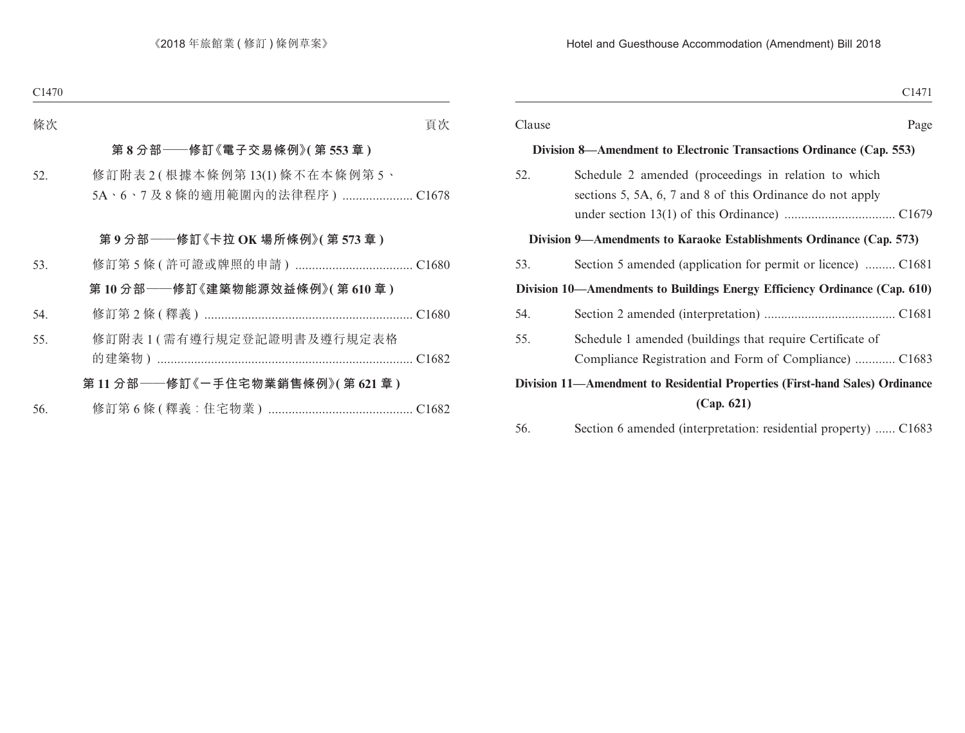|        | C <sub>1471</sub>                                                          |
|--------|----------------------------------------------------------------------------|
| Clause | Page                                                                       |
|        | Division 8—Amendment to Electronic Transactions Ordinance (Cap. 553)       |
| 52.    | Schedule 2 amended (proceedings in relation to which                       |
|        | sections 5, 5A, 6, 7 and 8 of this Ordinance do not apply                  |
|        |                                                                            |
|        | Division 9—Amendments to Karaoke Establishments Ordinance (Cap. 573)       |
| 53.    | Section 5 amended (application for permit or licence)  C1681               |
|        | Division 10—Amendments to Buildings Energy Efficiency Ordinance (Cap. 610) |
| 54.    |                                                                            |
| 55.    | Schedule 1 amended (buildings that require Certificate of                  |
|        | Compliance Registration and Form of Compliance)  C1683                     |

56. Section 6 amended (interpretation: residential property) ...... C1683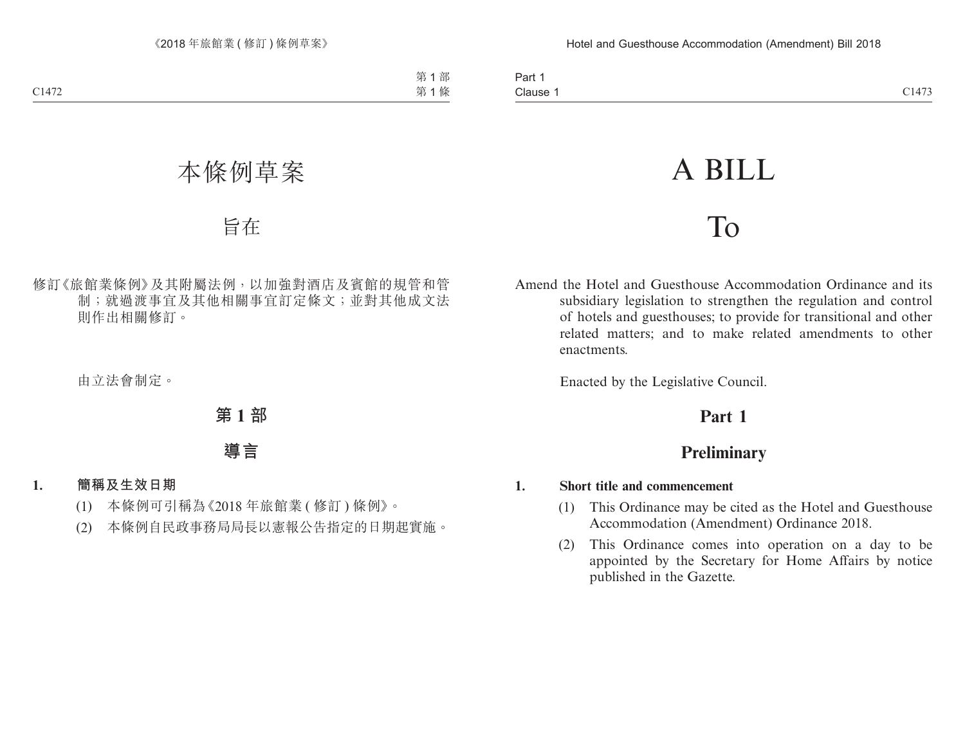# A BILL

# To

Amend the Hotel and Guesthouse Accommodation Ordinance and its subsidiary legislation to strengthen the regulation and control of hotels and guesthouses; to provide for transitional and other related matters; and to make related amendments to other enactments.

Enacted by the Legislative Council.

# **Part 1**

# **Preliminary**

# **1. Short title and commencement**

- (1) This Ordinance may be cited as the Hotel and Guesthouse Accommodation (Amendment) Ordinance 2018.
- (2) This Ordinance comes into operation on a day to be appointed by the Secretary for Home Affairs by notice published in the Gazette.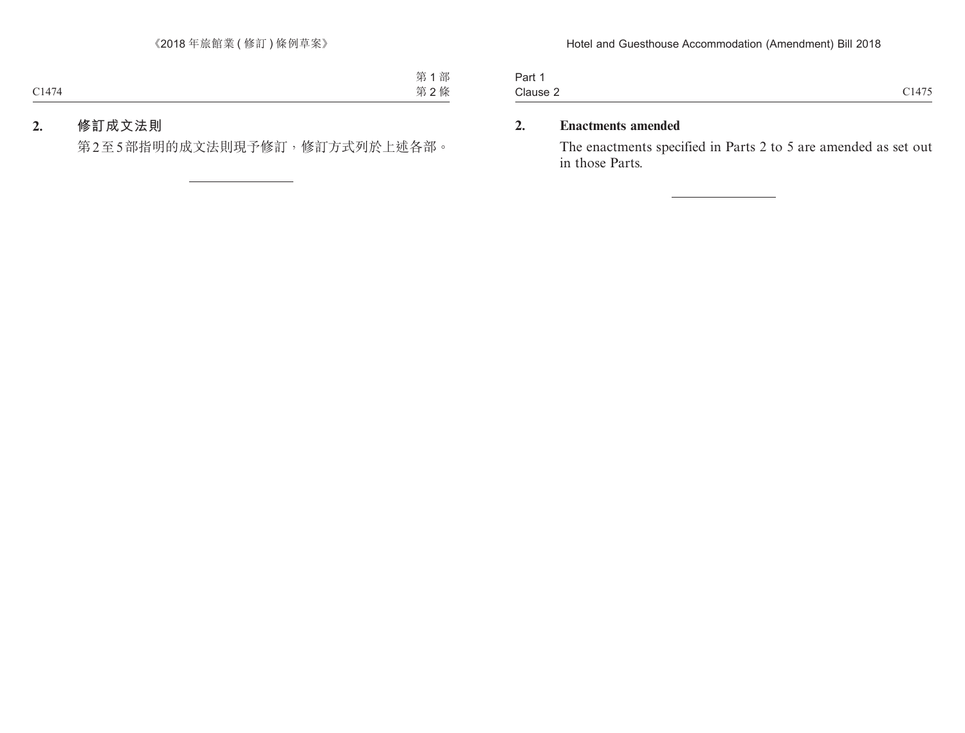| Part     |                                        |
|----------|----------------------------------------|
| Clause 2 | $\overline{a}$<br><br><b>پ</b> ، ، ، ب |

# **2. Enactments amended**

The enactments specified in Parts 2 to 5 are amended as set out in those Parts.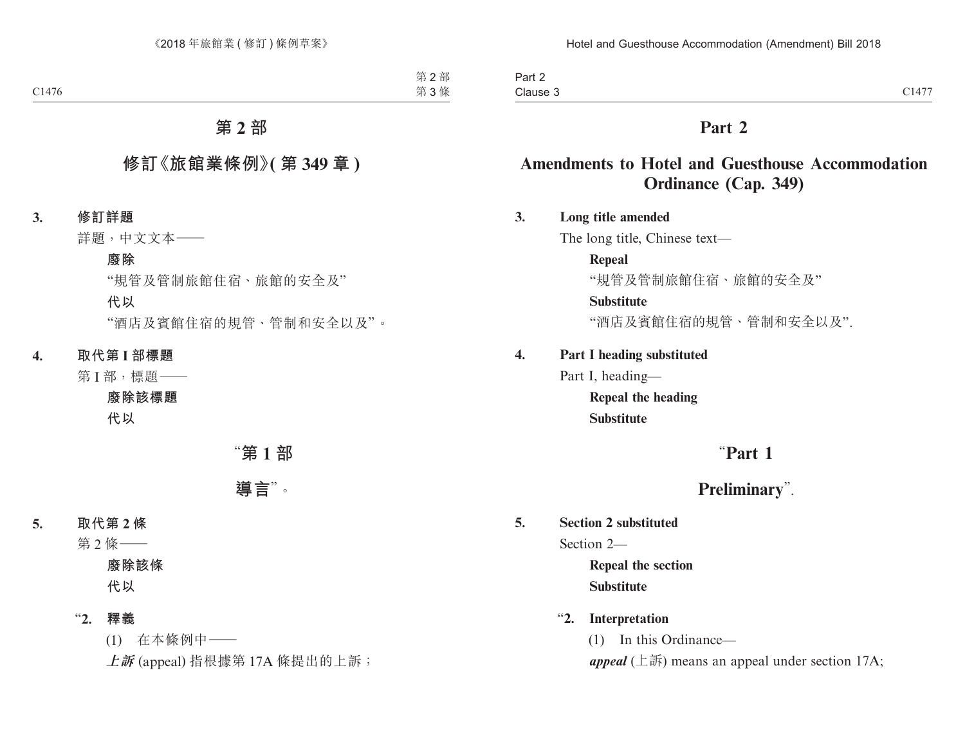| Part 2   |             |
|----------|-------------|
| Clause 3 | $\sim$ 1.77 |

# **Part 2**

# **Amendments to Hotel and Guesthouse Accommodation Ordinance (Cap. 349)**

# **3. Long title amended**

The long title, Chinese text—

#### **Repeal**

"規管及管制旅館住宿、旅館的安全及"

#### **Substitute**

"酒店及賓館住宿的規管、管制和安全以及".

# **4. Part I heading substituted**

Part I, heading—

**Repeal the heading Substitute**

# "**Part 1**

# **Preliminary**".

# **5. Section 2 substituted**

Section 2—

**Repeal the section Substitute**

# "**2. Interpretation**

(1) In this Ordinance—

*appeal* (上訴) means an appeal under section 17A;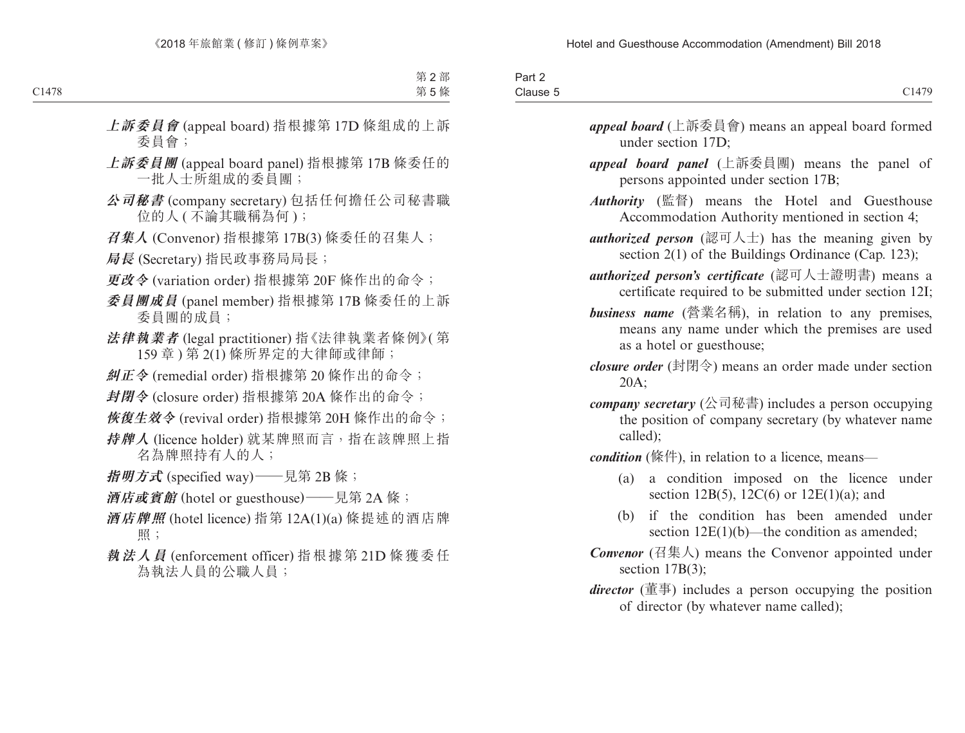| Part 2   |                         |
|----------|-------------------------|
| Clause 5 | $^{\circ}$ 1479<br>---- |

- *appeal board* (上訴委員會) means an appeal board formed under section 17D;
- *appeal board panel* (上訴委員團) means the panel of persons appointed under section 17B;
- *Authority* (監督) means the Hotel and Guesthouse Accommodation Authority mentioned in section 4;
- *authorized person* (認可人士) has the meaning given by section 2(1) of the Buildings Ordinance (Cap. 123);
- *authorized person's certificate* (認可人士證明書) means a certificate required to be submitted under section 12I;
- *business name* (營業名稱), in relation to any premises, means any name under which the premises are used as a hotel or guesthouse;
- *closure order* (封閉令) means an order made under section 20A;
- *company secretary* (公司秘書) includes a person occupying the position of company secretary (by whatever name called);

*condition* (條件), in relation to a licence, means—

- (a) a condition imposed on the licence under section 12B(5), 12C(6) or  $12E(1)(a)$ ; and
- (b) if the condition has been amended under section  $12E(1)(b)$ —the condition as amended;
- *Convenor* (召集人) means the Convenor appointed under section 17B(3);
- *director* (董事) includes a person occupying the position of director (by whatever name called);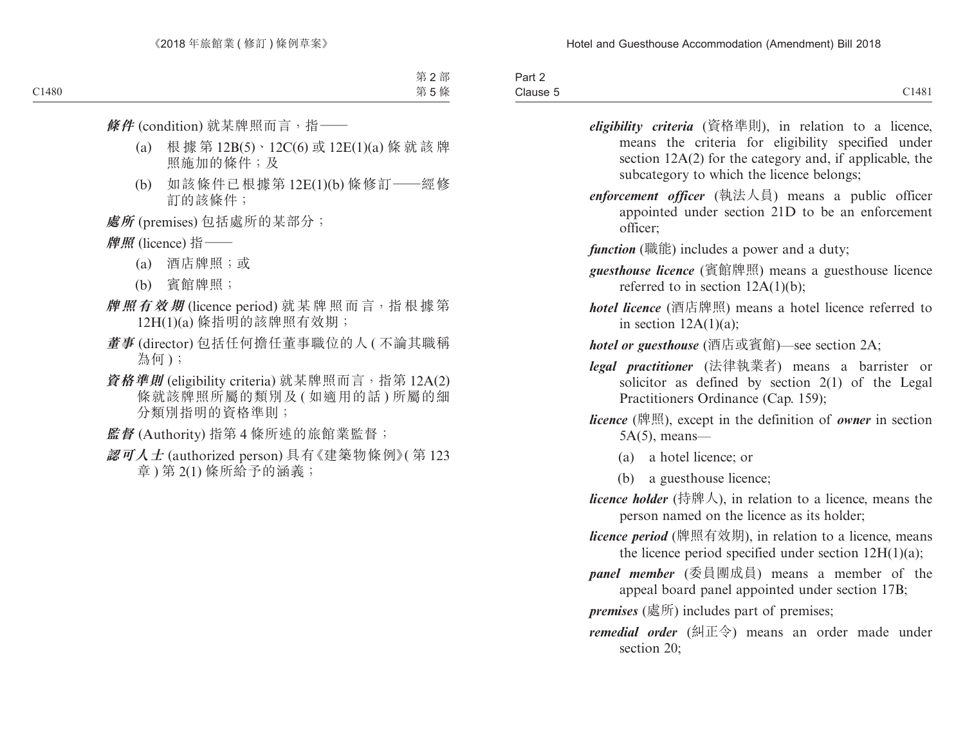| $\overline{\phantom{a}}$<br>Part 2 |       |
|------------------------------------|-------|
| Clause 5                           | C1481 |

- *eligibility criteria* (資格準則), in relation to a licence, means the criteria for eligibility specified under section 12A(2) for the category and, if applicable, the subcategory to which the licence belongs;
- *enforcement officer* (執法人員) means a public officer appointed under section 21D to be an enforcement officer;
- *function* (職能) includes a power and a duty;
- *guesthouse licence* (賓館牌照) means a guesthouse licence referred to in section 12A(1)(b);
- *hotel licence* (酒店牌照) means a hotel licence referred to in section  $12A(1)(a)$ ;
- *hotel or guesthouse* (酒店或賓館)—see section 2A;
- *legal practitioner* (法律執業者) means a barrister or solicitor as defined by section 2(1) of the Legal Practitioners Ordinance (Cap. 159);
- *licence* (牌照), except in the definition of *owner* in section 5A(5), means—
	- (a) a hotel licence; or
	- (b) a guesthouse licence;
- *licence holder* (持牌人), in relation to a licence, means the person named on the licence as its holder;
- *licence period* (牌照有效期), in relation to a licence, means the licence period specified under section  $12H(1)(a)$ ;
- *panel member* (委員團成員) means a member of the appeal board panel appointed under section 17B;
- *premises* (處所) includes part of premises;
- *remedial order* (糾正令) means an order made under section 20: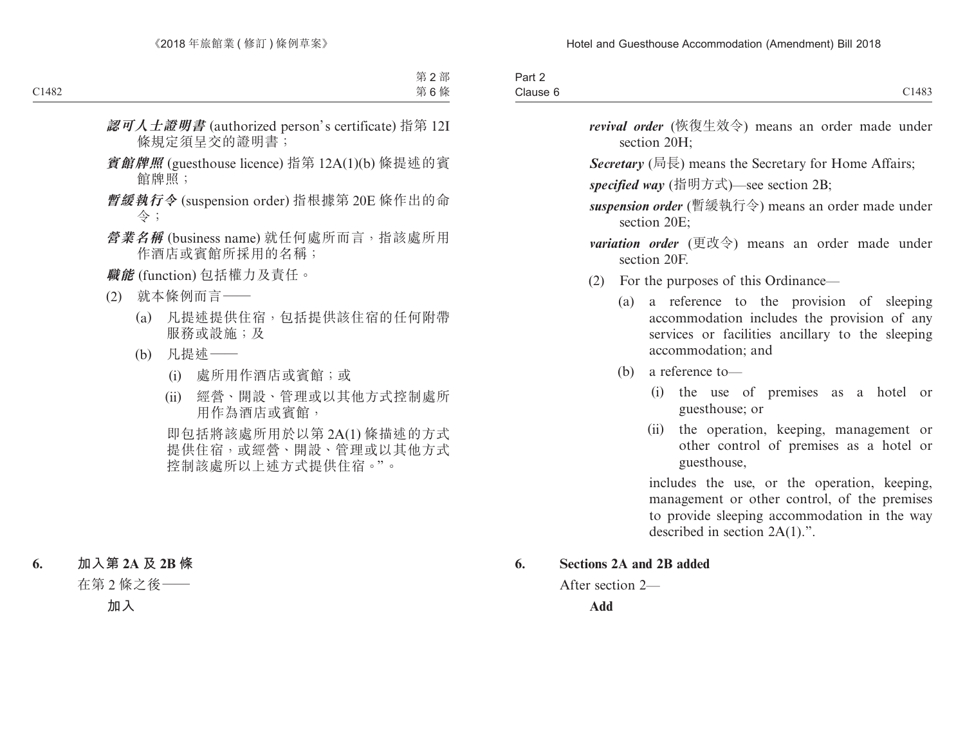| $\overline{\phantom{0}}$<br>Part $\sim$<br>$-$ |       |
|------------------------------------------------|-------|
| - 1<br>Clause 6                                | 21483 |

- *revival order* (恢復生效令) means an order made under section 20H;
- *Secretary* (局長) means the Secretary for Home Affairs;

*specified way* (指明方式)—see section 2B;

- *suspension order* (暫緩執行令) means an order made under section 20<sub>E</sub>.
- *variation order* (更改令) means an order made under section 20F.
- (2) For the purposes of this Ordinance—
	- (a) a reference to the provision of sleeping accommodation includes the provision of any services or facilities ancillary to the sleeping accommodation; and
	- (b) a reference to—
		- (i) the use of premises as a hotel or guesthouse; or
		- (ii) the operation, keeping, management or other control of premises as a hotel or guesthouse,

includes the use, or the operation, keeping, management or other control, of the premises to provide sleeping accommodation in the way described in section 2A(1).".

#### **6. Sections 2A and 2B added**

After section 2—

**Add**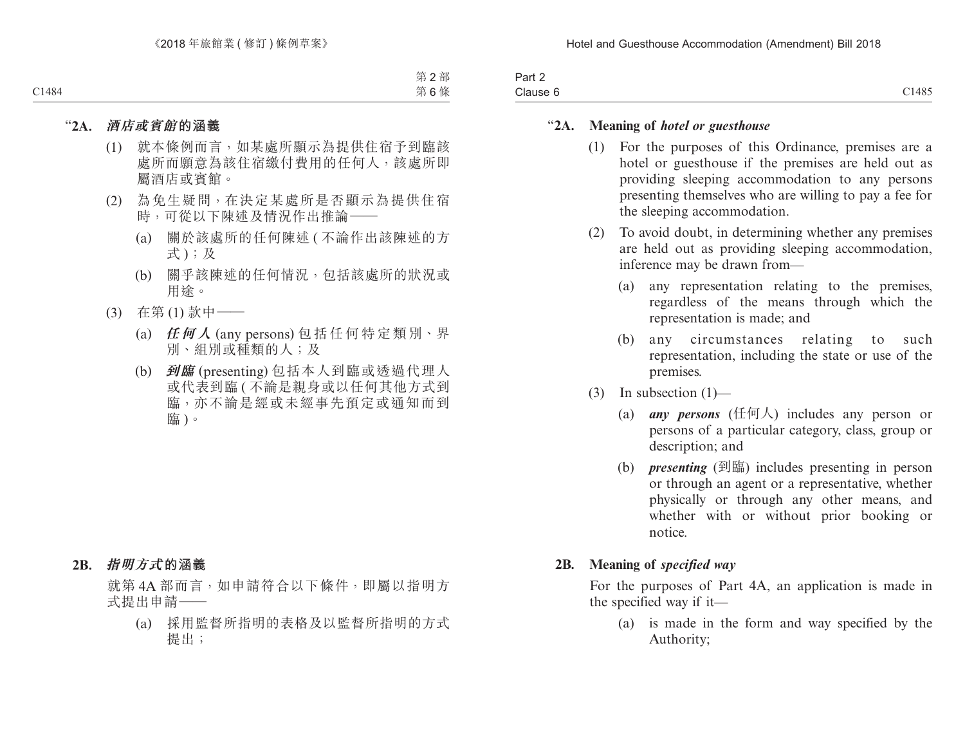| <b>STATES</b><br>$\sim$<br>است د .<br>Part 2 |                   |
|----------------------------------------------|-------------------|
| Clause 6                                     | C1485<br>رە 1 - 1 |

# "**2A. Meaning of** *hotel or guesthouse*

- (1) For the purposes of this Ordinance, premises are a hotel or guesthouse if the premises are held out as providing sleeping accommodation to any persons presenting themselves who are willing to pay a fee for the sleeping accommodation.
- (2) To avoid doubt, in determining whether any premises are held out as providing sleeping accommodation, inference may be drawn from—
	- (a) any representation relating to the premises, regardless of the means through which the representation is made; and
	- (b) any circumstances relating to such representation, including the state or use of the premises.
- (3) In subsection  $(1)$ 
	- (a) *any persons* (任何人) includes any person or persons of a particular category, class, group or description; and
	- (b) *presenting* (到臨) includes presenting in person or through an agent or a representative, whether physically or through any other means, and whether with or without prior booking or notice.

#### **2B. Meaning of** *specified way*

For the purposes of Part 4A, an application is made in the specified way if it—

(a) is made in the form and way specified by the Authority;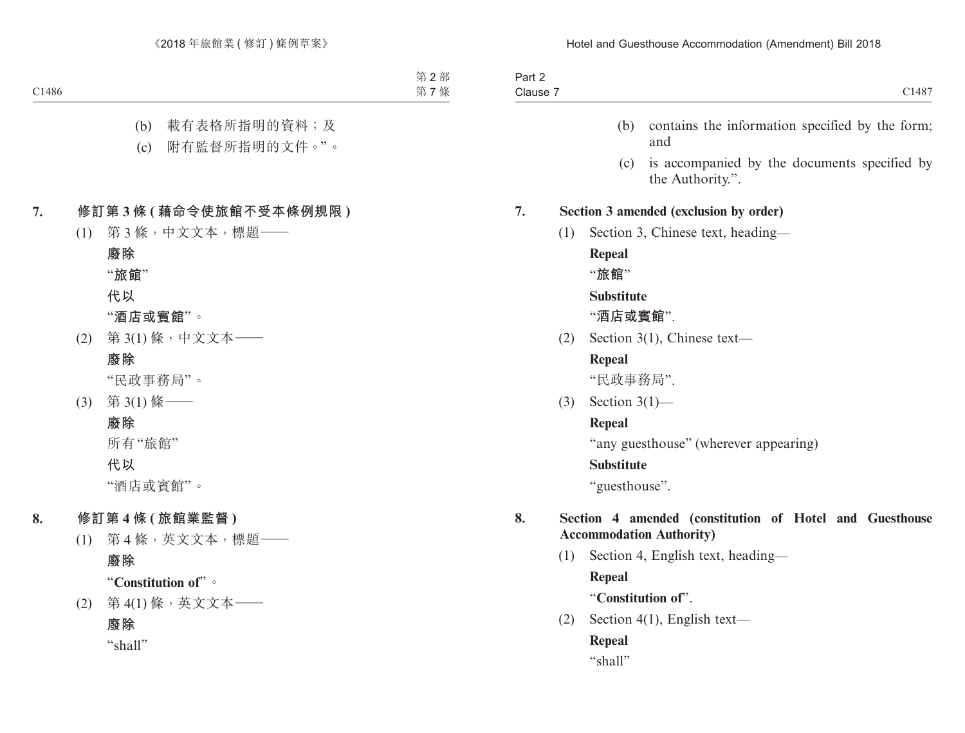|                                                                                            | Part 2                                                                            |
|--------------------------------------------------------------------------------------------|-----------------------------------------------------------------------------------|
|                                                                                            | Clause 7                                                                          |
| (b)                                                                                        |                                                                                   |
| (c)                                                                                        |                                                                                   |
| Section 3 amended (exclusion by order)                                                     | 7.                                                                                |
| Section 3, Chinese text, heading-                                                          | (1)                                                                               |
| Repeal                                                                                     |                                                                                   |
| "旅館"                                                                                       |                                                                                   |
| <b>Substitute</b>                                                                          |                                                                                   |
| "酒店或賓館".                                                                                   |                                                                                   |
| Section $3(1)$ , Chinese text—                                                             | (2)                                                                               |
|                                                                                            |                                                                                   |
| "民政事務局".                                                                                   |                                                                                   |
| Section $3(1)$ —                                                                           | (3)                                                                               |
| Repeal                                                                                     |                                                                                   |
|                                                                                            |                                                                                   |
| <b>Substitute</b>                                                                          |                                                                                   |
| "guesthouse".                                                                              |                                                                                   |
| Section 4 amended (constitution of Hotel and Guesthouse<br><b>Accommodation Authority)</b> | 8.                                                                                |
| Section 4, English text, heading-                                                          | (1)                                                                               |
| Repeal                                                                                     |                                                                                   |
| "Constitution of".                                                                         |                                                                                   |
|                                                                                            | (2)                                                                               |
|                                                                                            | Repeal<br>"any guesthouse" (wherever appearing)<br>Section $4(1)$ , English text— |

**Repeal** "shall"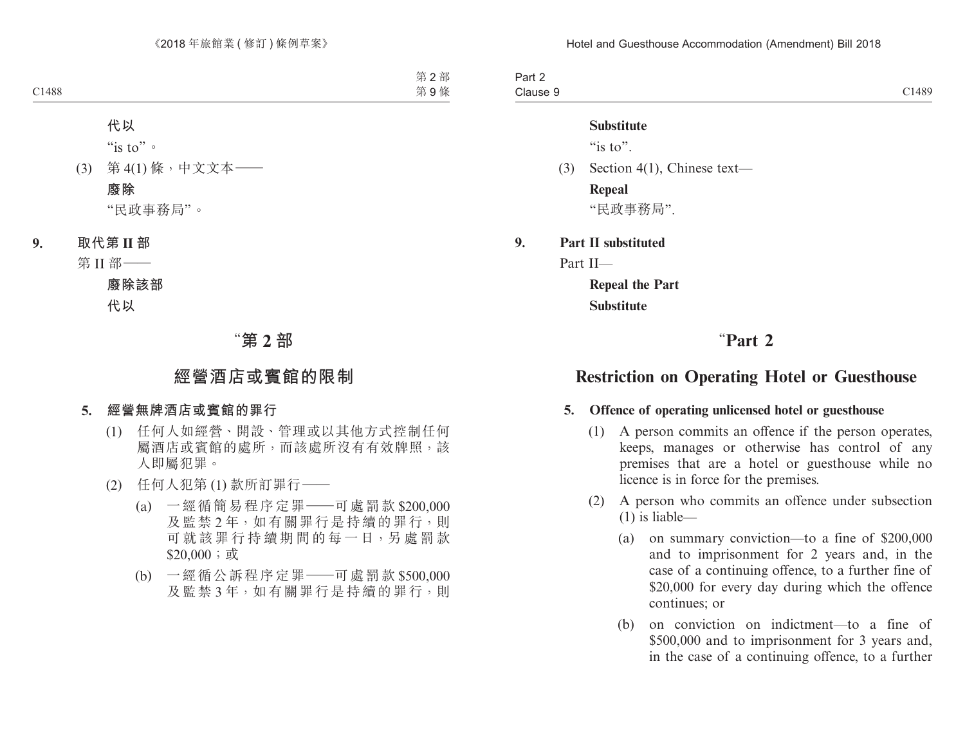Part 2 Clause 9 Clause 9 and 2014 Clause 1 and 2014 Clause 1 and 2014 Clause 1 and 2014 Clause 2 and 2014 Clause 2 and 2014 Cla

#### **Substitute**

" $is to$ "

(3) Section 4(1), Chinese text— **Repeal**

"民政事務局".

**9. Part II substituted**

Part II—

**Repeal the Part Substitute**

# "**Part 2**

# **Restriction on Operating Hotel or Guesthouse**

#### **5. Offence of operating unlicensed hotel or guesthouse**

- (1) A person commits an offence if the person operates, keeps, manages or otherwise has control of any premises that are a hotel or guesthouse while no licence is in force for the premises.
- (2) A person who commits an offence under subsection (1) is liable—
	- (a) on summary conviction—to a fine of \$200,000 and to imprisonment for 2 years and, in the case of a continuing offence, to a further fine of \$20,000 for every day during which the offence continues; or
	- (b) on conviction on indictment—to a fine of \$500,000 and to imprisonment for 3 years and, in the case of a continuing offence, to a further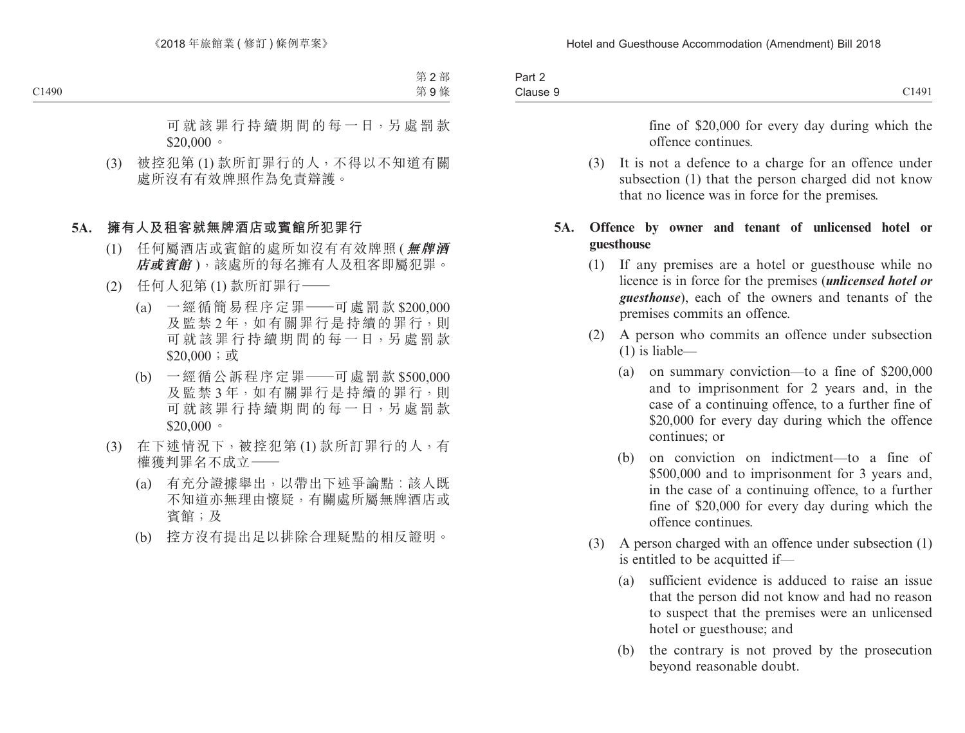| <b>STATES</b><br>Part 2 |               |
|-------------------------|---------------|
| Clause 9                | $^{\cap}1491$ |

fine of \$20,000 for every day during which the offence continues.

(3) It is not a defence to a charge for an offence under subsection (1) that the person charged did not know that no licence was in force for the premises.

# **5A. Offence by owner and tenant of unlicensed hotel or guesthouse**

- (1) If any premises are a hotel or guesthouse while no licence is in force for the premises (*unlicensed hotel or guesthouse*), each of the owners and tenants of the premises commits an offence.
- (2) A person who commits an offence under subsection (1) is liable—
	- (a) on summary conviction—to a fine of \$200,000 and to imprisonment for 2 years and, in the case of a continuing offence, to a further fine of \$20,000 for every day during which the offence continues; or
	- (b) on conviction on indictment—to a fine of \$500,000 and to imprisonment for 3 years and, in the case of a continuing offence, to a further fine of \$20,000 for every day during which the offence continues.
- (3) A person charged with an offence under subsection (1) is entitled to be acquitted if—
	- (a) sufficient evidence is adduced to raise an issue that the person did not know and had no reason to suspect that the premises were an unlicensed hotel or guesthouse; and
	- (b) the contrary is not proved by the prosecution beyond reasonable doubt.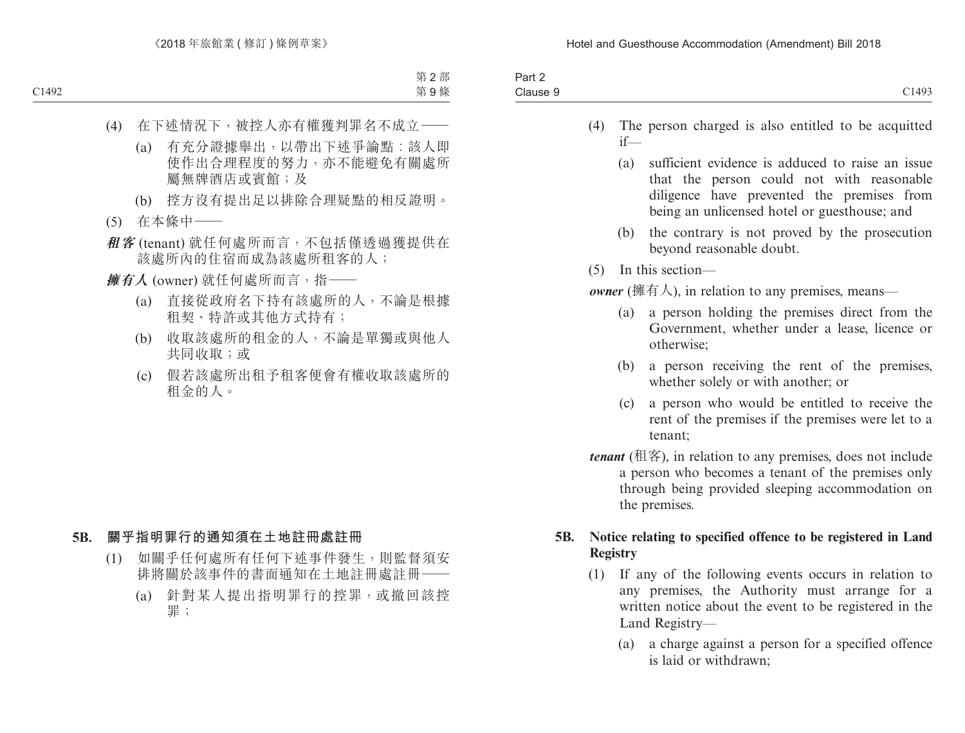| ail 4    |                               |
|----------|-------------------------------|
| Clause 9 | $\bigcap$ 1.02<br>- 1497<br>. |
|          |                               |

- (4) The person charged is also entitled to be acquitted if—
	- (a) sufficient evidence is adduced to raise an issue that the person could not with reasonable diligence have prevented the premises from being an unlicensed hotel or guesthouse; and
	- (b) the contrary is not proved by the prosecution beyond reasonable doubt.
- (5) In this section—

*owner* (擁有人), in relation to any premises, means—

- (a) a person holding the premises direct from the Government, whether under a lease, licence or otherwise;
- (b) a person receiving the rent of the premises, whether solely or with another; or
- (c) a person who would be entitled to receive the rent of the premises if the premises were let to a tenant;
- *tenant* (租客), in relation to any premises, does not include a person who becomes a tenant of the premises only through being provided sleeping accommodation on the premises.

# **5B. Notice relating to specified offence to be registered in Land Registry**

- (1) If any of the following events occurs in relation to any premises, the Authority must arrange for a written notice about the event to be registered in the Land Registry—
	- (a) a charge against a person for a specified offence is laid or withdrawn;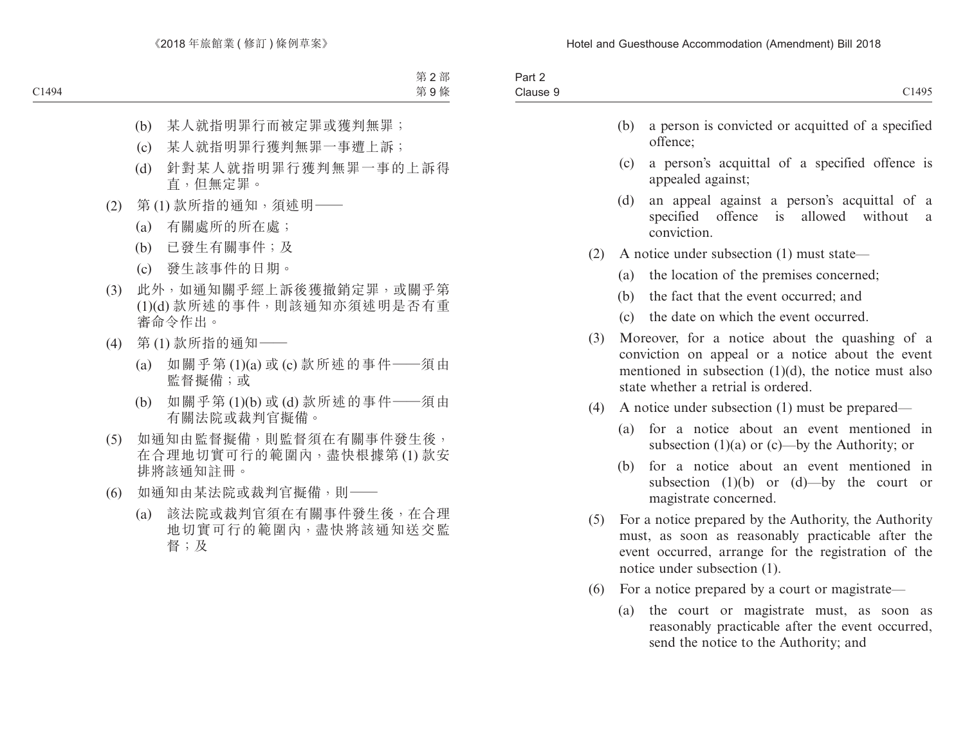| C <sub>1495</sub>                                                                                                                                                                                    |                            | Part 2<br>Clause 9 |
|------------------------------------------------------------------------------------------------------------------------------------------------------------------------------------------------------|----------------------------|--------------------|
| a person is convicted or acquitted of a specified<br>offence;                                                                                                                                        | (b)                        |                    |
| a person's acquittal of a specified offence is<br>appealed against;                                                                                                                                  | $\left( \mathrm{c}\right)$ |                    |
| an appeal against a person's acquittal of a<br>specified offence is allowed without a<br>conviction.                                                                                                 | (d)                        |                    |
| A notice under subsection (1) must state—                                                                                                                                                            | (2)                        |                    |
| the location of the premises concerned;                                                                                                                                                              | (a)                        |                    |
| the fact that the event occurred; and                                                                                                                                                                | (b)                        |                    |
| the date on which the event occurred.                                                                                                                                                                | (c)                        |                    |
| Moreover, for a notice about the quashing of a<br>conviction on appeal or a notice about the event<br>mentioned in subsection $(1)(d)$ , the notice must also<br>state whether a retrial is ordered. | (3)                        |                    |
| A notice under subsection (1) must be prepared—                                                                                                                                                      | (4)                        |                    |
| for a notice about an event mentioned in<br>subsection $(1)(a)$ or $(c)$ —by the Authority; or                                                                                                       | (a)                        |                    |
| for a notice about an event mentioned in<br>subsection (1)(b) or (d)—by the court or<br>magistrate concerned.                                                                                        | (b)                        |                    |
| For a notice prepared by the Authority, the Authority<br>must, as soon as reasonably practicable after the<br>event occurred, arrange for the registration of the<br>notice under subsection (1).    | (5)                        |                    |
| For a notice prepared by a court or magistrate—                                                                                                                                                      | (6)                        |                    |
| the court or magistrate must, as soon as<br>reasonably practicable after the event occurred,<br>send the notice to the Authority; and                                                                | (a)                        |                    |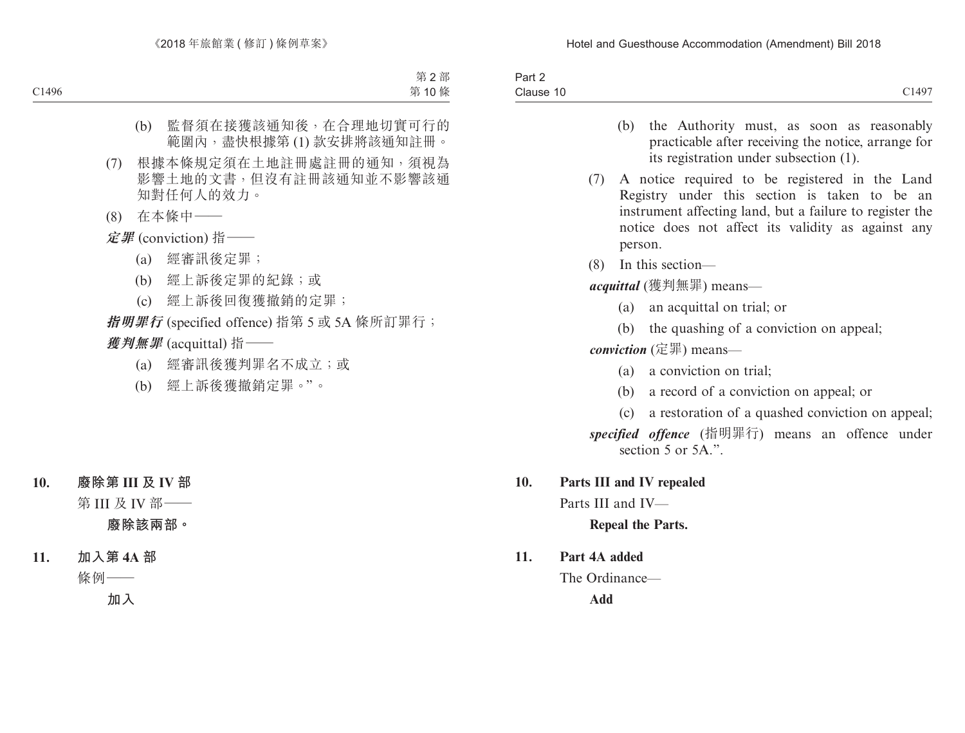| $\overline{\phantom{a}}$<br>າ~~+<br>Part 2 |              |
|--------------------------------------------|--------------|
| $\sim$<br>Clause 10                        | C1497<br>--- |

- (b) the Authority must, as soon as reasonably practicable after receiving the notice, arrange for its registration under subsection (1).
- (7) A notice required to be registered in the Land Registry under this section is taken to be an instrument affecting land, but a failure to register the notice does not affect its validity as against any person.
- (8) In this section—

*acquittal* (獲判無罪) means—

- (a) an acquittal on trial; or
- (b) the quashing of a conviction on appeal;

*conviction* (定罪) means—

- (a) a conviction on trial;
- (b) a record of a conviction on appeal; or
- (c) a restoration of a quashed conviction on appeal; *specified offence* (指明罪行) means an offence under section 5 or 5A."
- **10. Parts III and IV repealed**

Parts III and IV—

**Repeal the Parts.**

**11. Part 4A added**

The Ordinance—

**Add**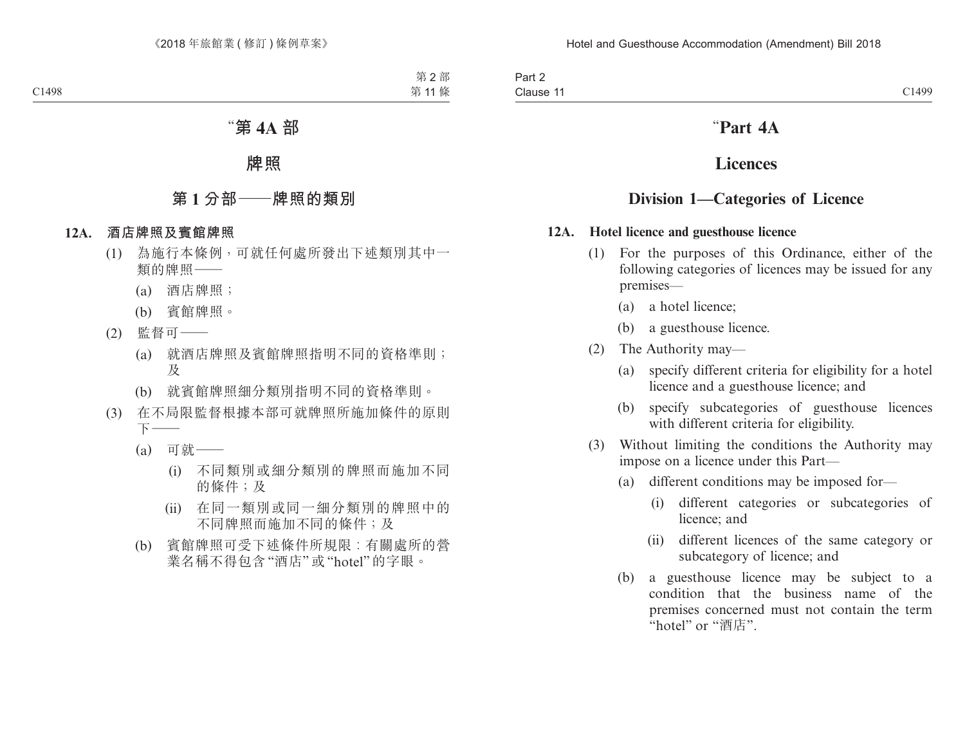# "**Part 4A**

# **Licences**

# **Division 1—Categories of Licence**

# **12A. Hotel licence and guesthouse licence**

- (1) For the purposes of this Ordinance, either of the following categories of licences may be issued for any premises—
	- (a) a hotel licence;
	- (b) a guesthouse licence.
- (2) The Authority may—
	- (a) specify different criteria for eligibility for a hotel licence and a guesthouse licence; and
	- (b) specify subcategories of guesthouse licences with different criteria for eligibility.
- (3) Without limiting the conditions the Authority may impose on a licence under this Part—
	- (a) different conditions may be imposed for—
		- (i) different categories or subcategories of licence; and
		- (ii) different licences of the same category or subcategory of licence; and
	- (b) a guesthouse licence may be subject to a condition that the business name of the premises concerned must not contain the term "hotel" or "酒店".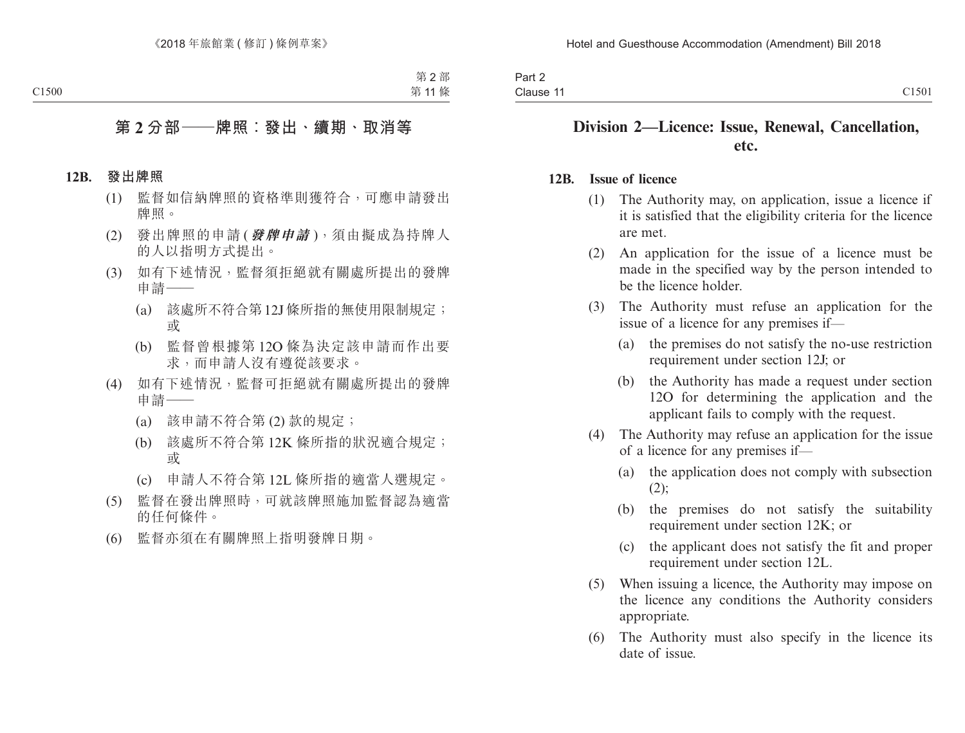# **Division 2—Licence: Issue, Renewal, Cancellation, etc.**

#### **12B. Issue of licence**

- (1) The Authority may, on application, issue a licence if it is satisfied that the eligibility criteria for the licence are met.
- (2) An application for the issue of a licence must be made in the specified way by the person intended to be the licence holder.
- (3) The Authority must refuse an application for the issue of a licence for any premises if—
	- (a) the premises do not satisfy the no-use restriction requirement under section 12J; or
	- (b) the Authority has made a request under section 12O for determining the application and the applicant fails to comply with the request.
- (4) The Authority may refuse an application for the issue of a licence for any premises if—
	- (a) the application does not comply with subsection  $(2)$ ;
	- (b) the premises do not satisfy the suitability requirement under section 12K; or
	- (c) the applicant does not satisfy the fit and proper requirement under section 12L.
- (5) When issuing a licence, the Authority may impose on the licence any conditions the Authority considers appropriate.
- (6) The Authority must also specify in the licence its date of issue.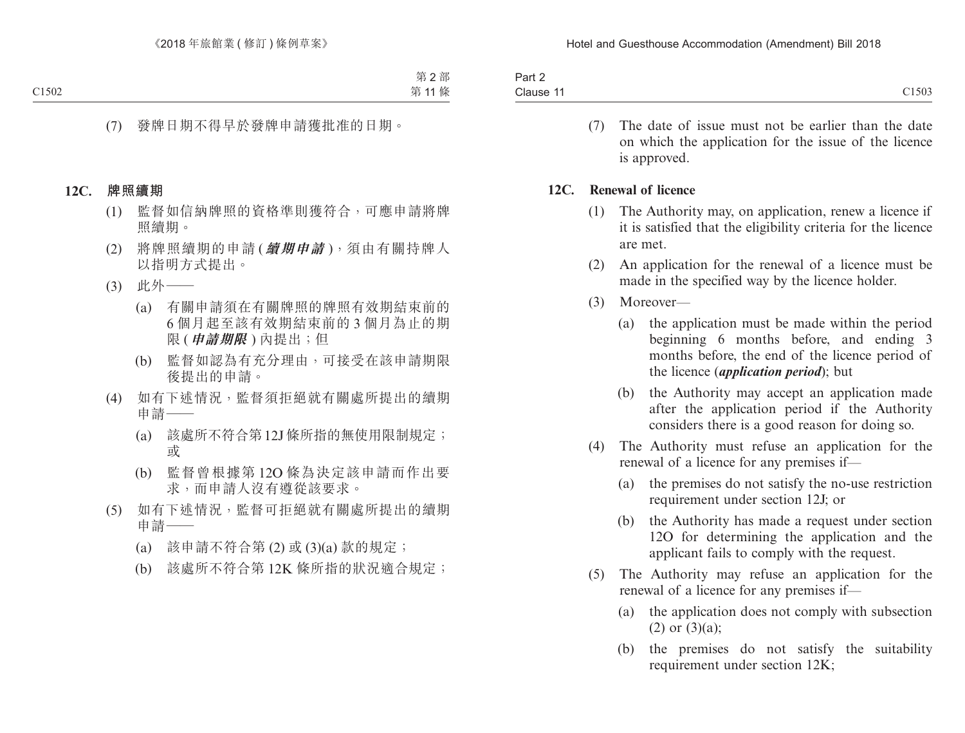| Part 2                |       |
|-----------------------|-------|
| Clause 11<br>$     -$ | C1503 |

(7) The date of issue must not be earlier than the date on which the application for the issue of the licence is approved.

#### **12C. Renewal of licence**

- (1) The Authority may, on application, renew a licence if it is satisfied that the eligibility criteria for the licence are met.
- (2) An application for the renewal of a licence must be made in the specified way by the licence holder.
- (3) Moreover—
	- (a) the application must be made within the period beginning 6 months before, and ending 3 months before, the end of the licence period of the licence (*application period*); but
	- (b) the Authority may accept an application made after the application period if the Authority considers there is a good reason for doing so.
- (4) The Authority must refuse an application for the renewal of a licence for any premises if—
	- (a) the premises do not satisfy the no-use restriction requirement under section 12J; or
	- (b) the Authority has made a request under section 12O for determining the application and the applicant fails to comply with the request.
- (5) The Authority may refuse an application for the renewal of a licence for any premises if—
	- (a) the application does not comply with subsection  $(2)$  or  $(3)(a)$ ;
	- (b) the premises do not satisfy the suitability requirement under section 12K;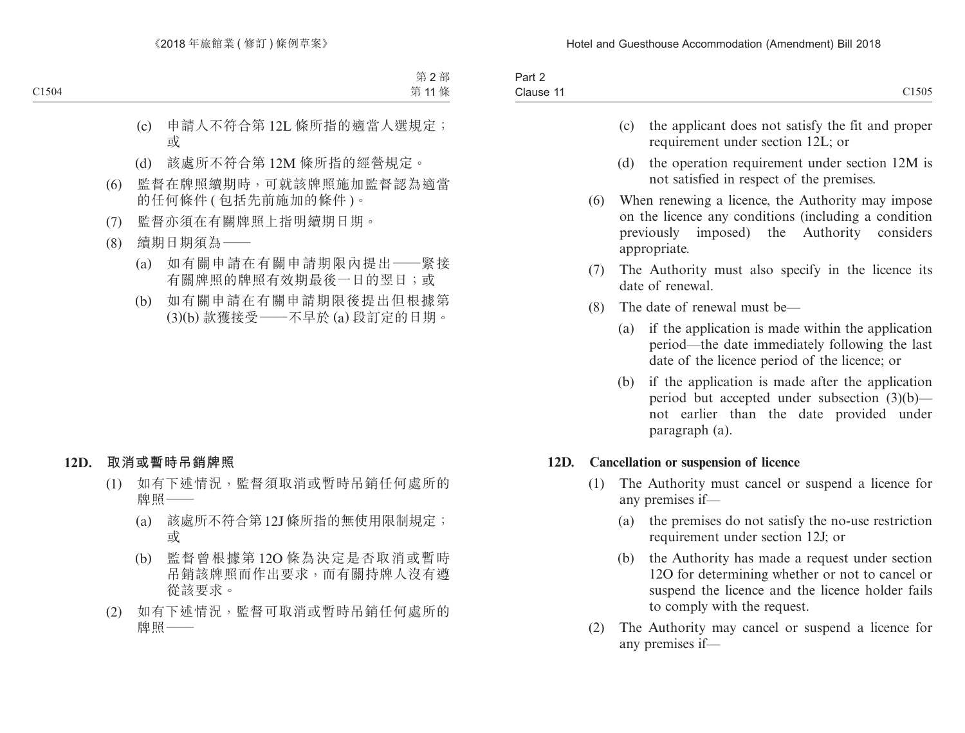- (c) the applicant does not satisfy the fit and proper requirement under section 12L; or
- (d) the operation requirement under section 12M is not satisfied in respect of the premises.
- (6) When renewing a licence, the Authority may impose on the licence any conditions (including a condition previously imposed) the Authority considers appropriate.
- (7) The Authority must also specify in the licence its date of renewal.
- (8) The date of renewal must be—
	- (a) if the application is made within the application period—the date immediately following the last date of the licence period of the licence; or
	- (b) if the application is made after the application period but accepted under subsection (3)(b) not earlier than the date provided under paragraph (a).

#### **12D. Cancellation or suspension of licence**

- (1) The Authority must cancel or suspend a licence for any premises if—
	- (a) the premises do not satisfy the no-use restriction requirement under section 12J; or
	- (b) the Authority has made a request under section 12O for determining whether or not to cancel or suspend the licence and the licence holder fails to comply with the request.
- (2) The Authority may cancel or suspend a licence for any premises if—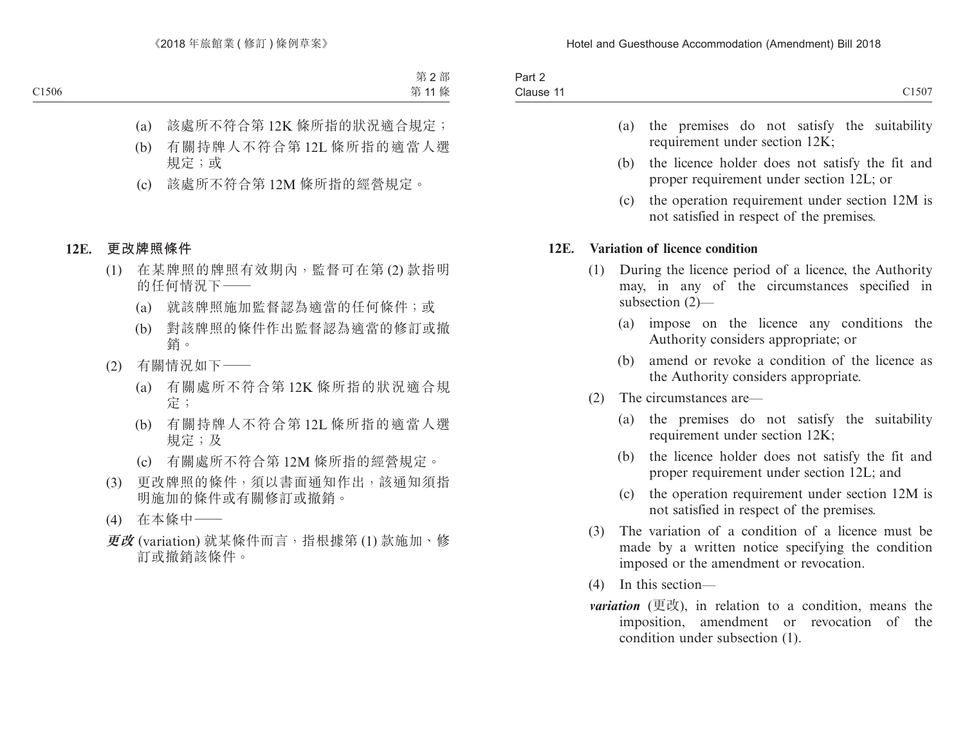| $3 - r +$<br>-ail 4 |                   |
|---------------------|-------------------|
| - '<br>Clause<br>.  | C1507<br>ا 10 د ر |

- (a) the premises do not satisfy the suitability requirement under section 12K;
- (b) the licence holder does not satisfy the fit and proper requirement under section 12L; or
- (c) the operation requirement under section 12M is not satisfied in respect of the premises.

#### **12E. Variation of licence condition**

- (1) During the licence period of a licence, the Authority may, in any of the circumstances specified in subsection (2)—
	- (a) impose on the licence any conditions the Authority considers appropriate; or
	- (b) amend or revoke a condition of the licence as the Authority considers appropriate.
- (2) The circumstances are—
	- (a) the premises do not satisfy the suitability requirement under section 12K;
	- (b) the licence holder does not satisfy the fit and proper requirement under section 12L; and
	- (c) the operation requirement under section 12M is not satisfied in respect of the premises.
- (3) The variation of a condition of a licence must be made by a written notice specifying the condition imposed or the amendment or revocation.
- (4) In this section—
- *variation* (更改), in relation to a condition, means the imposition, amendment or revocation of the condition under subsection (1).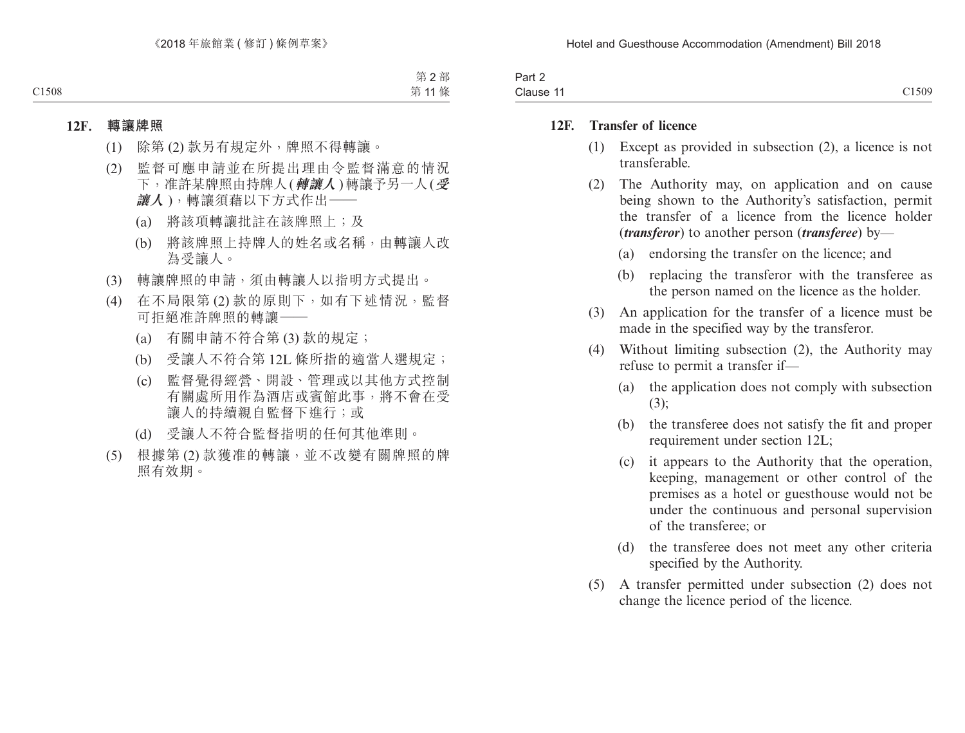| Part 2    |       |
|-----------|-------|
| Clause 11 | C1509 |

#### **12F. Transfer of licence**

- (1) Except as provided in subsection (2), a licence is not transferable.
- (2) The Authority may, on application and on cause being shown to the Authority's satisfaction, permit the transfer of a licence from the licence holder (*transferor*) to another person (*transferee*) by—
	- (a) endorsing the transfer on the licence; and
	- (b) replacing the transferor with the transferee as the person named on the licence as the holder.
- (3) An application for the transfer of a licence must be made in the specified way by the transferor.
- (4) Without limiting subsection (2), the Authority may refuse to permit a transfer if—
	- (a) the application does not comply with subsection (3);
	- (b) the transferee does not satisfy the fit and proper requirement under section 12L;
	- (c) it appears to the Authority that the operation, keeping, management or other control of the premises as a hotel or guesthouse would not be under the continuous and personal supervision of the transferee; or
	- (d) the transferee does not meet any other criteria specified by the Authority.
- (5) A transfer permitted under subsection (2) does not change the licence period of the licence.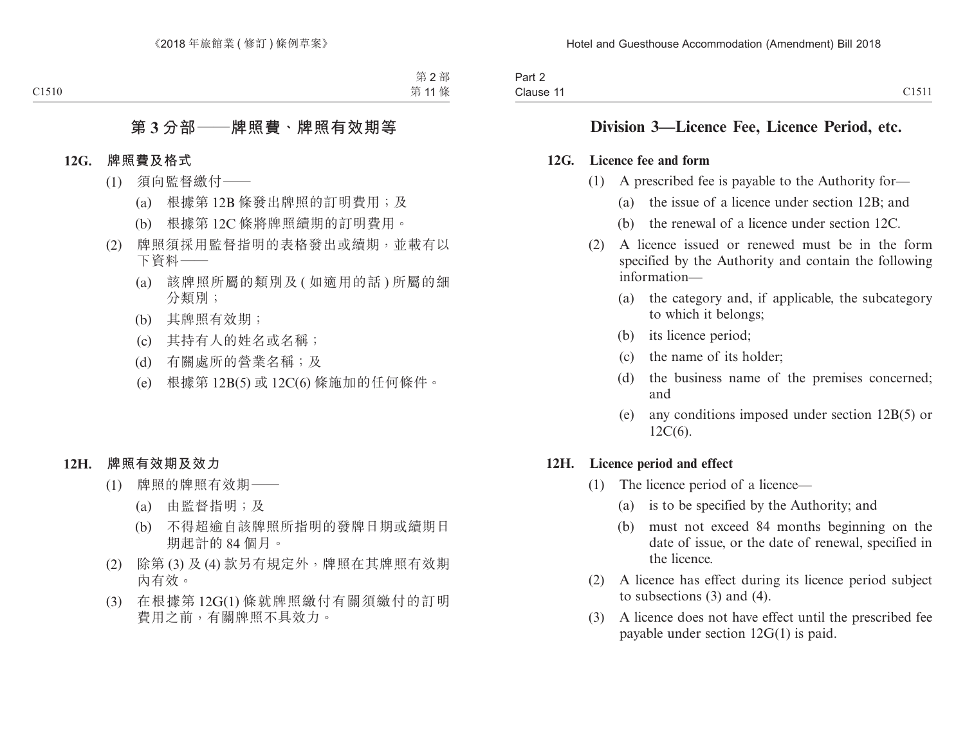| Part 2                             |       |
|------------------------------------|-------|
| $\sim$<br>Clause 11<br>___________ | C1511 |

# **Division 3—Licence Fee, Licence Period, etc.**

#### **12G. Licence fee and form**

- (1) A prescribed fee is payable to the Authority for—
	- (a) the issue of a licence under section 12B; and
	- (b) the renewal of a licence under section 12C.
- (2) A licence issued or renewed must be in the form specified by the Authority and contain the following information—
	- (a) the category and, if applicable, the subcategory to which it belongs;
	- (b) its licence period;
	- (c) the name of its holder;
	- (d) the business name of the premises concerned; and
	- (e) any conditions imposed under section 12B(5) or 12C(6).

#### **12H. Licence period and effect**

- (1) The licence period of a licence—
	- (a) is to be specified by the Authority; and
	- (b) must not exceed 84 months beginning on the date of issue, or the date of renewal, specified in the licence.
- (2) A licence has effect during its licence period subject to subsections (3) and (4).
- (3) A licence does not have effect until the prescribed fee payable under section 12G(1) is paid.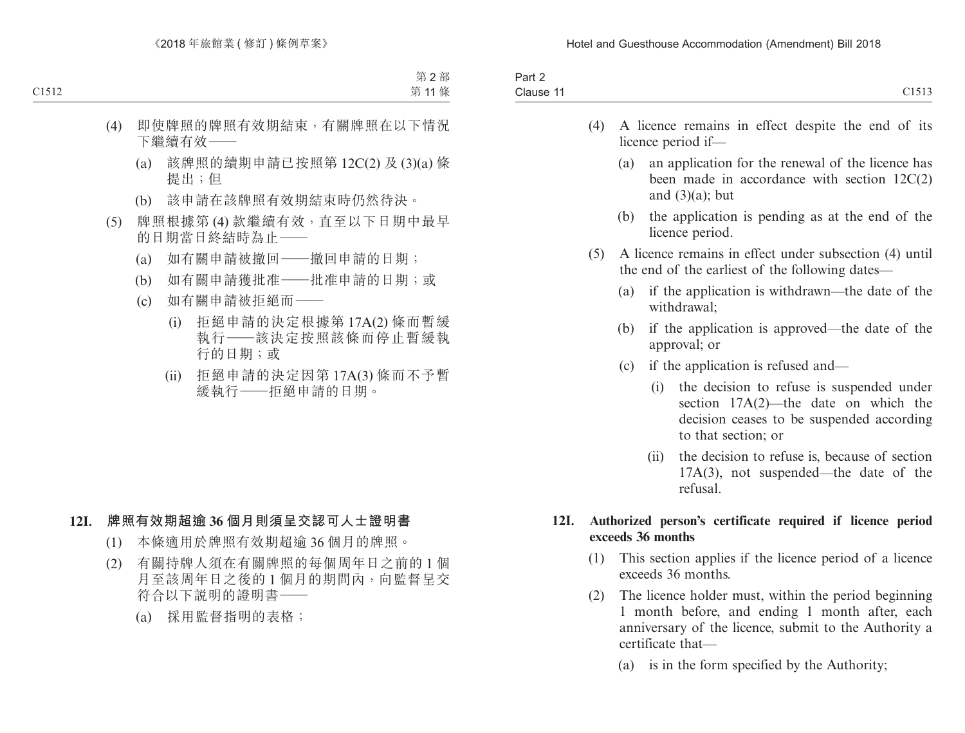- (4) A licence remains in effect despite the end of its licence period if—
	- (a) an application for the renewal of the licence has been made in accordance with section 12C(2) and  $(3)(a)$ ; but
	- (b) the application is pending as at the end of the licence period.
- (5) A licence remains in effect under subsection (4) until the end of the earliest of the following dates—
	- (a) if the application is withdrawn—the date of the withdrawal;
	- (b) if the application is approved—the date of the approval; or
	- (c) if the application is refused and—
		- (i) the decision to refuse is suspended under section 17A(2)—the date on which the decision ceases to be suspended according to that section; or
		- (ii) the decision to refuse is, because of section 17A(3), not suspended—the date of the refusal.

# **12I. Authorized person's certificate required if licence period exceeds 36 months**

- (1) This section applies if the licence period of a licence exceeds 36 months.
- (2) The licence holder must, within the period beginning 1 month before, and ending 1 month after, each anniversary of the licence, submit to the Authority a certificate that—
	- (a) is in the form specified by the Authority;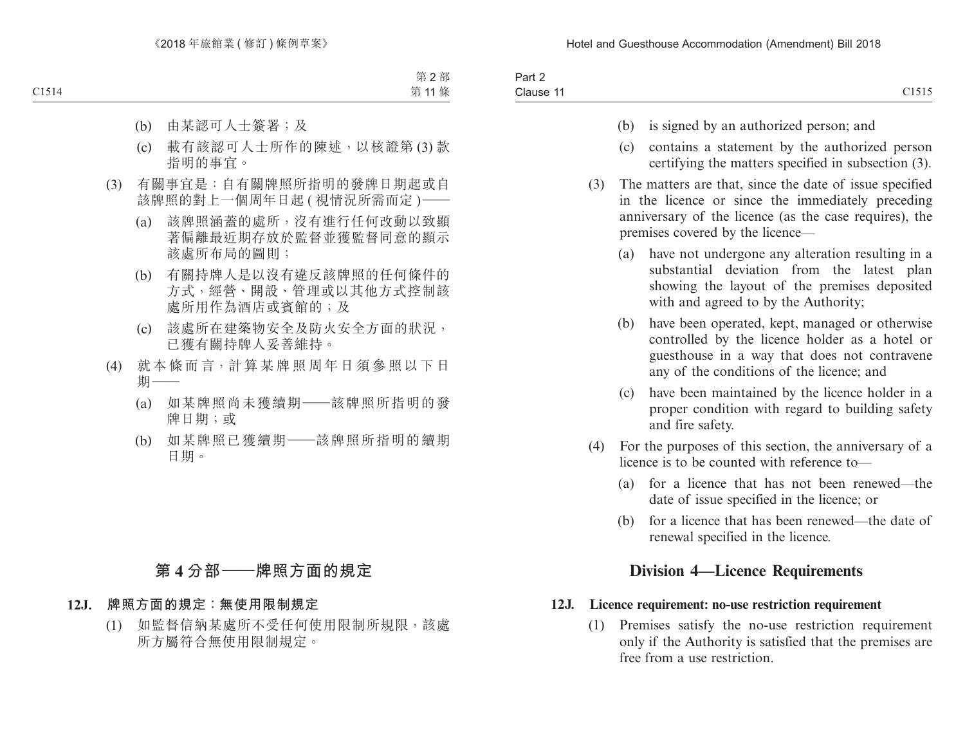| Part 2    |                    |
|-----------|--------------------|
| Clause 11 | C1515<br>U 1 J 1 J |

- (b) is signed by an authorized person; and
- (c) contains a statement by the authorized person certifying the matters specified in subsection (3).
- (3) The matters are that, since the date of issue specified in the licence or since the immediately preceding anniversary of the licence (as the case requires), the premises covered by the licence—
	- (a) have not undergone any alteration resulting in a substantial deviation from the latest plan showing the layout of the premises deposited with and agreed to by the Authority;
	- (b) have been operated, kept, managed or otherwise controlled by the licence holder as a hotel or guesthouse in a way that does not contravene any of the conditions of the licence; and
	- (c) have been maintained by the licence holder in a proper condition with regard to building safety and fire safety.
- (4) For the purposes of this section, the anniversary of a licence is to be counted with reference to—
	- (a) for a licence that has not been renewed—the date of issue specified in the licence; or
	- (b) for a licence that has been renewed—the date of renewal specified in the licence.

# **Division 4—Licence Requirements**

#### **12J. Licence requirement: no-use restriction requirement**

(1) Premises satisfy the no-use restriction requirement only if the Authority is satisfied that the premises are free from a use restriction.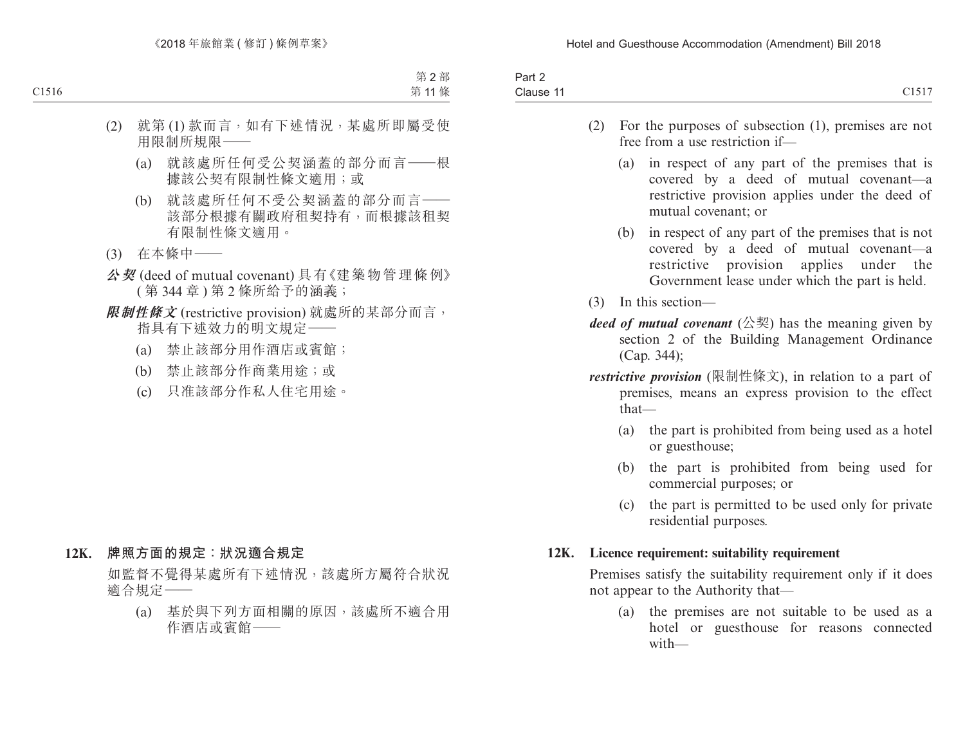| 3 <sub>cm</sub><br>$\sim$<br>. |      |
|--------------------------------|------|
| $\overline{\phantom{0}}$       |      |
| Clause                         | $ -$ |
| $\cdots$                       |      |

- (2) For the purposes of subsection (1), premises are not free from a use restriction if—
	- (a) in respect of any part of the premises that is covered by a deed of mutual covenant—a restrictive provision applies under the deed of mutual covenant; or
	- (b) in respect of any part of the premises that is not covered by a deed of mutual covenant—a restrictive provision applies under the Government lease under which the part is held.
- (3) In this section—
- *deed of mutual covenant*  $(\&$ 契) has the meaning given by section 2 of the Building Management Ordinance (Cap. 344);
- *restrictive provision* (限制性條文), in relation to a part of premises, means an express provision to the effect that—
	- (a) the part is prohibited from being used as a hotel or guesthouse;
	- (b) the part is prohibited from being used for commercial purposes; or
	- (c) the part is permitted to be used only for private residential purposes.

#### **12K. Licence requirement: suitability requirement**

Premises satisfy the suitability requirement only if it does not appear to the Authority that—

(a) the premises are not suitable to be used as a hotel or guesthouse for reasons connected with—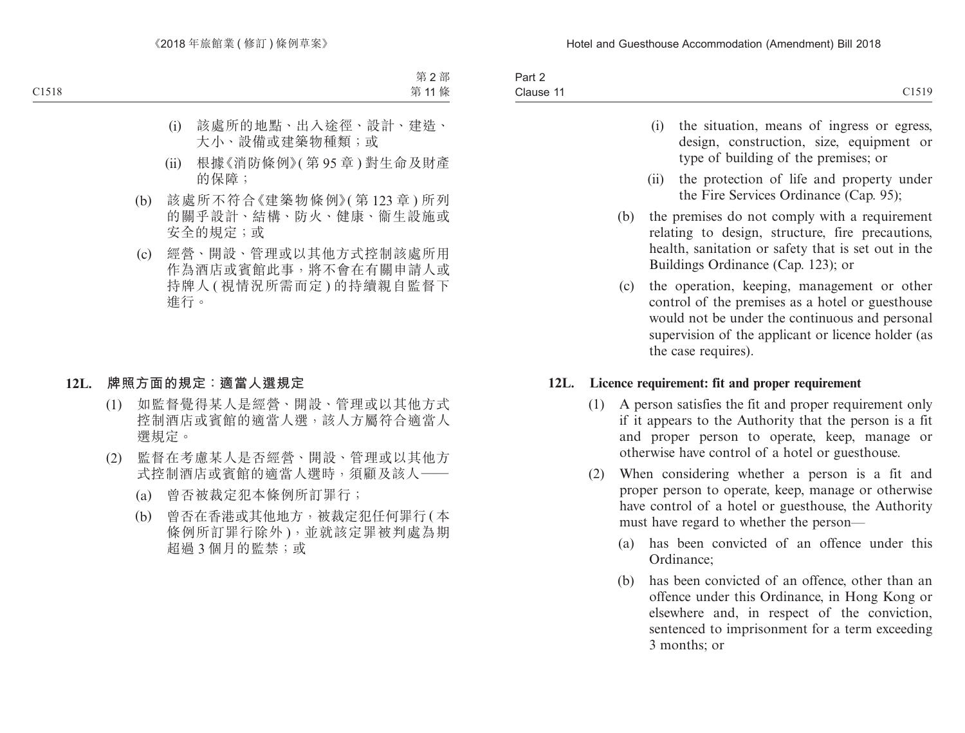| -<br>า~~+<br>ail 4 |                              |
|--------------------|------------------------------|
| -<br>Clause<br>. . | C1510<br><i>_</i> 1 <i>_</i> |

- (i) the situation, means of ingress or egress, design, construction, size, equipment or type of building of the premises; or
- (ii) the protection of life and property under the Fire Services Ordinance (Cap. 95);
- (b) the premises do not comply with a requirement relating to design, structure, fire precautions, health, sanitation or safety that is set out in the Buildings Ordinance (Cap. 123); or
- (c) the operation, keeping, management or other control of the premises as a hotel or guesthouse would not be under the continuous and personal supervision of the applicant or licence holder (as the case requires).

#### **12L. Licence requirement: fit and proper requirement**

- (1) A person satisfies the fit and proper requirement only if it appears to the Authority that the person is a fit and proper person to operate, keep, manage or otherwise have control of a hotel or guesthouse.
- (2) When considering whether a person is a fit and proper person to operate, keep, manage or otherwise have control of a hotel or guesthouse, the Authority must have regard to whether the person—
	- (a) has been convicted of an offence under this Ordinance;
	- (b) has been convicted of an offence, other than an offence under this Ordinance, in Hong Kong or elsewhere and, in respect of the conviction, sentenced to imprisonment for a term exceeding 3 months; or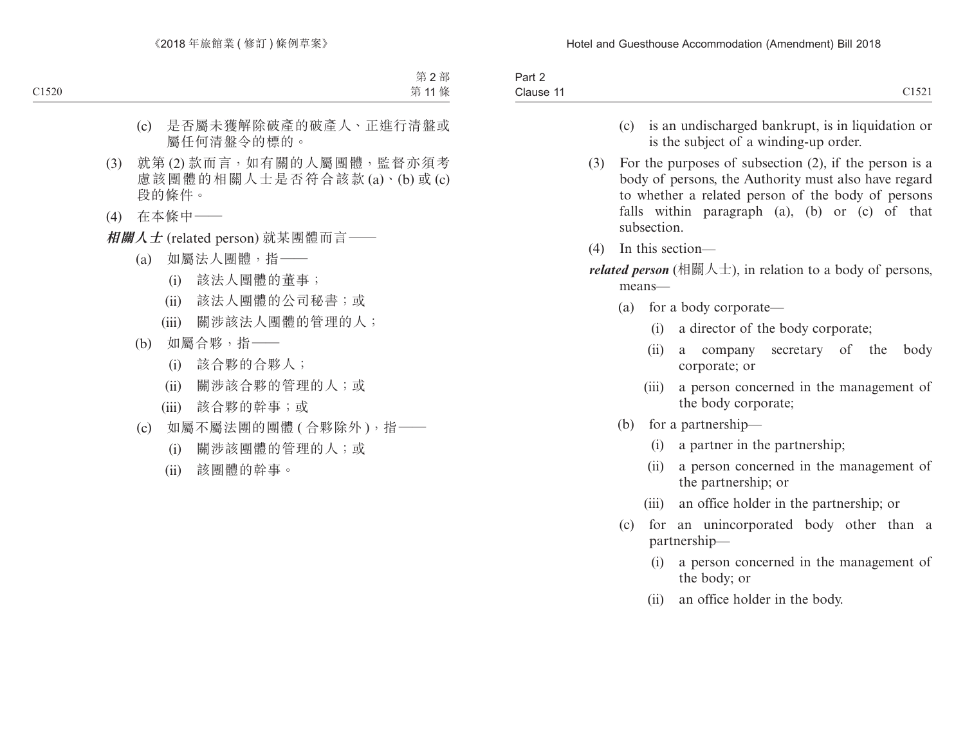| Clause<br>- - - - - |  |
|---------------------|--|
|                     |  |

- (c) is an undischarged bankrupt, is in liquidation or is the subject of a winding-up order.
- (3) For the purposes of subsection (2), if the person is a body of persons, the Authority must also have regard to whether a related person of the body of persons falls within paragraph (a), (b) or (c) of that subsection.
- (4) In this section—
- *related person* (相關人士), in relation to a body of persons, means—
	- (a) for a body corporate—
		- (i) a director of the body corporate;
		- (ii) a company secretary of the body corporate; or
		- (iii) a person concerned in the management of the body corporate;
	- (b) for a partnership—
		- (i) a partner in the partnership;
		- (ii) a person concerned in the management of the partnership; or
		- (iii) an office holder in the partnership; or
	- (c) for an unincorporated body other than a partnership—
		- (i) a person concerned in the management of the body; or
		- (ii) an office holder in the body.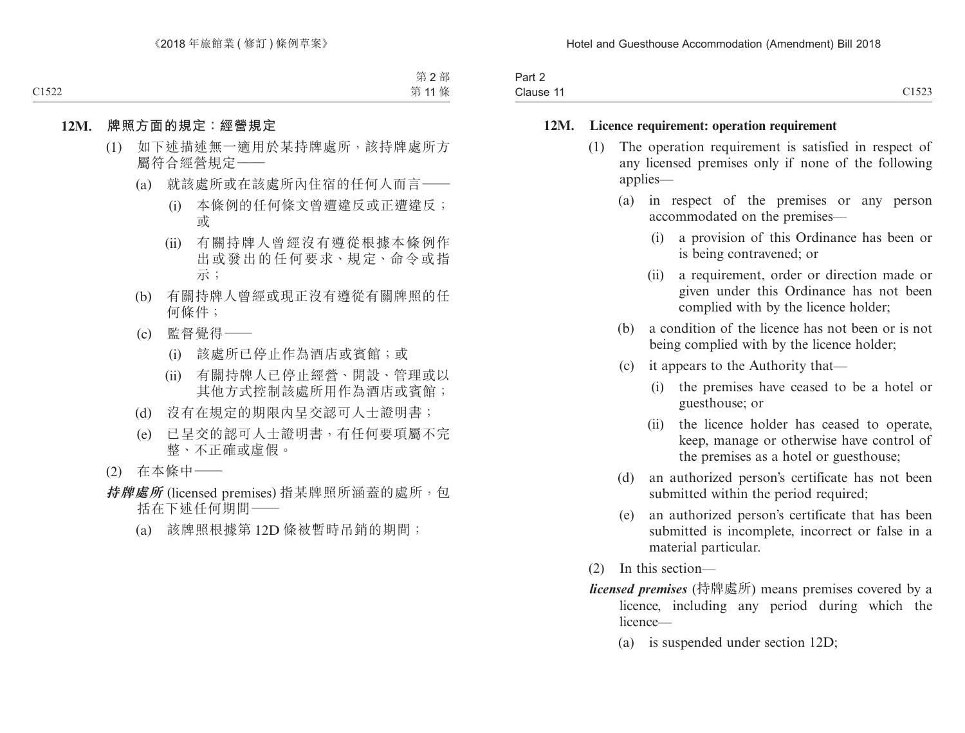| Part 2           |                                         |
|------------------|-----------------------------------------|
| $\sim$<br>Clause | $-22$<br>$\sim$<br>- 1 - 1 - 1 - 1<br>. |

#### **12M. Licence requirement: operation requirement**

- (1) The operation requirement is satisfied in respect of any licensed premises only if none of the following applies—
	- (a) in respect of the premises or any person accommodated on the premises—
		- (i) a provision of this Ordinance has been or is being contravened; or
		- (ii) a requirement, order or direction made or given under this Ordinance has not been complied with by the licence holder;
	- (b) a condition of the licence has not been or is not being complied with by the licence holder;
	- (c) it appears to the Authority that—
		- (i) the premises have ceased to be a hotel or guesthouse; or
		- (ii) the licence holder has ceased to operate, keep, manage or otherwise have control of the premises as a hotel or guesthouse;
	- (d) an authorized person's certificate has not been submitted within the period required;
	- (e) an authorized person's certificate that has been submitted is incomplete, incorrect or false in a material particular.
- (2) In this section—
- *licensed premises* (持牌處所) means premises covered by a licence, including any period during which the licence—
	- (a) is suspended under section 12D;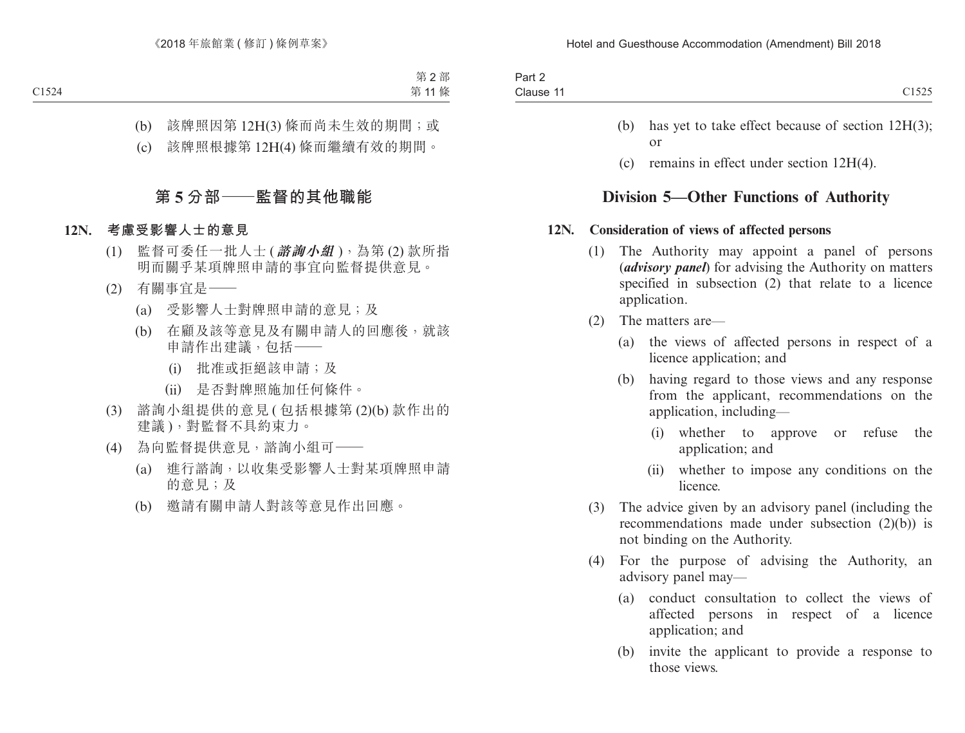| $\overline{\phantom{a}}$<br>າ~~+<br>Part 2 |                                                     |
|--------------------------------------------|-----------------------------------------------------|
| Clause<br>$\cdots$                         | $\sim$ $\sim$ $\sim$ $\sim$<br>$\sim$ $\sim$ $\sim$ |

- (b) has yet to take effect because of section 12H(3); or
- (c) remains in effect under section 12H(4).

## **Division 5—Other Functions of Authority**

## **12N. Consideration of views of affected persons**

- (1) The Authority may appoint a panel of persons (*advisory panel*) for advising the Authority on matters specified in subsection (2) that relate to a licence application.
- (2) The matters are—
	- (a) the views of affected persons in respect of a licence application; and
	- (b) having regard to those views and any response from the applicant, recommendations on the application, including—
		- (i) whether to approve or refuse the application; and
		- (ii) whether to impose any conditions on the licence.
- (3) The advice given by an advisory panel (including the recommendations made under subsection (2)(b)) is not binding on the Authority.
- (4) For the purpose of advising the Authority, an advisory panel may—
	- (a) conduct consultation to collect the views of affected persons in respect of a licence application; and
	- (b) invite the applicant to provide a response to those views.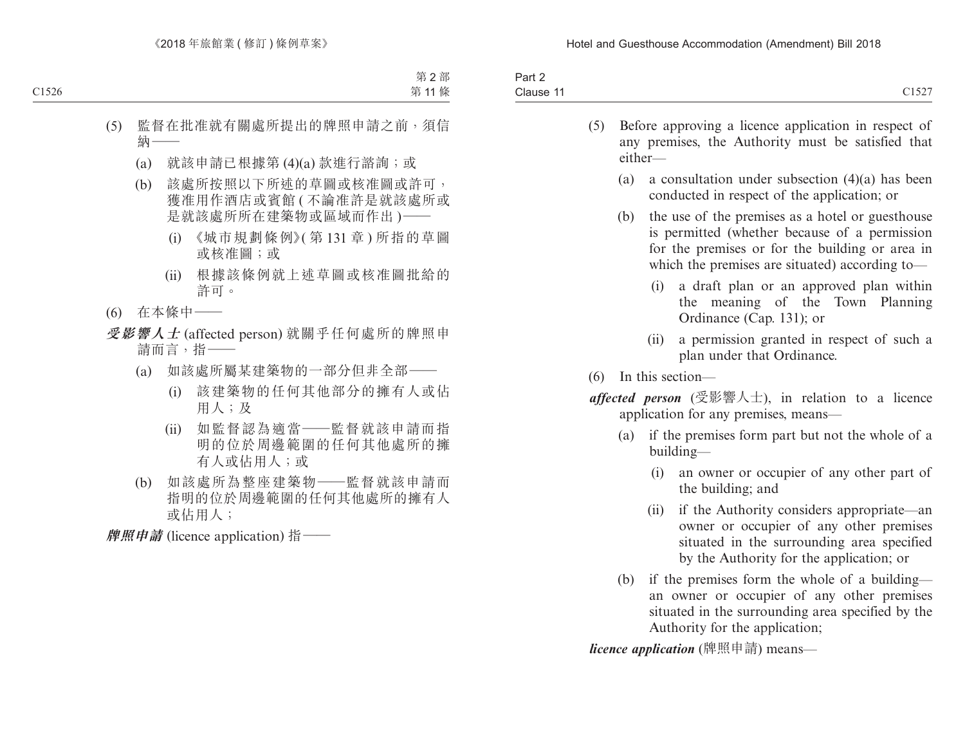| Part 2    |                                           |
|-----------|-------------------------------------------|
| Clause 11 | $1 - \sim -1$<br>--<br>$\sim$<br>ا عامد ا |

- (5) Before approving a licence application in respect of any premises, the Authority must be satisfied that either—
	- (a) a consultation under subsection (4)(a) has been conducted in respect of the application; or
	- (b) the use of the premises as a hotel or guesthouse is permitted (whether because of a permission for the premises or for the building or area in which the premises are situated) according to—
		- (i) a draft plan or an approved plan within the meaning of the Town Planning Ordinance (Cap. 131); or
		- (ii) a permission granted in respect of such a plan under that Ordinance.
- (6) In this section—
- *affected person* (受影響人士), in relation to a licence application for any premises, means—
	- (a) if the premises form part but not the whole of a building—
		- (i) an owner or occupier of any other part of the building; and
		- (ii) if the Authority considers appropriate—an owner or occupier of any other premises situated in the surrounding area specified by the Authority for the application; or
	- (b) if the premises form the whole of a building an owner or occupier of any other premises situated in the surrounding area specified by the Authority for the application;

*licence application* (牌照申請) means—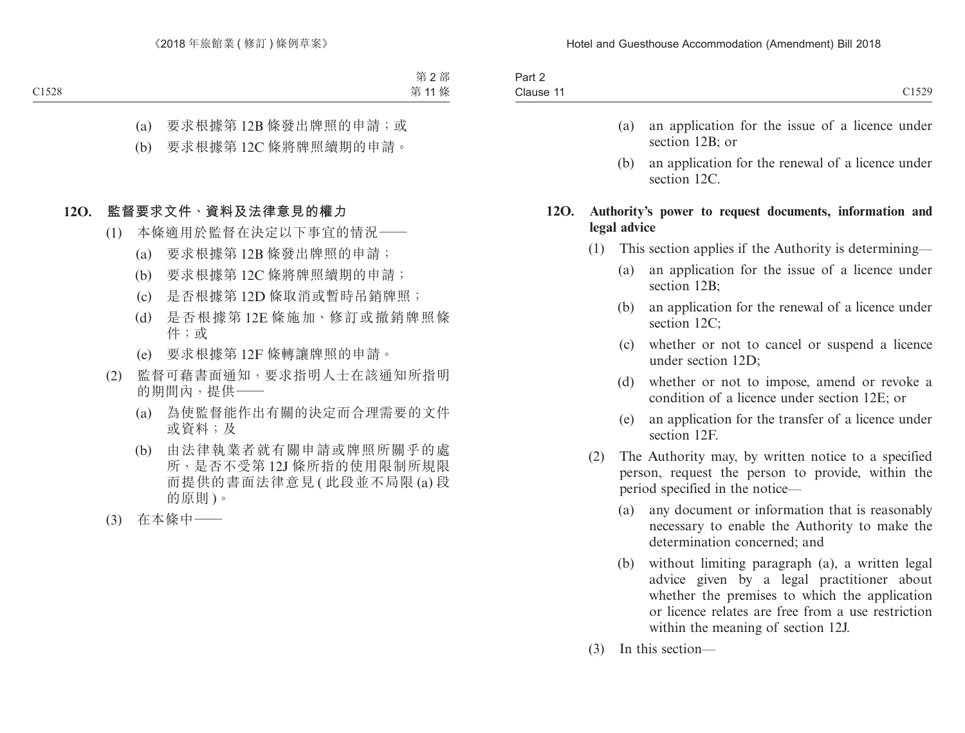| <b>Contract Contract Contract</b><br>Part 2 |                                       |
|---------------------------------------------|---------------------------------------|
| $\sim$<br>Clause 1 <sup>.</sup><br>$\cdots$ | $\sim$ $\sim$ $\sim$<br>. 70<br>0.027 |

- (a) an application for the issue of a licence under section 12B; or
- (b) an application for the renewal of a licence under section 12C.

### **12O. Authority's power to request documents, information and legal advice**

- (1) This section applies if the Authority is determining—
	- (a) an application for the issue of a licence under section 12B;
	- (b) an application for the renewal of a licence under section 12C:
	- (c) whether or not to cancel or suspend a licence under section 12D;
	- (d) whether or not to impose, amend or revoke a condition of a licence under section 12E; or
	- (e) an application for the transfer of a licence under section 12F.
- (2) The Authority may, by written notice to a specified person, request the person to provide, within the period specified in the notice—
	- (a) any document or information that is reasonably necessary to enable the Authority to make the determination concerned; and
	- (b) without limiting paragraph (a), a written legal advice given by a legal practitioner about whether the premises to which the application or licence relates are free from a use restriction within the meaning of section 12J.
- (3) In this section—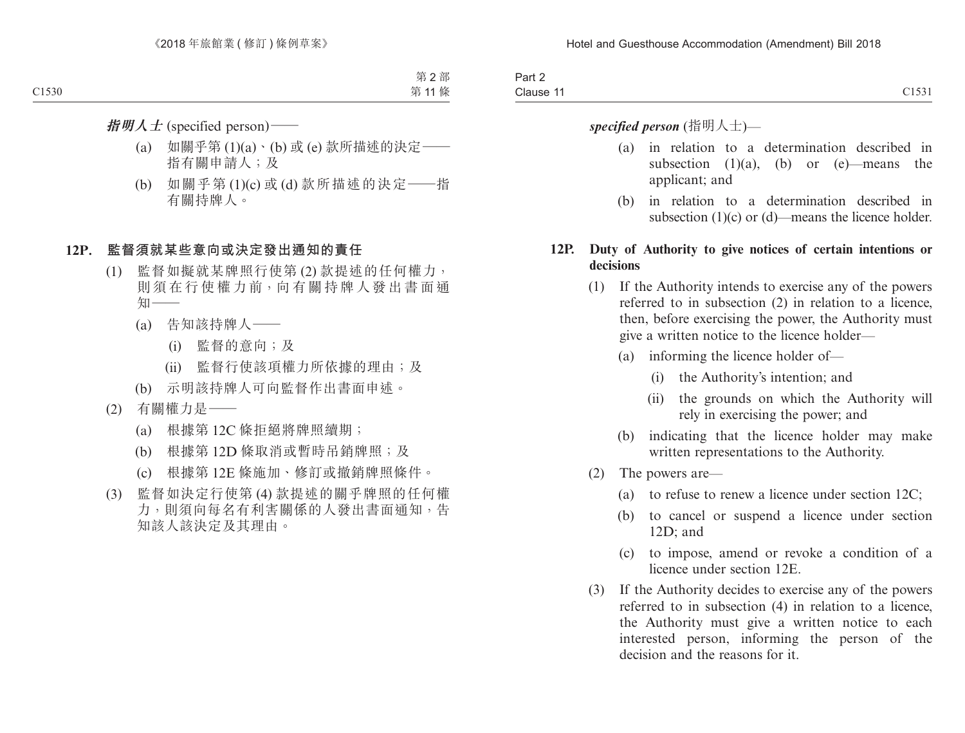| <b>STATES OF STREET</b><br>$.$ $.$<br><b>Fail</b> |                                       |
|---------------------------------------------------|---------------------------------------|
| $\sim$<br>Clause 1.                               | $\sim$ $\sim$ $\sim$ $\sim$<br>0.1331 |

## *specified person* (指明人士)—

- (a) in relation to a determination described in subsection  $(1)(a)$ ,  $(b)$  or  $(e)$ —means the applicant; and
- (b) in relation to a determination described in subsection (1)(c) or (d)—means the licence holder.

## **12P. Duty of Authority to give notices of certain intentions or decisions**

- (1) If the Authority intends to exercise any of the powers referred to in subsection (2) in relation to a licence, then, before exercising the power, the Authority must give a written notice to the licence holder—
	- (a) informing the licence holder of—
		- (i) the Authority's intention; and
		- (ii) the grounds on which the Authority will rely in exercising the power; and
	- (b) indicating that the licence holder may make written representations to the Authority.
- (2) The powers are—
	- (a) to refuse to renew a licence under section 12C;
	- (b) to cancel or suspend a licence under section 12D; and
	- (c) to impose, amend or revoke a condition of a licence under section 12E.
- (3) If the Authority decides to exercise any of the powers referred to in subsection (4) in relation to a licence, the Authority must give a written notice to each interested person, informing the person of the decision and the reasons for it.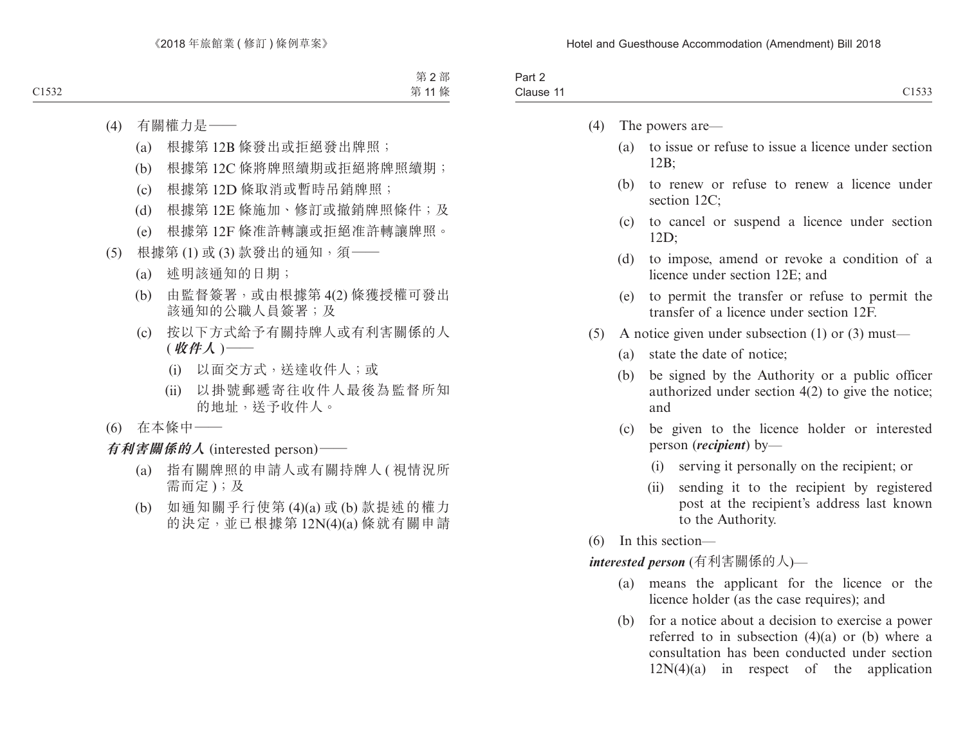| $\cdots$ | - - - |
|----------|-------|
|          |       |

- (4) The powers are—
	- (a) to issue or refuse to issue a licence under section  $12B$
	- (b) to renew or refuse to renew a licence under section 12C:
	- (c) to cancel or suspend a licence under section 12D;
	- (d) to impose, amend or revoke a condition of a licence under section 12E; and
	- (e) to permit the transfer or refuse to permit the transfer of a licence under section 12F.
- (5) A notice given under subsection (1) or (3) must—
	- (a) state the date of notice;
	- (b) be signed by the Authority or a public officer authorized under section 4(2) to give the notice; and
	- (c) be given to the licence holder or interested person (*recipient*) by—
		- (i) serving it personally on the recipient; or
		- (ii) sending it to the recipient by registered post at the recipient's address last known to the Authority.
- (6) In this section—

*interested person* (有利害關係的人)—

- (a) means the applicant for the licence or the licence holder (as the case requires); and
- (b) for a notice about a decision to exercise a power referred to in subsection (4)(a) or (b) where a consultation has been conducted under section  $12N(4)(a)$  in respect of the application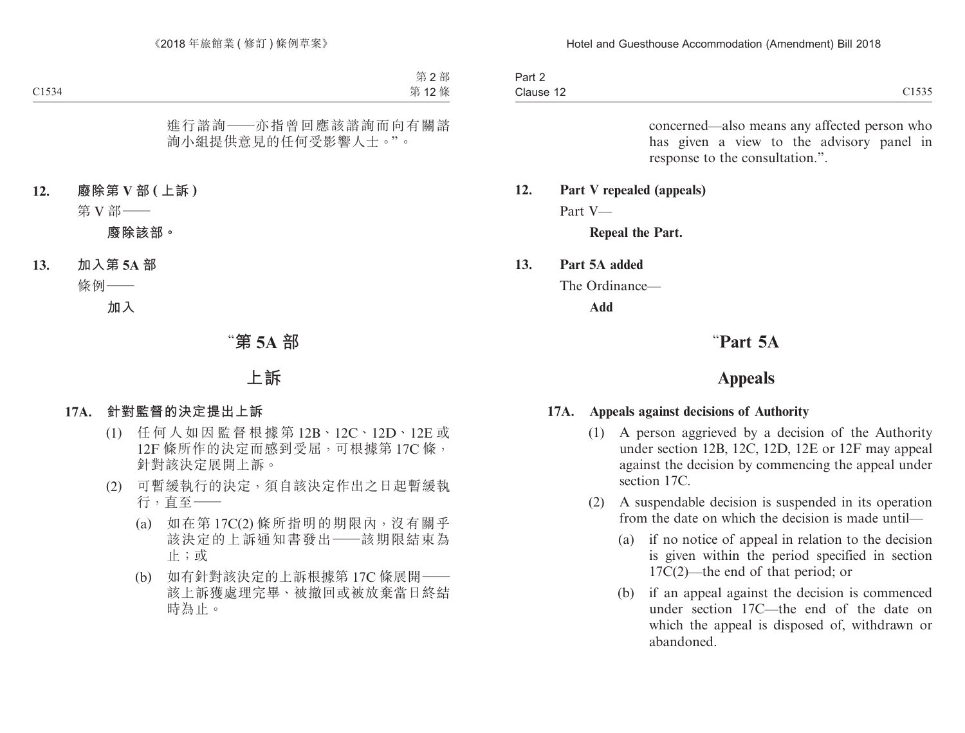| $\overline{\phantom{a}}$<br>າ~~+<br>ail 4 |                                                   |
|-------------------------------------------|---------------------------------------------------|
| $\sim$<br>Jause<br>- 14<br>$    -$        | $\sim$ $\sim$ $\sim$ $\sim$<br>$\sim$<br>.<br>___ |

concerned—also means any affected person who has given a view to the advisory panel in response to the consultation.".

**12. Part V repealed (appeals)**

Part V—

**Repeal the Part.**

**13. Part 5A added**

The Ordinance—

**Add**

# "**Part 5A**

## **Appeals**

#### **17A. Appeals against decisions of Authority**

- (1) A person aggrieved by a decision of the Authority under section 12B, 12C, 12D, 12E or 12F may appeal against the decision by commencing the appeal under section 17C.
- (2) A suspendable decision is suspended in its operation from the date on which the decision is made until—
	- (a) if no notice of appeal in relation to the decision is given within the period specified in section 17C(2)—the end of that period; or
	- (b) if an appeal against the decision is commenced under section 17C—the end of the date on which the appeal is disposed of, withdrawn or abandoned.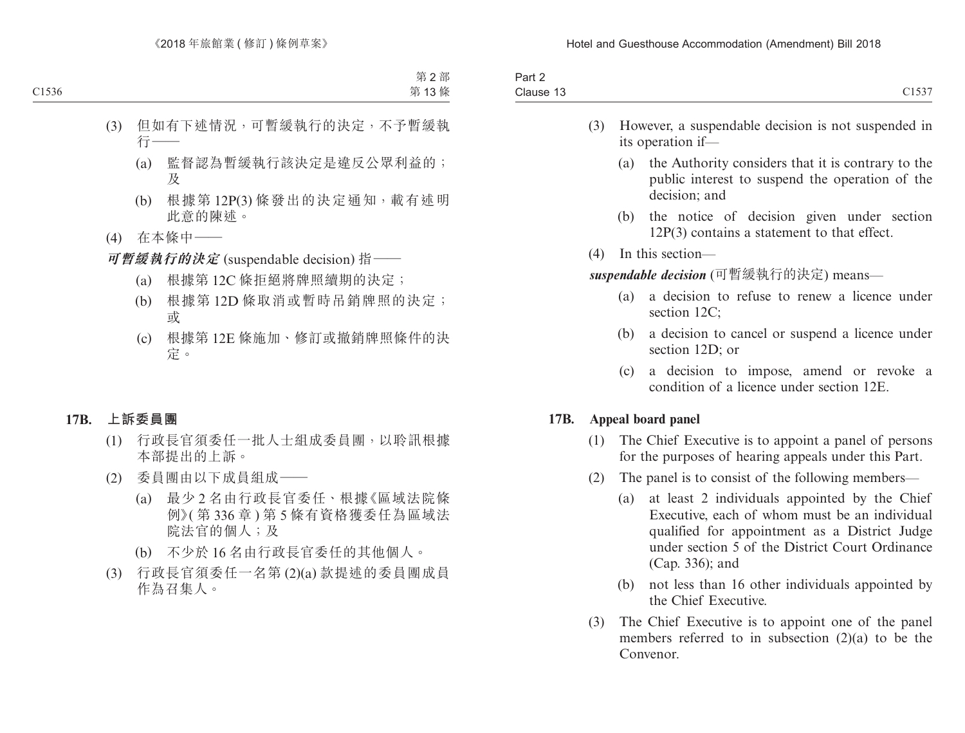| -<br>$30r +$<br>. .<br>ail 4 |                                                  |
|------------------------------|--------------------------------------------------|
| Clause<br>.                  | $\overline{\phantom{a}}$<br>`<br>- - - -<br>$ -$ |
|                              |                                                  |

- (3) However, a suspendable decision is not suspended in its operation if—
	- (a) the Authority considers that it is contrary to the public interest to suspend the operation of the decision; and
	- (b) the notice of decision given under section 12P(3) contains a statement to that effect.
- (4) In this section—

*suspendable decision* (可暫緩執行的決定) means—

- (a) a decision to refuse to renew a licence under section 12C:
- (b) a decision to cancel or suspend a licence under section 12D; or
- (c) a decision to impose, amend or revoke a condition of a licence under section 12E.

### **17B. Appeal board panel**

- (1) The Chief Executive is to appoint a panel of persons for the purposes of hearing appeals under this Part.
- (2) The panel is to consist of the following members—
	- (a) at least 2 individuals appointed by the Chief Executive, each of whom must be an individual qualified for appointment as a District Judge under section 5 of the District Court Ordinance (Cap. 336); and
	- (b) not less than 16 other individuals appointed by the Chief Executive.
- (3) The Chief Executive is to appoint one of the panel members referred to in subsection (2)(a) to be the Convenor.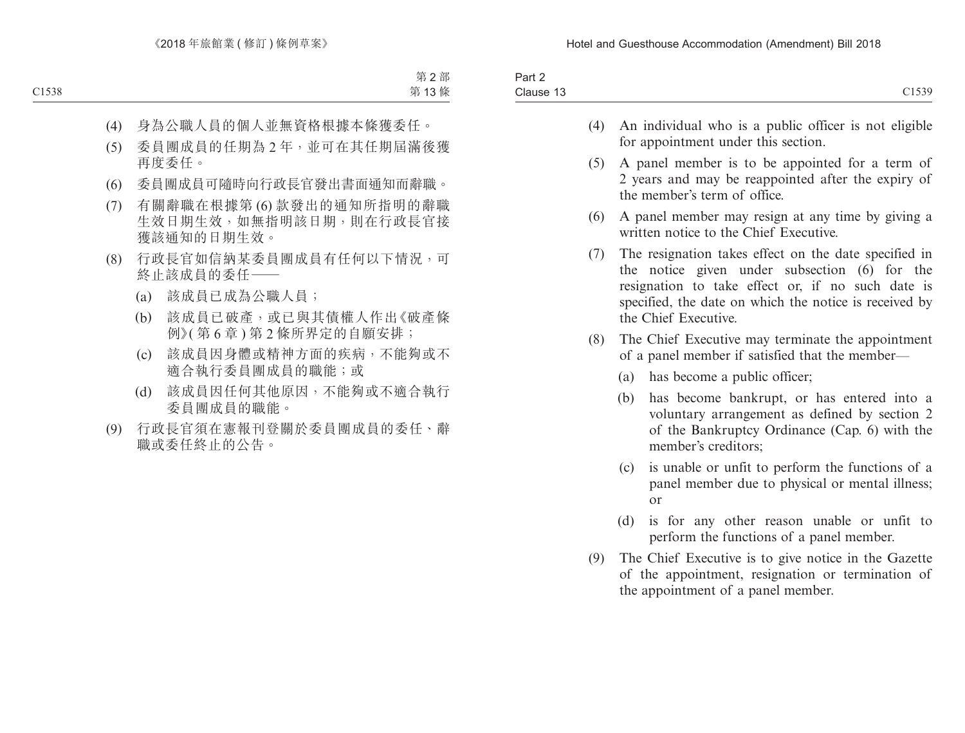| Part 2<br>$\cdots$ |                                           |
|--------------------|-------------------------------------------|
| Clause 13          | $\sim$ $\sim$ $\sim$<br>า งษ<br>- - - - - |
|                    |                                           |

- (4) An individual who is a public officer is not eligible for appointment under this section.
- (5) A panel member is to be appointed for a term of 2 years and may be reappointed after the expiry of the member's term of office.
- (6) A panel member may resign at any time by giving a written notice to the Chief Executive.
- (7) The resignation takes effect on the date specified in the notice given under subsection (6) for the resignation to take effect or, if no such date is specified, the date on which the notice is received by the Chief Executive.
- (8) The Chief Executive may terminate the appointment of a panel member if satisfied that the member—
	- (a) has become a public officer;
	- (b) has become bankrupt, or has entered into a voluntary arrangement as defined by section 2 of the Bankruptcy Ordinance (Cap. 6) with the member's creditors;
	- (c) is unable or unfit to perform the functions of a panel member due to physical or mental illness; or
	- (d) is for any other reason unable or unfit to perform the functions of a panel member.
- (9) The Chief Executive is to give notice in the Gazette of the appointment, resignation or termination of the appointment of a panel member.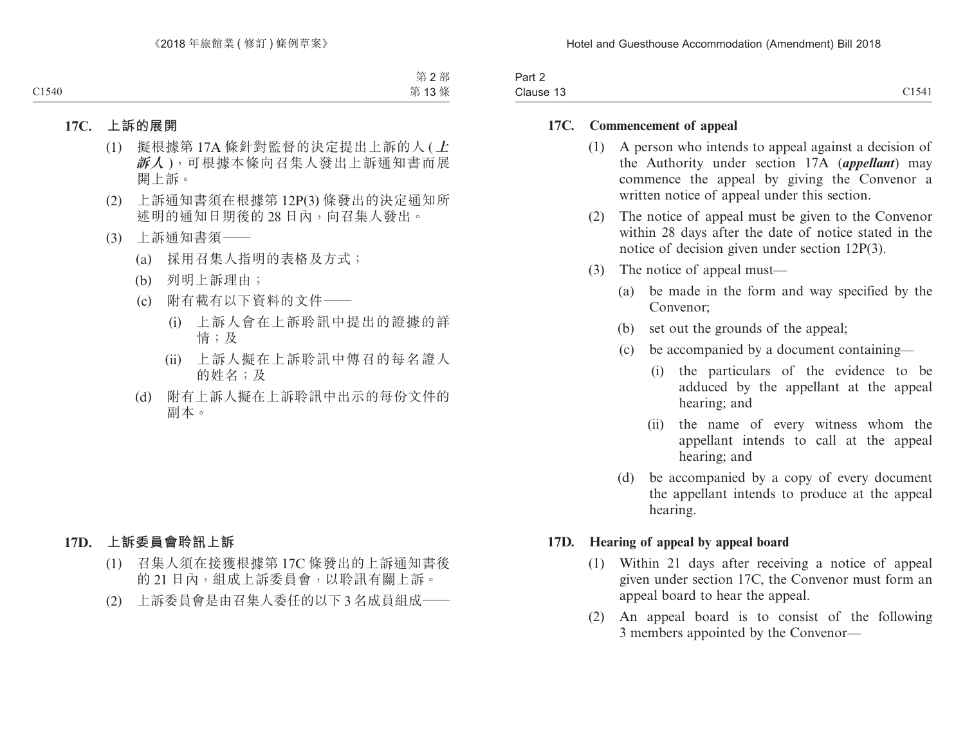| $\sim$<br>3 <sub>0</sub><br>. .<br><b>Fail</b> |                    |
|------------------------------------------------|--------------------|
| Clause 13                                      | C1541<br>U 1 J 1 1 |

#### **17C. Commencement of appeal**

- (1) A person who intends to appeal against a decision of the Authority under section 17A (*appellant*) may commence the appeal by giving the Convenor a written notice of appeal under this section.
- (2) The notice of appeal must be given to the Convenor within 28 days after the date of notice stated in the notice of decision given under section 12P(3).
- (3) The notice of appeal must—
	- (a) be made in the form and way specified by the Convenor;
	- (b) set out the grounds of the appeal;
	- (c) be accompanied by a document containing—
		- (i) the particulars of the evidence to be adduced by the appellant at the appeal hearing; and
		- (ii) the name of every witness whom the appellant intends to call at the appeal hearing; and
	- (d) be accompanied by a copy of every document the appellant intends to produce at the appeal hearing.

#### **17D. Hearing of appeal by appeal board**

- (1) Within 21 days after receiving a notice of appeal given under section 17C, the Convenor must form an appeal board to hear the appeal.
- (2) An appeal board is to consist of the following 3 members appointed by the Convenor—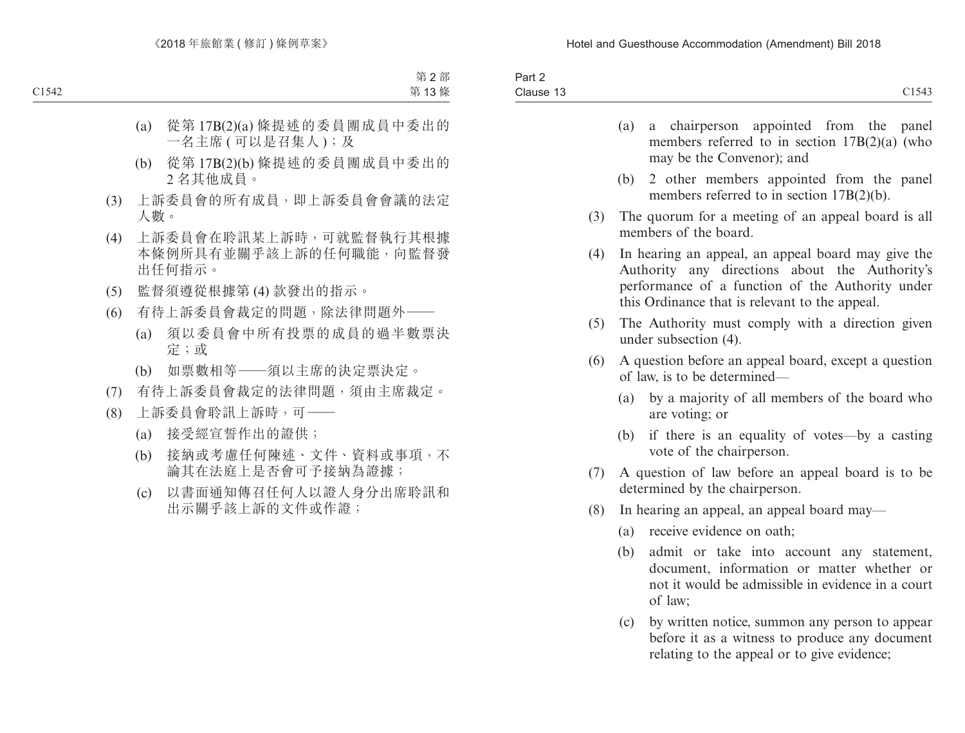| Clause 13 | $\bigcap_{i=1}^n$<br>∼<br>ر، ر،ر |
|-----------|----------------------------------|

|     | (a) a chairperson appointed from the panel<br>members referred to in section $17B(2)(a)$ (who<br>may be the Convenor); and                                                                                 |
|-----|------------------------------------------------------------------------------------------------------------------------------------------------------------------------------------------------------------|
|     | (b) 2 other members appointed from the panel<br>members referred to in section $17B(2)(b)$ .                                                                                                               |
| (3) | The quorum for a meeting of an appeal board is all<br>members of the board.                                                                                                                                |
| (4) | In hearing an appeal, an appeal board may give the<br>Authority any directions about the Authority's<br>performance of a function of the Authority under<br>this Ordinance that is relevant to the appeal. |
| (5) | The Authority must comply with a direction given<br>under subsection (4).                                                                                                                                  |
| (6) | A question before an appeal board, except a question<br>of law, is to be determined—                                                                                                                       |
|     | (a) by a majority of all members of the board who<br>are voting; or                                                                                                                                        |
|     | (b) if there is an equality of votes—by a casting<br>vote of the chairperson.                                                                                                                              |
| (7) | A question of law before an appeal board is to be<br>determined by the chairperson.                                                                                                                        |
| (8) | In hearing an appeal, an appeal board may—                                                                                                                                                                 |
|     | (a) receive evidence on oath;                                                                                                                                                                              |

- (b) admit or take into account any statement, document, information or matter whether or not it would be admissible in evidence in a court of law;
- (c) by written notice, summon any person to appear before it as a witness to produce any document relating to the appeal or to give evidence;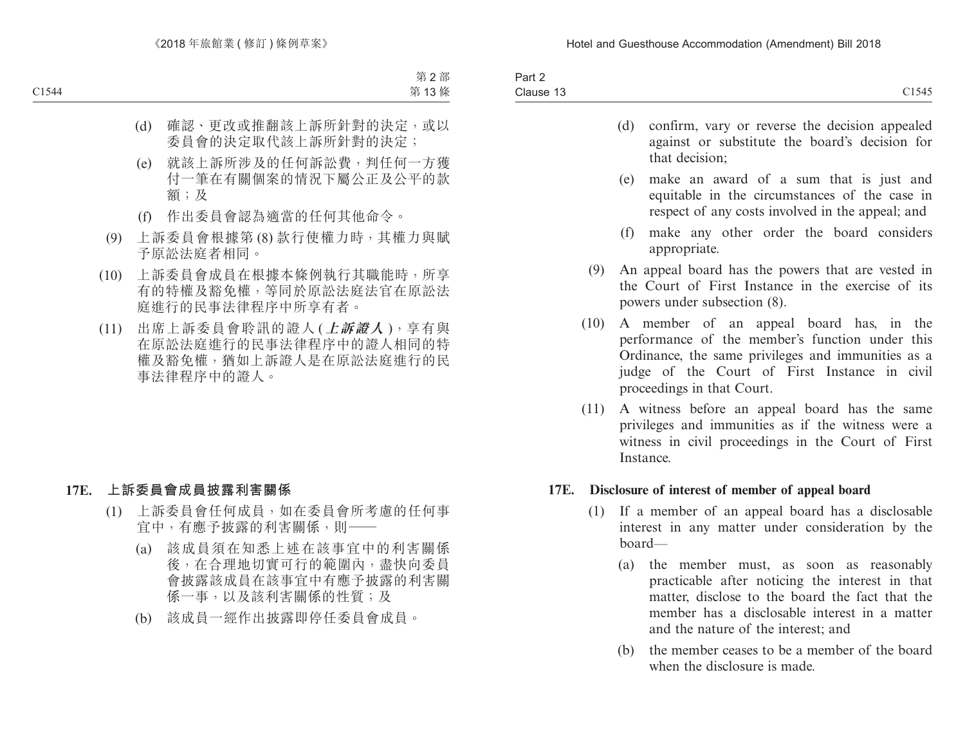| -<br>ๅ∼∽+<br>ail 4       |                           |
|--------------------------|---------------------------|
| ∽<br>Clause⊹<br>$\cdots$ | C1515<br>$\sim$ 10 $\sim$ |

- (d) confirm, vary or reverse the decision appealed against or substitute the board's decision for that decision;
- (e) make an award of a sum that is just and equitable in the circumstances of the case in respect of any costs involved in the appeal; and
- (f) make any other order the board considers appropriate.
- (9) An appeal board has the powers that are vested in the Court of First Instance in the exercise of its powers under subsection (8).
- (10) A member of an appeal board has, in the performance of the member's function under this Ordinance, the same privileges and immunities as a judge of the Court of First Instance in civil proceedings in that Court.
- (11) A witness before an appeal board has the same privileges and immunities as if the witness were a witness in civil proceedings in the Court of First **Instance**

### **17E. Disclosure of interest of member of appeal board**

- (1) If a member of an appeal board has a disclosable interest in any matter under consideration by the board—
	- (a) the member must, as soon as reasonably practicable after noticing the interest in that matter, disclose to the board the fact that the member has a disclosable interest in a matter and the nature of the interest; and
	- (b) the member ceases to be a member of the board when the disclosure is made.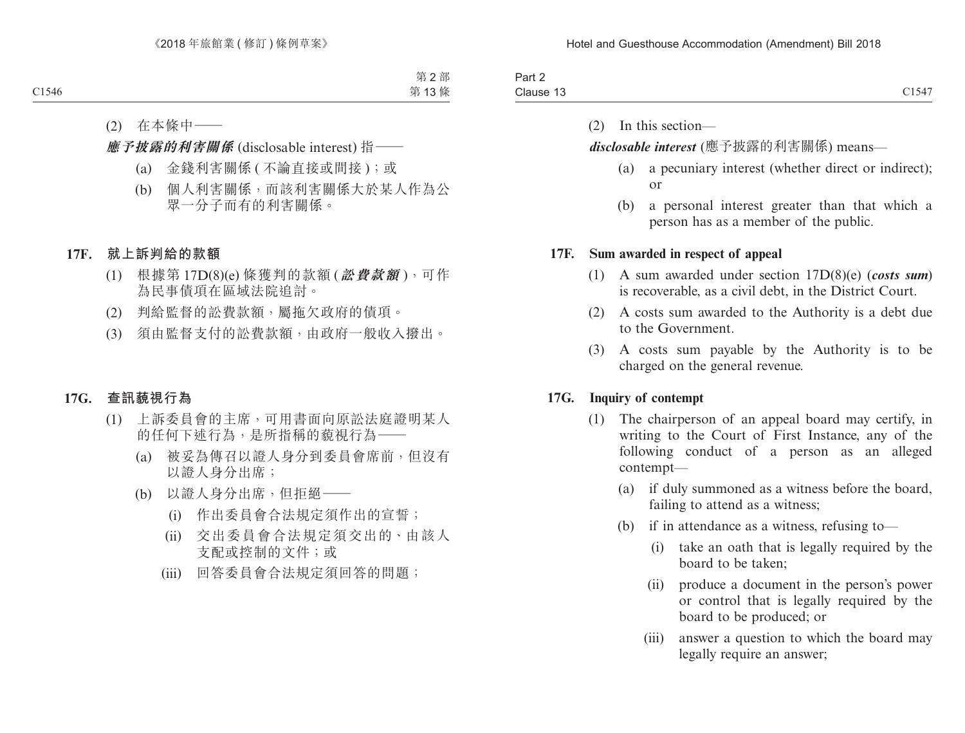| $\sim$<br>$3 - -$<br>ail Z<br>$\cdots$ |                                        |
|----------------------------------------|----------------------------------------|
| $\sim$<br>Clause<br>.<br>$\cdots$      | $\cap$ 1 $\subset$ 1 $\cap$<br>$- - -$ |

(2) In this section—

*disclosable interest* (應予披露的利害關係) means—

- (a) a pecuniary interest (whether direct or indirect); or
- (b) a personal interest greater than that which a person has as a member of the public.

#### **17F. Sum awarded in respect of appeal**

- (1) A sum awarded under section 17D(8)(e) (*costs sum*) is recoverable, as a civil debt, in the District Court.
- (2) A costs sum awarded to the Authority is a debt due to the Government.
- (3) A costs sum payable by the Authority is to be charged on the general revenue.

### **17G. Inquiry of contempt**

- (1) The chairperson of an appeal board may certify, in writing to the Court of First Instance, any of the following conduct of a person as an alleged contempt—
	- (a) if duly summoned as a witness before the board, failing to attend as a witness;
	- (b) if in attendance as a witness, refusing to—
		- (i) take an oath that is legally required by the board to be taken;
		- (ii) produce a document in the person's power or control that is legally required by the board to be produced; or
		- (iii) answer a question to which the board may legally require an answer;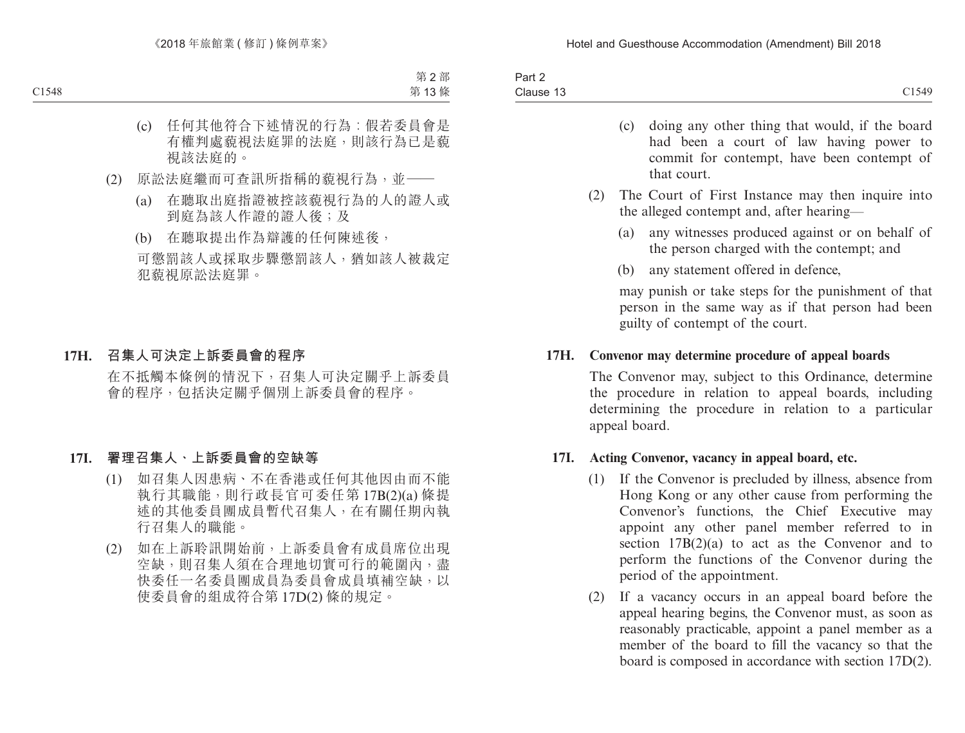| $\sim$<br>า~~+<br>-ail 4 |                  |
|--------------------------|------------------|
| Clause 13                | C1549<br>ر، ر. ر |

- (c) doing any other thing that would, if the board had been a court of law having power to commit for contempt, have been contempt of that court.
- (2) The Court of First Instance may then inquire into the alleged contempt and, after hearing—
	- (a) any witnesses produced against or on behalf of the person charged with the contempt; and
	- (b) any statement offered in defence,

may punish or take steps for the punishment of that person in the same way as if that person had been guilty of contempt of the court.

### **17H. Convenor may determine procedure of appeal boards**

The Convenor may, subject to this Ordinance, determine the procedure in relation to appeal boards, including determining the procedure in relation to a particular appeal board.

### **17I. Acting Convenor, vacancy in appeal board, etc.**

- (1) If the Convenor is precluded by illness, absence from Hong Kong or any other cause from performing the Convenor's functions, the Chief Executive may appoint any other panel member referred to in section  $17B(2)(a)$  to act as the Convenor and to perform the functions of the Convenor during the period of the appointment.
- (2) If a vacancy occurs in an appeal board before the appeal hearing begins, the Convenor must, as soon as reasonably practicable, appoint a panel member as a member of the board to fill the vacancy so that the board is composed in accordance with section 17D(2).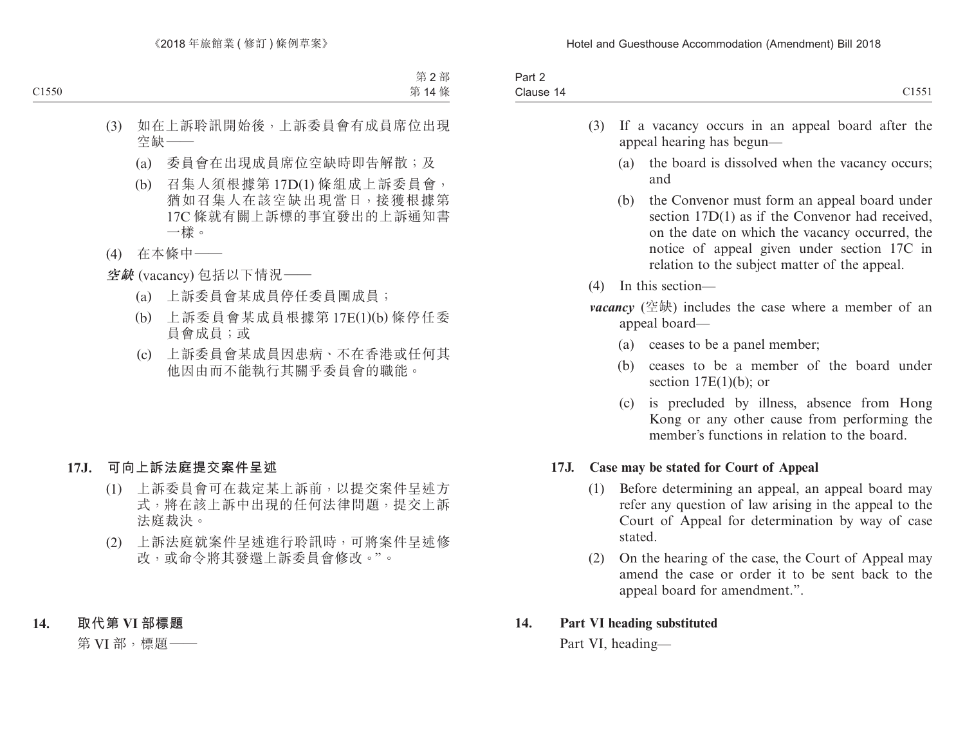| າ~~+<br>Fait.          |   |
|------------------------|---|
| "ם בוגר<br>ause<br>. . | . |
|                        |   |

- (3) If a vacancy occurs in an appeal board after the appeal hearing has begun—
	- (a) the board is dissolved when the vacancy occurs; and
	- (b) the Convenor must form an appeal board under section 17D(1) as if the Convenor had received, on the date on which the vacancy occurred, the notice of appeal given under section 17C in relation to the subject matter of the appeal.
- (4) In this section—
- *vacancy* (空缺) includes the case where a member of an appeal board—
	- (a) ceases to be a panel member;
	- (b) ceases to be a member of the board under section  $17E(1)(b)$ ; or
	- (c) is precluded by illness, absence from Hong Kong or any other cause from performing the member's functions in relation to the board.

## **17J. Case may be stated for Court of Appeal**

- (1) Before determining an appeal, an appeal board may refer any question of law arising in the appeal to the Court of Appeal for determination by way of case stated.
- (2) On the hearing of the case, the Court of Appeal may amend the case or order it to be sent back to the appeal board for amendment.".

## **14. Part VI heading substituted**

Part VI, heading—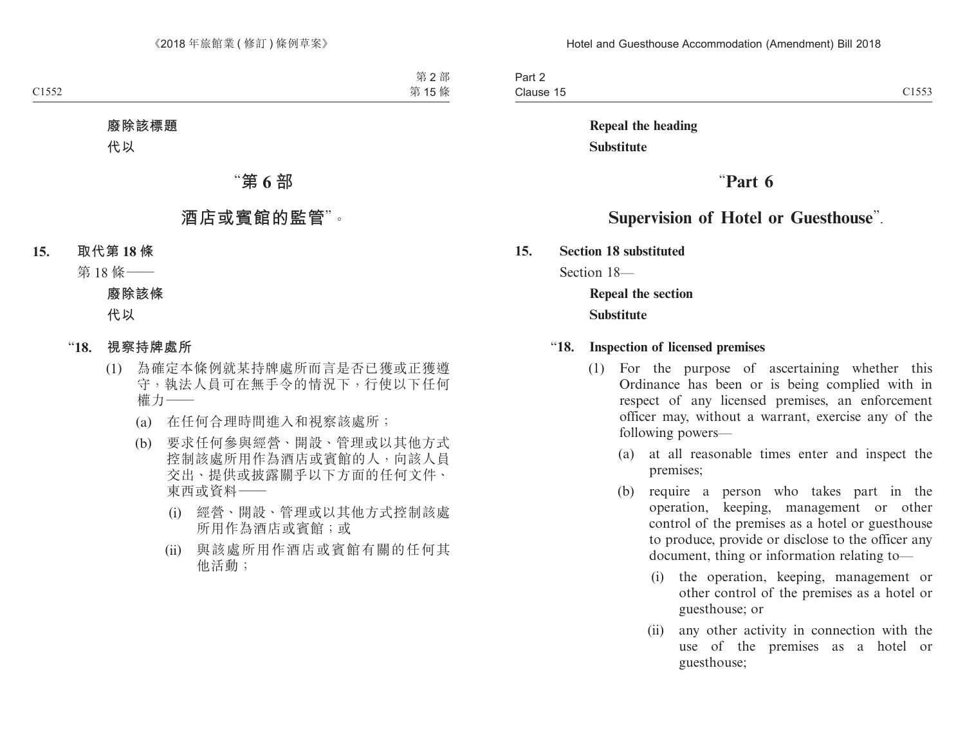Part 2 Clause 15 Clause 15 Class Control of the Class Class Control of the Class Class Class Class Class Class Class Class Class Class Class Class Class Class Class Class Class Class Class Class Class Class Class Class Class Class Class Cl

## **Repeal the heading Substitute**

## "**Part 6**

# **Supervision of Hotel or Guesthouse**".

**15. Section 18 substituted**

Section 18—

**Repeal the section Substitute**

## "**18. Inspection of licensed premises**

- (1) For the purpose of ascertaining whether this Ordinance has been or is being complied with in respect of any licensed premises, an enforcement officer may, without a warrant, exercise any of the following powers—
	- (a) at all reasonable times enter and inspect the premises;
	- (b) require a person who takes part in the operation, keeping, management or other control of the premises as a hotel or guesthouse to produce, provide or disclose to the officer any document, thing or information relating to—
		- (i) the operation, keeping, management or other control of the premises as a hotel or guesthouse; or
		- (ii) any other activity in connection with the use of the premises as a hotel or guesthouse;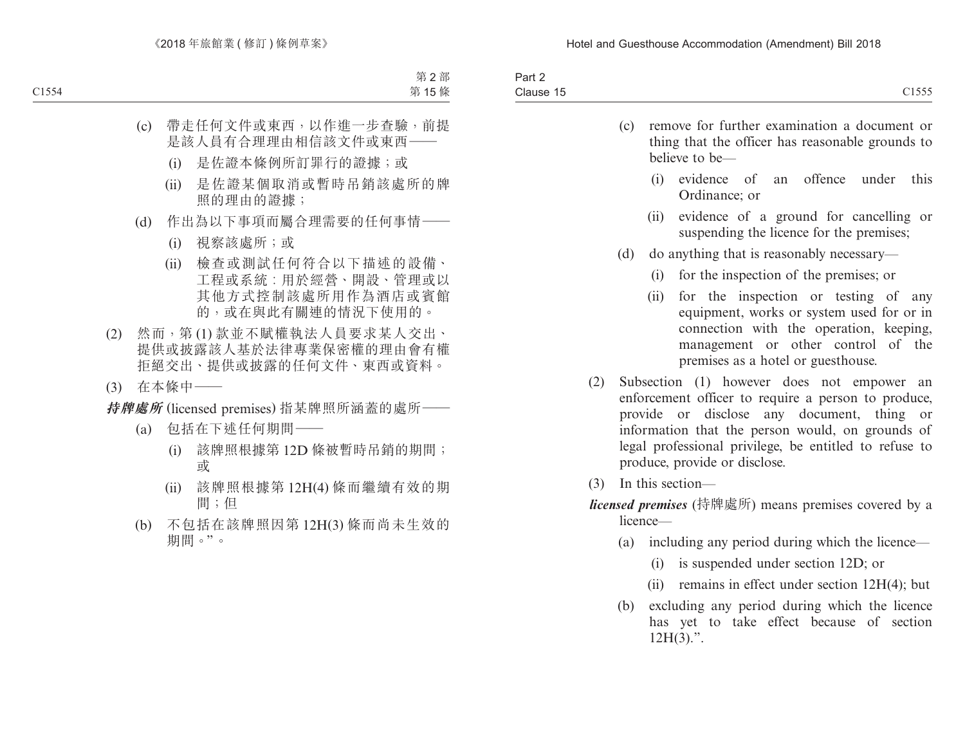| -<br>ail Z           |                            |
|----------------------|----------------------------|
| $\sim$<br>ાતuse<br>. | $\sim$ $  -$<br>ノエンジン<br>. |

|     | (c) | remove for further examination a document or<br>thing that the officer has reasonable grounds to<br>believe to be—                                                                                                                                                                             |  |
|-----|-----|------------------------------------------------------------------------------------------------------------------------------------------------------------------------------------------------------------------------------------------------------------------------------------------------|--|
|     |     | evidence of an offence under<br>this<br>(i)<br>Ordinance; or                                                                                                                                                                                                                                   |  |
|     |     | (ii) evidence of a ground for cancelling or<br>suspending the licence for the premises;                                                                                                                                                                                                        |  |
|     | (d) | do anything that is reasonably necessary—                                                                                                                                                                                                                                                      |  |
|     |     | for the inspection of the premises; or<br>(i)                                                                                                                                                                                                                                                  |  |
|     |     | (ii)<br>for the inspection or testing of any<br>equipment, works or system used for or in<br>connection with the operation, keeping,<br>management or other control of the<br>premises as a hotel or guesthouse.                                                                               |  |
| (2) |     | Subsection (1) however does not empower an<br>enforcement officer to require a person to produce,<br>provide or disclose any document, thing or<br>information that the person would, on grounds of<br>legal professional privilege, be entitled to refuse to<br>produce, provide or disclose. |  |

- (3) In this section—
- *licensed premises* (持牌處所) means premises covered by a licence—
	- (a) including any period during which the licence—
		- (i) is suspended under section 12D; or
		- (ii) remains in effect under section 12H(4); but
	- (b) excluding any period during which the licence has yet to take effect because of section  $12H(3)$ .".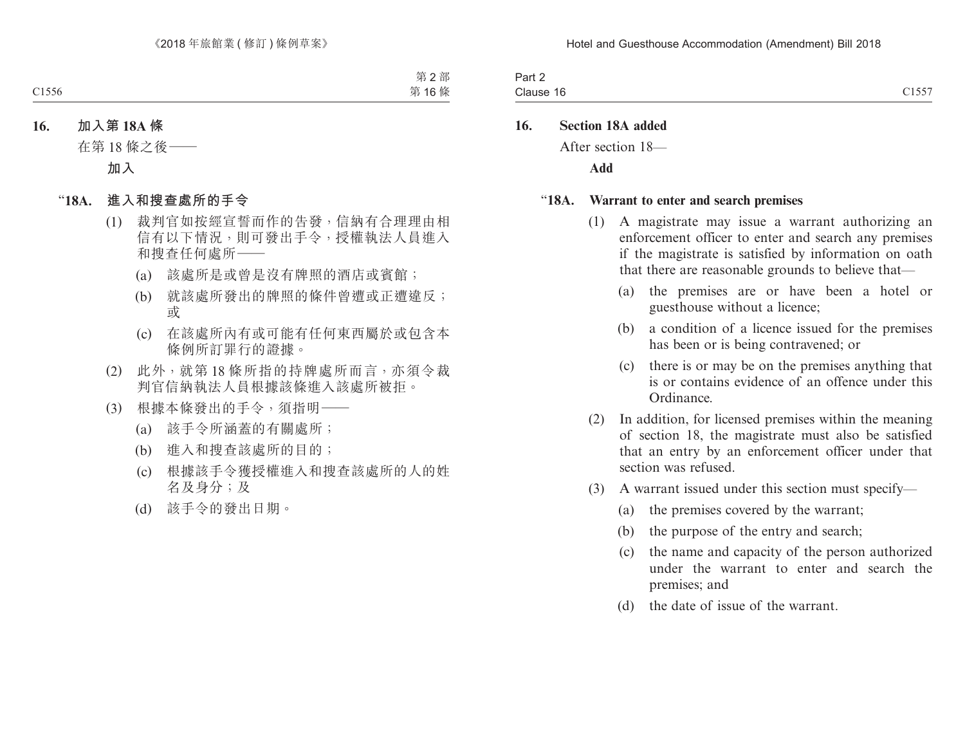| -<br>3 <sub>cm</sub><br>∽art ∠<br>$\cdots$ |                                        |
|--------------------------------------------|----------------------------------------|
| Clause 16                                  | $\sim$ $\sim$ $\sim$ $\sim$<br>- 1 - 1 |

## **16. Section 18A added**

After section 18—

**Add**

#### "**18A. Warrant to enter and search premises**

- (1) A magistrate may issue a warrant authorizing an enforcement officer to enter and search any premises if the magistrate is satisfied by information on oath that there are reasonable grounds to believe that—
	- (a) the premises are or have been a hotel or guesthouse without a licence;
	- (b) a condition of a licence issued for the premises has been or is being contravened; or
	- (c) there is or may be on the premises anything that is or contains evidence of an offence under this Ordinance.
- (2) In addition, for licensed premises within the meaning of section 18, the magistrate must also be satisfied that an entry by an enforcement officer under that section was refused.
- (3) A warrant issued under this section must specify—
	- (a) the premises covered by the warrant;
	- (b) the purpose of the entry and search;
	- (c) the name and capacity of the person authorized under the warrant to enter and search the premises; and
	- (d) the date of issue of the warrant.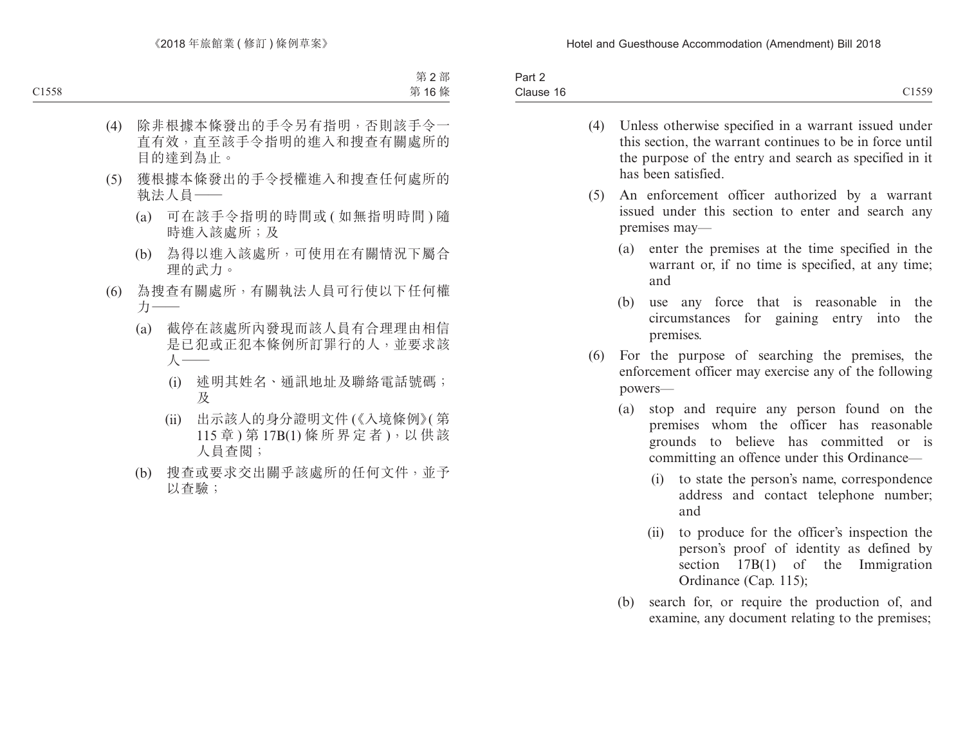| Part 2                                |                                                         |
|---------------------------------------|---------------------------------------------------------|
| $\overline{\phantom{0}}$<br>Clause 16 | $\sim$ $\sim$ $\sim$ $\sim$<br>ssu.<br>, <b>,</b> , , , |

- (4) Unless otherwise specified in a warrant issued under this section, the warrant continues to be in force until the purpose of the entry and search as specified in it has been satisfied.
- (5) An enforcement officer authorized by a warrant issued under this section to enter and search any premises may—
	- (a) enter the premises at the time specified in the warrant or, if no time is specified, at any time: and
	- (b) use any force that is reasonable in the circumstances for gaining entry into the premises.
- (6) For the purpose of searching the premises, the enforcement officer may exercise any of the following powers—
	- (a) stop and require any person found on the premises whom the officer has reasonable grounds to believe has committed or is committing an offence under this Ordinance—
		- (i) to state the person's name, correspondence address and contact telephone number; and
		- (ii) to produce for the officer's inspection the person's proof of identity as defined by section 17B(1) of the Immigration Ordinance (Cap. 115);
	- (b) search for, or require the production of, and examine, any document relating to the premises;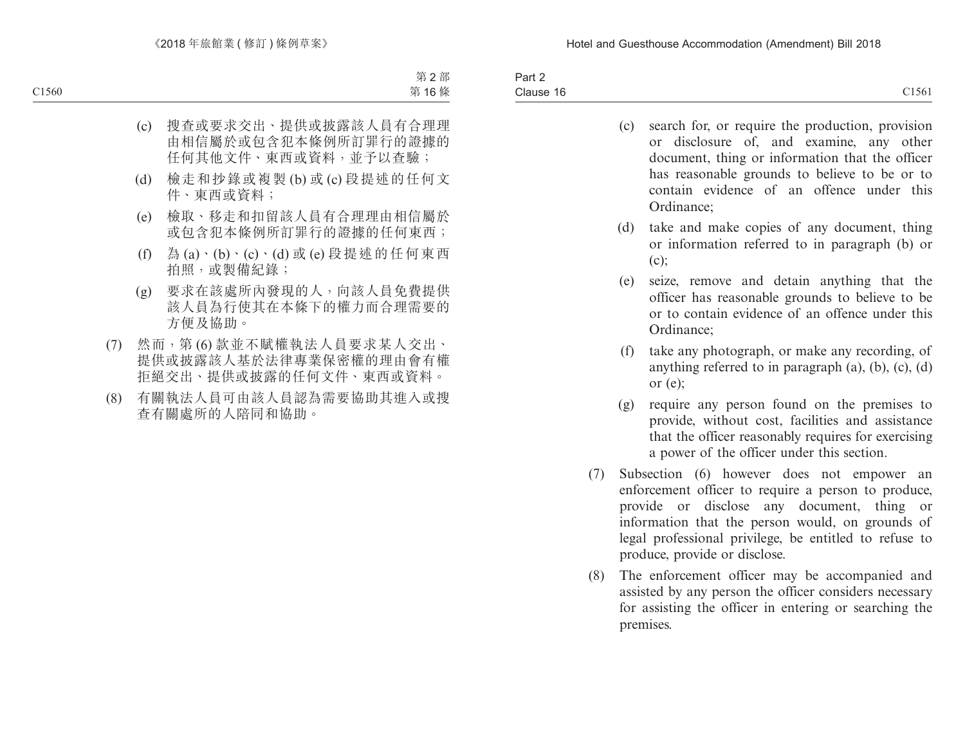| $\sim$ $\sim$<br>-<br>Part $\sim$ |                              |
|-----------------------------------|------------------------------|
| Clause 16                         | $\sim$ $\sim$ $\sim$<br>156' |

- (c) search for, or require the production, provision or disclosure of, and examine, any other document, thing or information that the officer has reasonable grounds to believe to be or to contain evidence of an offence under this Ordinance; (d) take and make copies of any document, thing or information referred to in paragraph (b) or  $(c)$ : (e) seize, remove and detain anything that the officer has reasonable grounds to believe to be or to contain evidence of an offence under this Ordinance; (f) take any photograph, or make any recording, of anything referred to in paragraph  $(a)$ ,  $(b)$ ,  $(c)$ ,  $(d)$ or (e); (g) require any person found on the premises to provide, without cost, facilities and assistance that the officer reasonably requires for exercising a power of the officer under this section. (7) Subsection (6) however does not empower an enforcement officer to require a person to produce, provide or disclose any document, thing or information that the person would, on grounds of legal professional privilege, be entitled to refuse to
	- (8) The enforcement officer may be accompanied and assisted by any person the officer considers necessary for assisting the officer in entering or searching the premises.

produce, provide or disclose.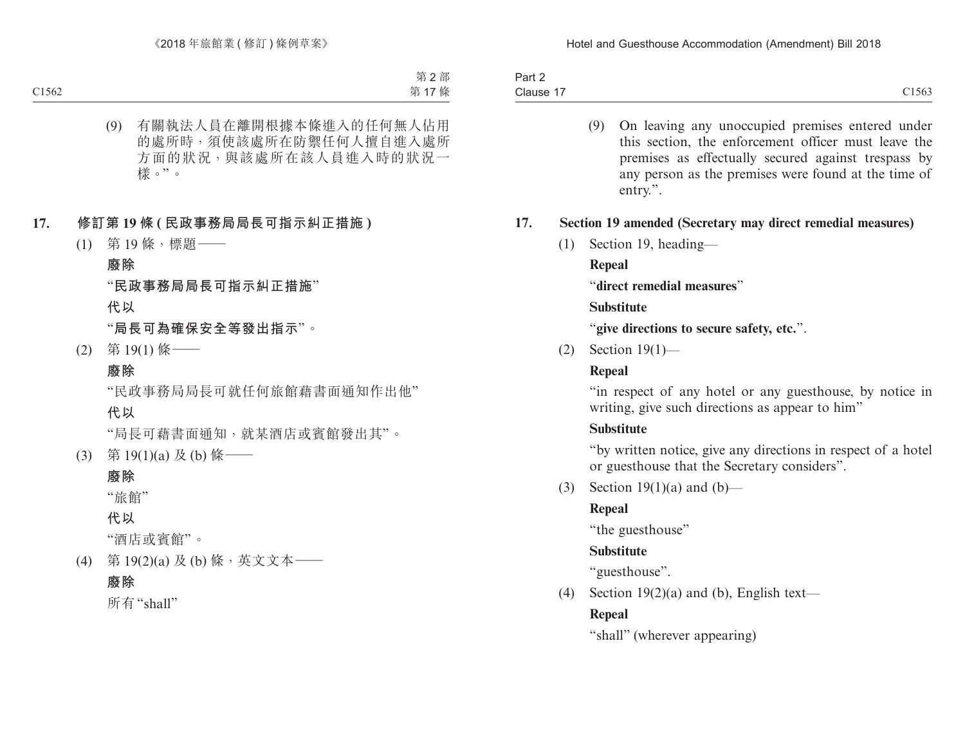| $\overline{\phantom{a}}$<br>າ~~+<br>−ail 4 |                                           |
|--------------------------------------------|-------------------------------------------|
| $\sim$<br>Clause                           | $\cap$ 1 = $\cap$<br>$\sim$ $\sim$ $\sim$ |

(9) On leaving any unoccupied premises entered under this section, the enforcement officer must leave the premises as effectually secured against trespass by any person as the premises were found at the time of entry.".

## **17. Section 19 amended (Secretary may direct remedial measures)**

(1) Section 19, heading—

## **Repeal**

"**direct remedial measures**"

## **Substitute**

"**give directions to secure safety, etc.**".

(2) Section 19(1)—

## **Repeal**

"in respect of any hotel or any guesthouse, by notice in writing, give such directions as appear to him"

## **Substitute**

"by written notice, give any directions in respect of a hotel or guesthouse that the Secretary considers".

(3) Section  $19(1)(a)$  and  $(b)$ —

## **Repeal**

"the guesthouse"

## **Substitute**

"guesthouse".

(4) Section  $19(2)(a)$  and (b), English text—

## **Repeal**

"shall" (wherever appearing)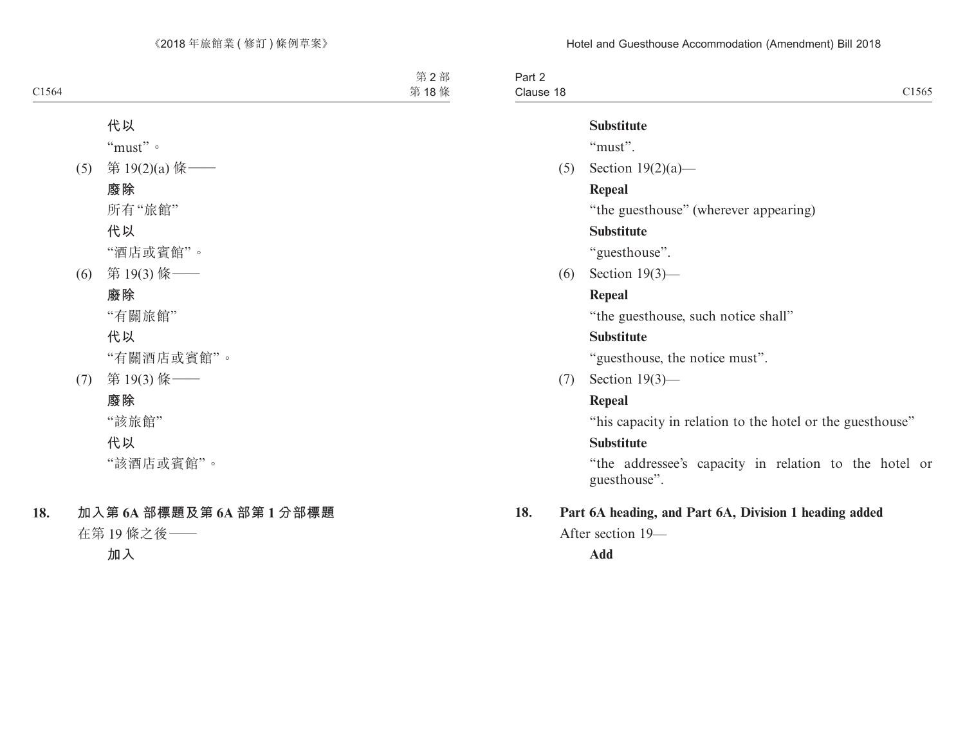Part 2 Clause 18 Clause  $18$  Clause  $18$ 

#### **Substitute**

"must"

(5) Section 19(2)(a)—

#### **Repeal**

"the guesthouse" (wherever appearing)

#### **Substitute**

"guesthouse".

(6) Section 19(3)—

## **Repeal**

"the guesthouse, such notice shall"

## **Substitute**

"guesthouse, the notice must".

(7) Section 19(3)—

### **Repeal**

"his capacity in relation to the hotel or the guesthouse"

## **Substitute**

"the addressee's capacity in relation to the hotel or guesthouse".

#### **18. Part 6A heading, and Part 6A, Division 1 heading added**

After section 19—

**Add**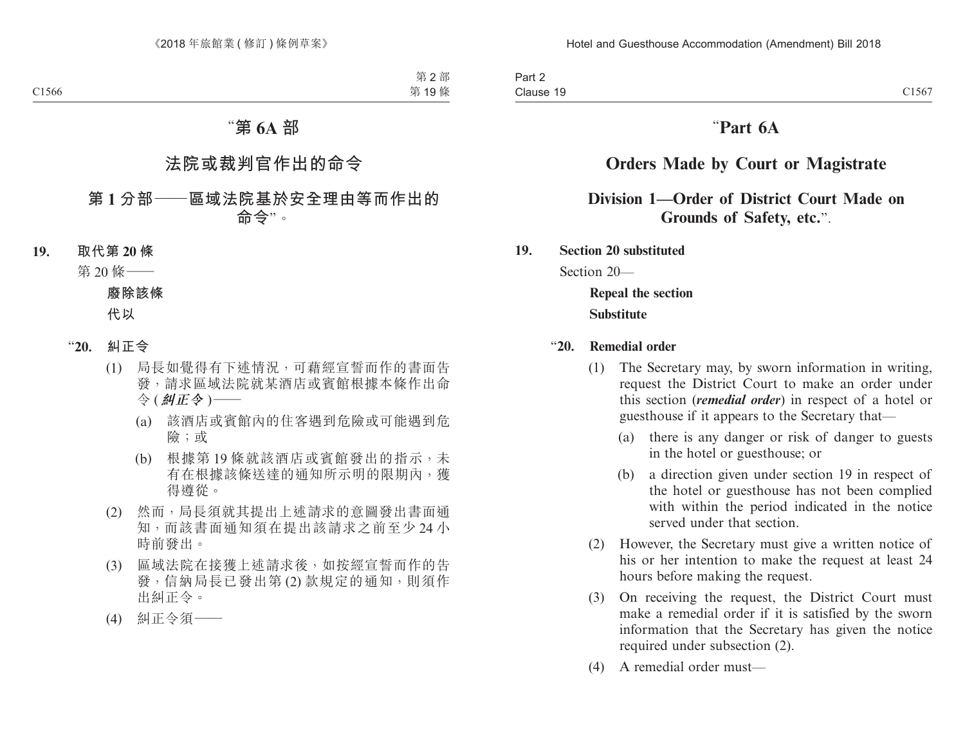# "**Part 6A**

# **Orders Made by Court or Magistrate**

## **Division 1—Order of District Court Made on Grounds of Safety, etc.**".

### **19. Section 20 substituted**

Section 20—

## **Repeal the section Substitute**

### "**20. Remedial order**

- (1) The Secretary may, by sworn information in writing, request the District Court to make an order under this section (*remedial order*) in respect of a hotel or guesthouse if it appears to the Secretary that—
	- (a) there is any danger or risk of danger to guests in the hotel or guesthouse; or
	- (b) a direction given under section 19 in respect of the hotel or guesthouse has not been complied with within the period indicated in the notice served under that section.
- (2) However, the Secretary must give a written notice of his or her intention to make the request at least 24 hours before making the request.
- (3) On receiving the request, the District Court must make a remedial order if it is satisfied by the sworn information that the Secretary has given the notice required under subsection (2).
- (4) A remedial order must—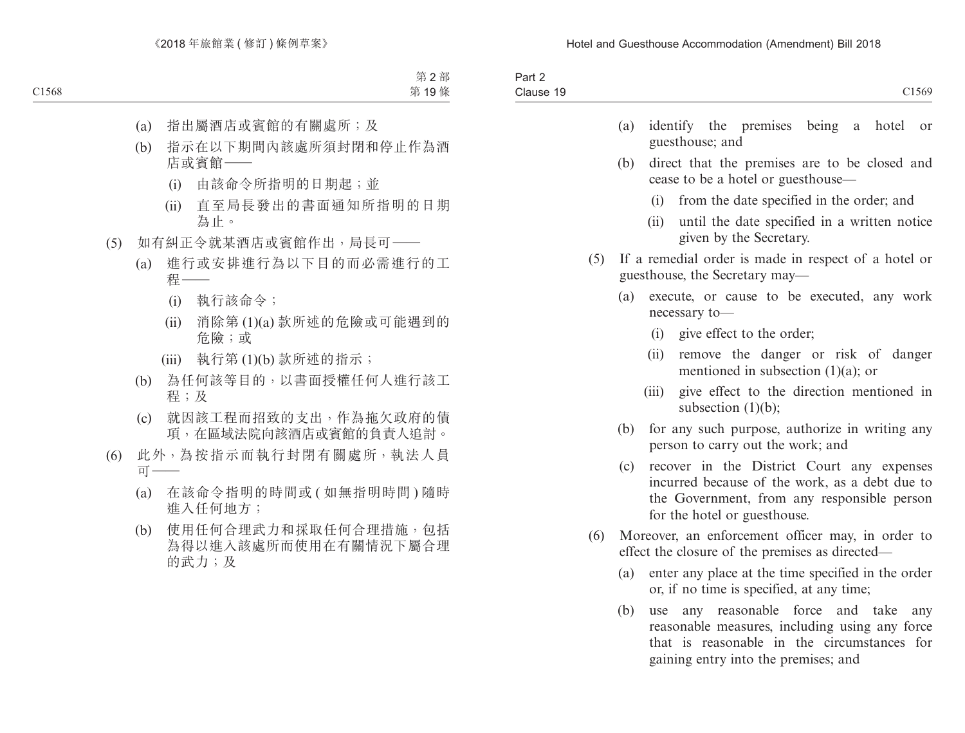| C <sub>1569</sub>                                                                                                                                                           |     | Part 2<br>Clause 19 |
|-----------------------------------------------------------------------------------------------------------------------------------------------------------------------------|-----|---------------------|
| identify the premises being a<br>hotel or<br>guesthouse; and                                                                                                                | (a) |                     |
| direct that the premises are to be closed and<br>cease to be a hotel or guesthouse—                                                                                         | (b) |                     |
| from the date specified in the order; and<br>(1)                                                                                                                            |     |                     |
| until the date specified in a written notice<br>(ii)<br>given by the Secretary.                                                                                             |     |                     |
| If a remedial order is made in respect of a hotel or<br>guesthouse, the Secretary may—                                                                                      | (5) |                     |
| execute, or cause to be executed, any work<br>necessary to-                                                                                                                 | (a) |                     |
| give effect to the order;<br>(i)                                                                                                                                            |     |                     |
| remove the danger or risk of danger<br>(ii)<br>mentioned in subsection $(1)(a)$ ; or                                                                                        |     |                     |
| give effect to the direction mentioned in<br>(iii)<br>subsection $(1)(b)$ ;                                                                                                 |     |                     |
| for any such purpose, authorize in writing any<br>person to carry out the work; and                                                                                         | (b) |                     |
| recover in the District Court any expenses<br>incurred because of the work, as a debt due to<br>the Government, from any responsible person<br>for the hotel or guesthouse. | (c) |                     |
| Moreover, an enforcement officer may, in order to<br>effect the closure of the premises as directed-                                                                        | (6) |                     |
| enter any place at the time specified in the order<br>or, if no time is specified, at any time;                                                                             | (a) |                     |
| $(h)$ use any reasonable force and take any                                                                                                                                 |     |                     |

(b) use any reasonable force and take any reasonable measures, including using any force that is reasonable in the circumstances for gaining entry into the premises; and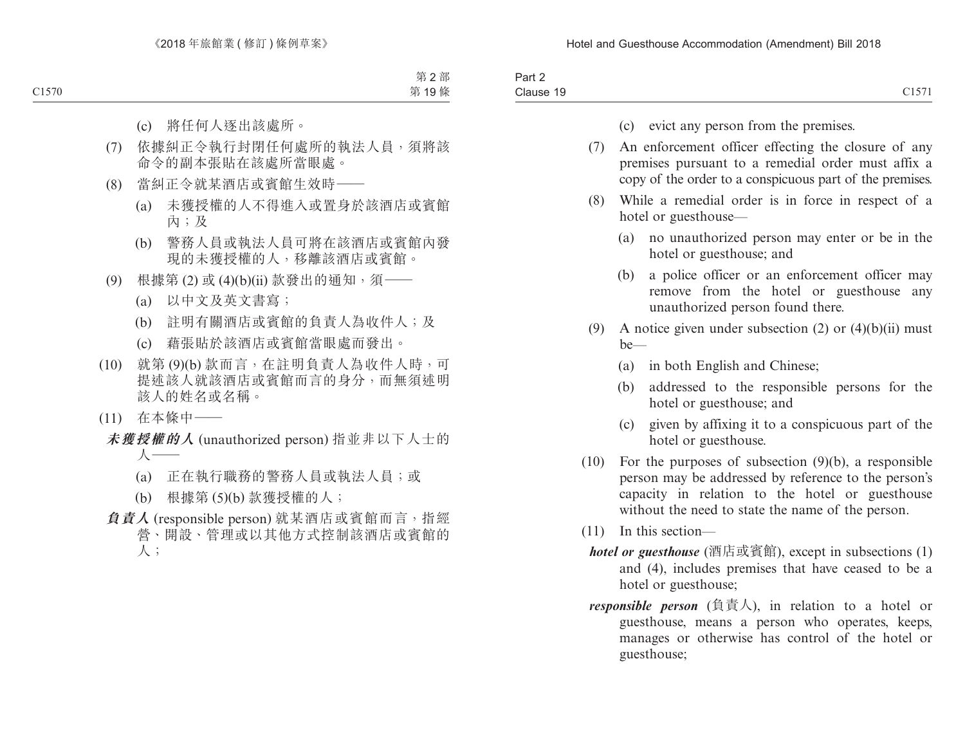| <b>STATES OF ALL AND RESIDENTS</b><br>$J \cap r +$<br>Fail 4 |             |
|--------------------------------------------------------------|-------------|
|                                                              |             |
| Clause 19                                                    | $\cdots$    |
|                                                              | $\sim$ 10/1 |

- (c) evict any person from the premises.
- (7) An enforcement officer effecting the closure of any premises pursuant to a remedial order must affix a copy of the order to a conspicuous part of the premises.
- (8) While a remedial order is in force in respect of a hotel or guesthouse—
	- (a) no unauthorized person may enter or be in the hotel or guesthouse; and
	- (b) a police officer or an enforcement officer may remove from the hotel or guesthouse any unauthorized person found there.
- (9) A notice given under subsection  $(2)$  or  $(4)(b)(ii)$  must  $he$ —
	- (a) in both English and Chinese;
	- (b) addressed to the responsible persons for the hotel or guesthouse; and
	- (c) given by affixing it to a conspicuous part of the hotel or guesthouse.
- (10) For the purposes of subsection (9)(b), a responsible person may be addressed by reference to the person's capacity in relation to the hotel or guesthouse without the need to state the name of the person.
- (11) In this section
	- *hotel or guesthouse* (酒店或賓館), except in subsections (1) and (4), includes premises that have ceased to be a hotel or guesthouse;
	- *responsible person* (負責人), in relation to a hotel or guesthouse, means a person who operates, keeps, manages or otherwise has control of the hotel or guesthouse;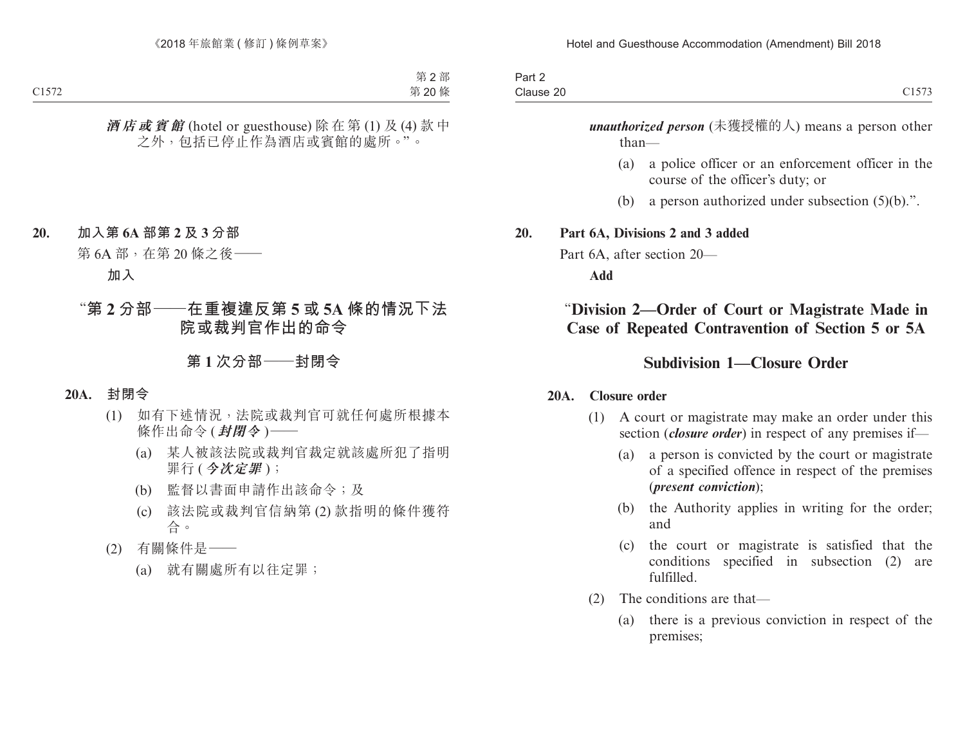| Part 2    |                                                                 |
|-----------|-----------------------------------------------------------------|
| Clause 20 | $\cap$ 1 $\subset$ $\cap$ $\cap$<br>$\cdots$<br><u>ل ال ۱ ب</u> |

*unauthorized person* (未獲授權的人) means a person other than—

- (a) a police officer or an enforcement officer in the course of the officer's duty; or
- (b) a person authorized under subsection (5)(b).".

#### **20. Part 6A, Divisions 2 and 3 added**

Part 6A, after section 20—

**Add**

## "**Division 2—Order of Court or Magistrate Made in Case of Repeated Contravention of Section 5 or 5A**

## **Subdivision 1—Closure Order**

#### **20A. Closure order**

- (1) A court or magistrate may make an order under this section (*closure order*) in respect of any premises if—
	- (a) a person is convicted by the court or magistrate of a specified offence in respect of the premises (*present conviction*);
	- (b) the Authority applies in writing for the order; and
	- (c) the court or magistrate is satisfied that the conditions specified in subsection (2) are fulfilled.
- (2) The conditions are that—
	- (a) there is a previous conviction in respect of the premises;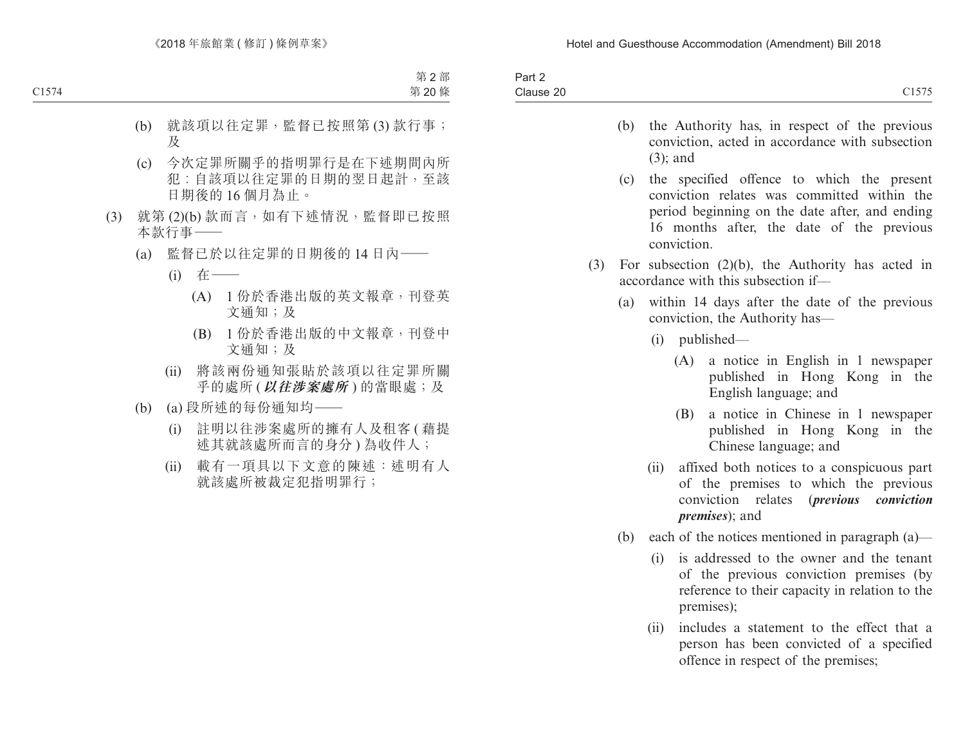| Part 2    |                                          |
|-----------|------------------------------------------|
| Clause 20 | $\sim$ $\sim$ $\sim$ $\sim$<br>- 1 - 1 - |
|           |                                          |

- (b) the Authority has, in respect of the previous conviction, acted in accordance with subsection (3); and
- (c) the specified offence to which the present conviction relates was committed within the period beginning on the date after, and ending 16 months after, the date of the previous conviction.
- (3) For subsection (2)(b), the Authority has acted in accordance with this subsection if—
	- (a) within 14 days after the date of the previous conviction, the Authority has—
		- (i) published—
			- (A) a notice in English in 1 newspaper published in Hong Kong in the English language; and
			- (B) a notice in Chinese in 1 newspaper published in Hong Kong in the Chinese language; and
		- (ii) affixed both notices to a conspicuous part of the premises to which the previous conviction relates (*previous conviction premises*); and
	- (b) each of the notices mentioned in paragraph  $(a)$ 
		- (i) is addressed to the owner and the tenant of the previous conviction premises (by reference to their capacity in relation to the premises);
		- (ii) includes a statement to the effect that a person has been convicted of a specified offence in respect of the premises;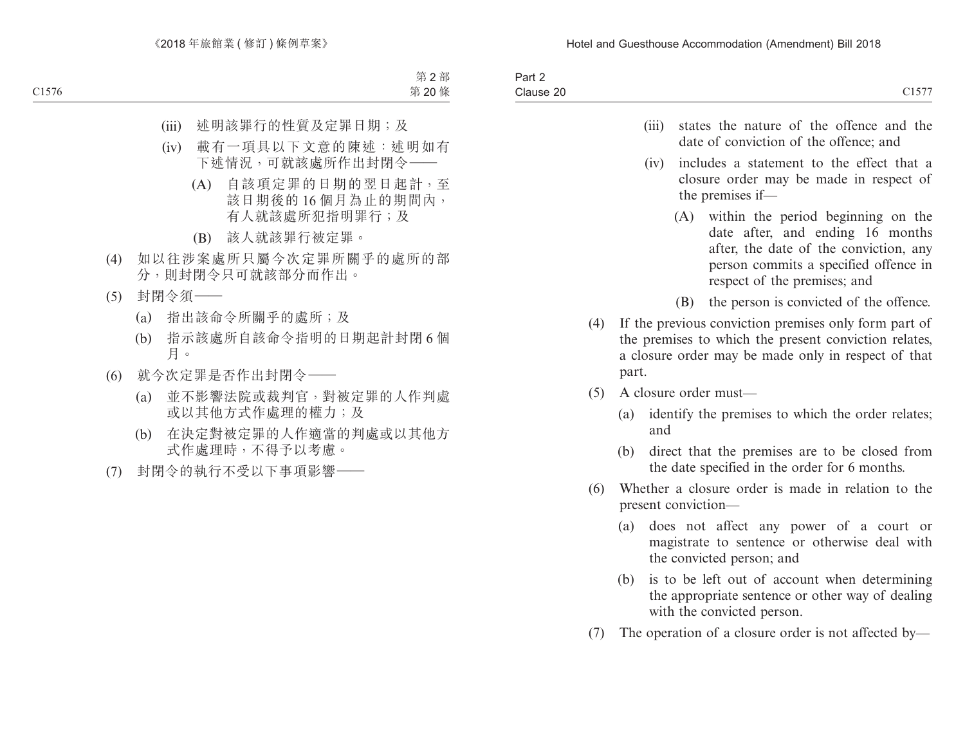| $\sqrt{2}$<br>コヘけ<br><b>Fail</b> |                                   |
|----------------------------------|-----------------------------------|
| $\sim$<br>$\sim$<br>Clause 20    | $\sim$ $\sim$ $\sim$ $\sim$<br>ັ້ |

- (iii) states the nature of the offence and the date of conviction of the offence; and
- (iv) includes a statement to the effect that a closure order may be made in respect of the premises if—
	- (A) within the period beginning on the date after, and ending 16 months after, the date of the conviction, any person commits a specified offence in respect of the premises; and
	- (B) the person is convicted of the offence.
- (4) If the previous conviction premises only form part of the premises to which the present conviction relates, a closure order may be made only in respect of that part.
- (5) A closure order must—
	- (a) identify the premises to which the order relates; and
	- (b) direct that the premises are to be closed from the date specified in the order for 6 months.
- (6) Whether a closure order is made in relation to the present conviction—
	- (a) does not affect any power of a court or magistrate to sentence or otherwise deal with the convicted person; and
	- (b) is to be left out of account when determining the appropriate sentence or other way of dealing with the convicted person.
- (7) The operation of a closure order is not affected by—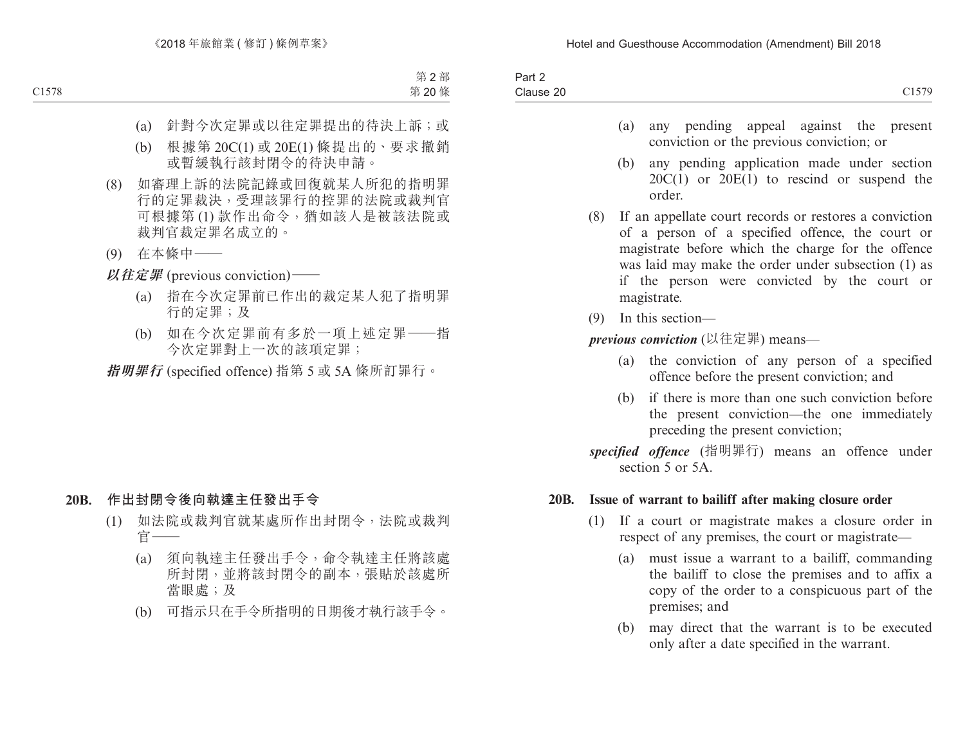| ـ معينوا "<br>$\overline{\phantom{a}}$<br>aanse | -<br>า~~<br>ail Z |     |
|-------------------------------------------------|-------------------|-----|
|                                                 |                   | 7 O |

- (a) any pending appeal against the present conviction or the previous conviction; or
- (b) any pending application made under section 20C(1) or 20E(1) to rescind or suspend the order.
- (8) If an appellate court records or restores a conviction of a person of a specified offence, the court or magistrate before which the charge for the offence was laid may make the order under subsection (1) as if the person were convicted by the court or magistrate.
- (9) In this section—

## *previous conviction* (以往定罪) means—

- (a) the conviction of any person of a specified offence before the present conviction; and
- (b) if there is more than one such conviction before the present conviction—the one immediately preceding the present conviction;
- *specified offence* (指明罪行) means an offence under section 5 or 5A.

### **20B. Issue of warrant to bailiff after making closure order**

- (1) If a court or magistrate makes a closure order in respect of any premises, the court or magistrate—
	- (a) must issue a warrant to a bailiff, commanding the bailiff to close the premises and to affix a copy of the order to a conspicuous part of the premises; and
	- (b) may direct that the warrant is to be executed only after a date specified in the warrant.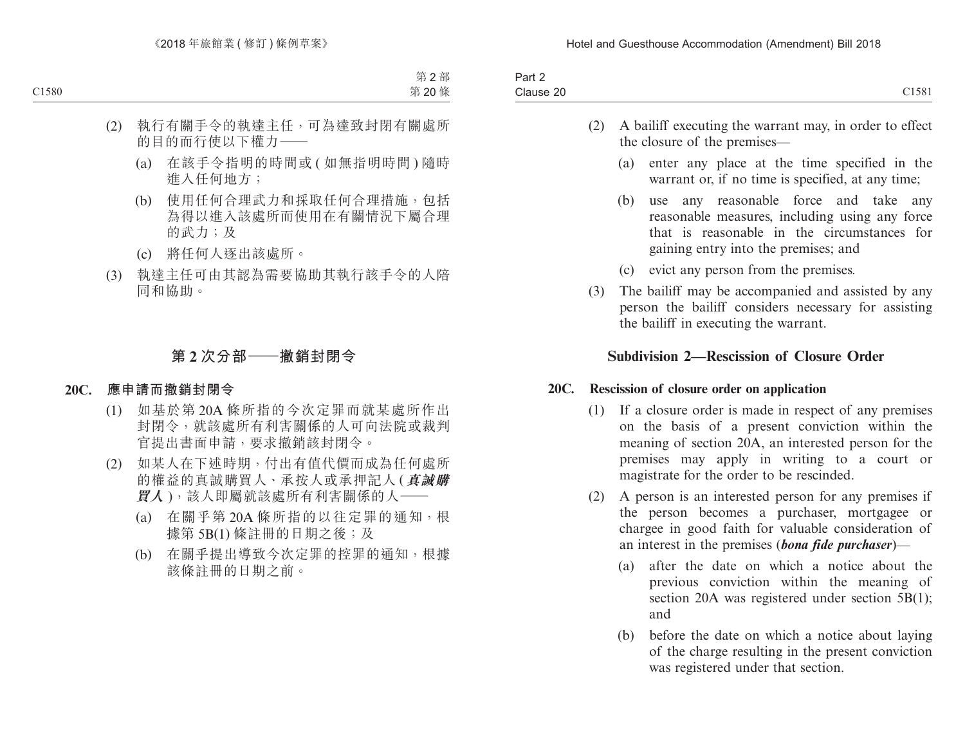| $\cap$ louee<br>$\sim$                        |
|-----------------------------------------------|
| $\overline{\phantom{a}}$<br>aanse.<br>$- - -$ |

- (2) A bailiff executing the warrant may, in order to effect the closure of the premises—
	- (a) enter any place at the time specified in the warrant or, if no time is specified, at any time:
	- (b) use any reasonable force and take any reasonable measures, including using any force that is reasonable in the circumstances for gaining entry into the premises; and
	- (c) evict any person from the premises.
- (3) The bailiff may be accompanied and assisted by any person the bailiff considers necessary for assisting the bailiff in executing the warrant.

## **Subdivision 2—Rescission of Closure Order**

#### **20C. Rescission of closure order on application**

- (1) If a closure order is made in respect of any premises on the basis of a present conviction within the meaning of section 20A, an interested person for the premises may apply in writing to a court or magistrate for the order to be rescinded.
- (2) A person is an interested person for any premises if the person becomes a purchaser, mortgagee or chargee in good faith for valuable consideration of an interest in the premises (*bona fide purchaser*)—
	- (a) after the date on which a notice about the previous conviction within the meaning of section 20A was registered under section 5B(1); and
	- (b) before the date on which a notice about laying of the charge resulting in the present conviction was registered under that section.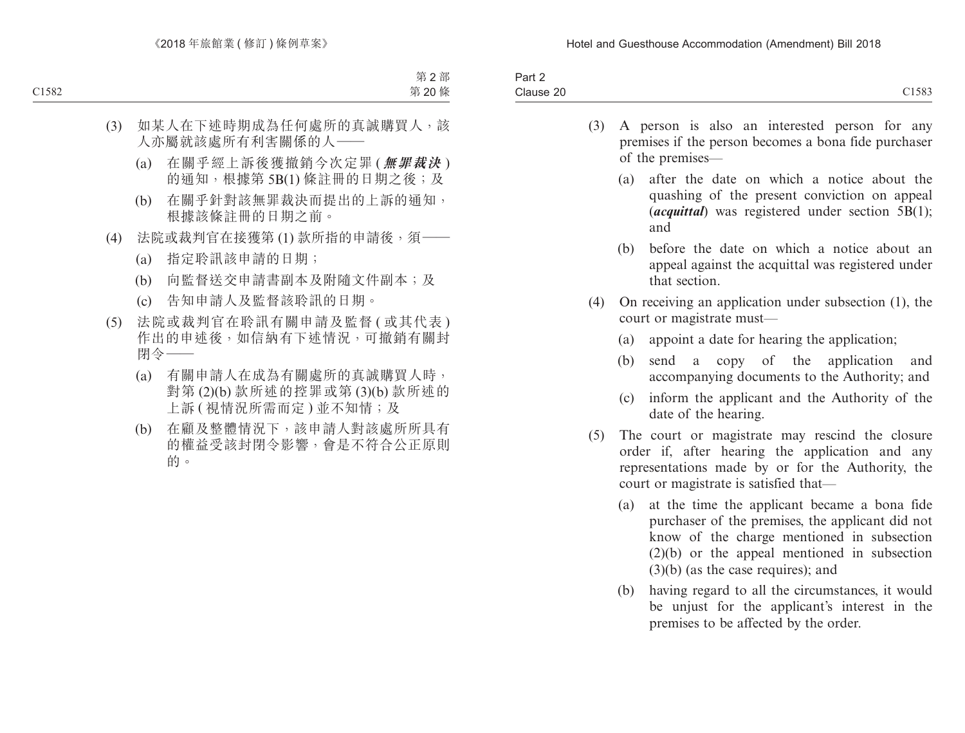| $\sim 1 - 1$<br>r ait 4                         |       |
|-------------------------------------------------|-------|
| $\sim$<br>$\overline{\phantom{0}}$<br>Clause 20 | C1583 |

- (3) A person is also an interested person for any premises if the person becomes a bona fide purchaser of the premises—
	- (a) after the date on which a notice about the quashing of the present conviction on appeal (*acquittal*) was registered under section 5B(1); and
	- (b) before the date on which a notice about an appeal against the acquittal was registered under that section.
- (4) On receiving an application under subsection (1), the court or magistrate must—
	- (a) appoint a date for hearing the application;
	- (b) send a copy of the application and accompanying documents to the Authority; and
	- (c) inform the applicant and the Authority of the date of the hearing.
- (5) The court or magistrate may rescind the closure order if, after hearing the application and any representations made by or for the Authority, the court or magistrate is satisfied that—
	- (a) at the time the applicant became a bona fide purchaser of the premises, the applicant did not know of the charge mentioned in subsection (2)(b) or the appeal mentioned in subsection (3)(b) (as the case requires); and
	- (b) having regard to all the circumstances, it would be unjust for the applicant's interest in the premises to be affected by the order.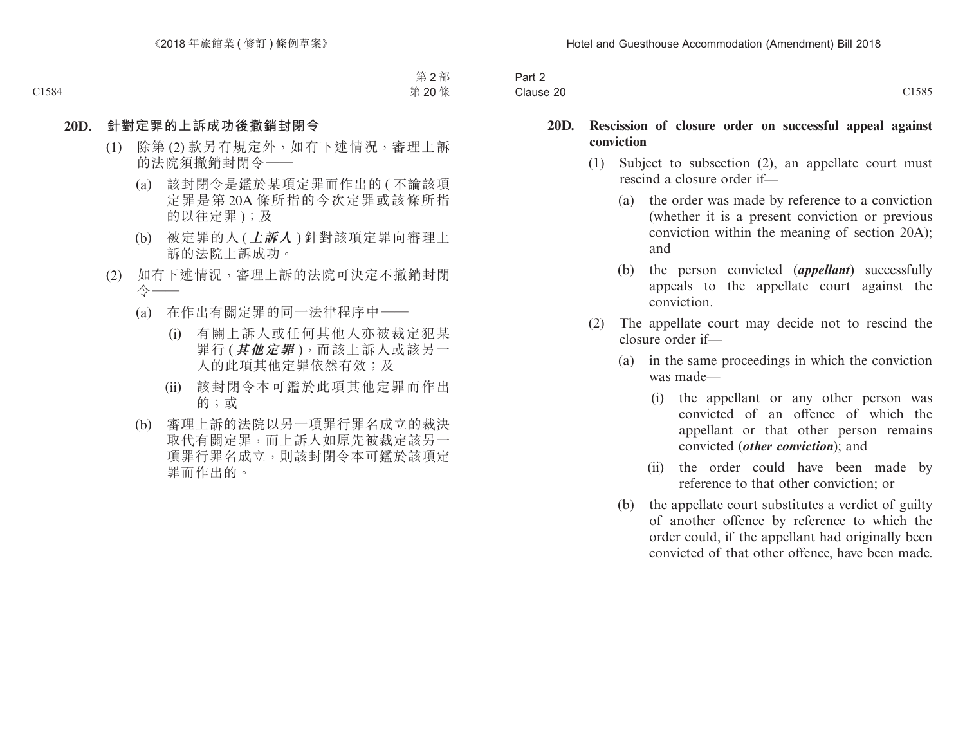| $.$ $.1$<br><b>Fail</b>       |       |
|-------------------------------|-------|
| $\sim$<br>$\sim$<br>Clause 20 | C1585 |

#### **20D. Rescission of closure order on successful appeal against conviction**

- (1) Subject to subsection (2), an appellate court must rescind a closure order if—
	- (a) the order was made by reference to a conviction (whether it is a present conviction or previous conviction within the meaning of section 20A); and
	- (b) the person convicted (*appellant*) successfully appeals to the appellate court against the conviction.
- (2) The appellate court may decide not to rescind the closure order if—
	- (a) in the same proceedings in which the conviction was made—
		- (i) the appellant or any other person was convicted of an offence of which the appellant or that other person remains convicted (*other conviction*); and
		- (ii) the order could have been made by reference to that other conviction; or
	- (b) the appellate court substitutes a verdict of guilty of another offence by reference to which the order could, if the appellant had originally been convicted of that other offence, have been made.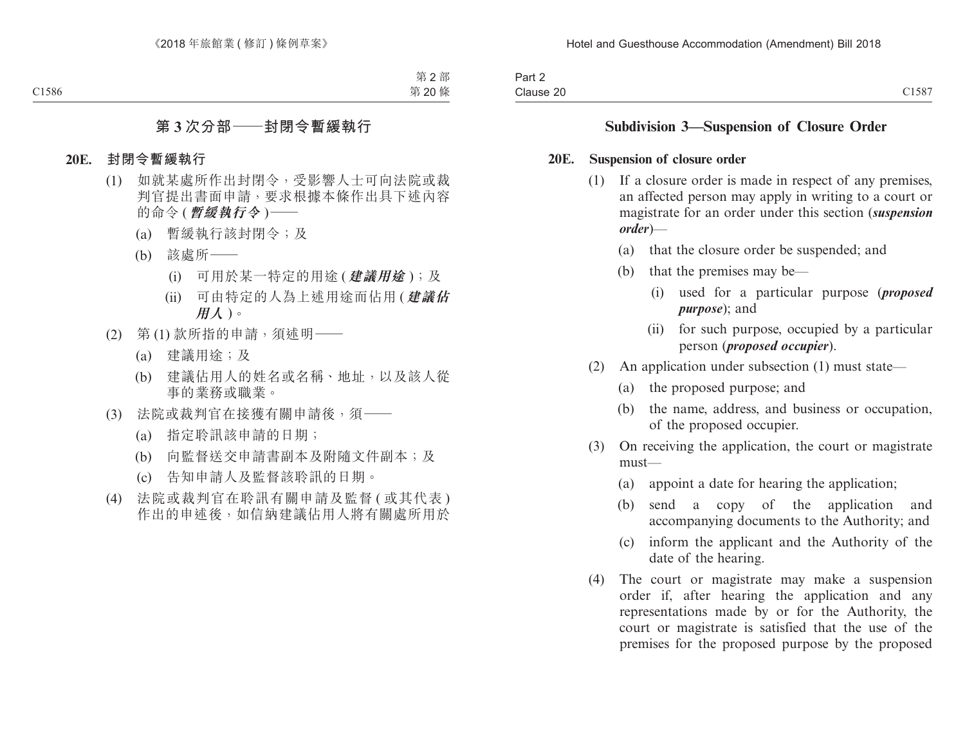| -<br>$\sqrt{2}$<br>Part 2 |       |
|---------------------------|-------|
| Clause 20                 | C1587 |

## **Subdivision 3—Suspension of Closure Order**

#### **20E. Suspension of closure order**

- (1) If a closure order is made in respect of any premises, an affected person may apply in writing to a court or magistrate for an order under this section (*suspension order*)—
	- (a) that the closure order be suspended; and
	- (b) that the premises may be—
		- (i) used for a particular purpose (*proposed purpose*); and
		- (ii) for such purpose, occupied by a particular person (*proposed occupier*).
- (2) An application under subsection (1) must state—
	- (a) the proposed purpose; and
	- (b) the name, address, and business or occupation, of the proposed occupier.
- (3) On receiving the application, the court or magistrate must—
	- (a) appoint a date for hearing the application;
	- (b) send a copy of the application and accompanying documents to the Authority; and
	- (c) inform the applicant and the Authority of the date of the hearing.
- (4) The court or magistrate may make a suspension order if, after hearing the application and any representations made by or for the Authority, the court or magistrate is satisfied that the use of the premises for the proposed purpose by the proposed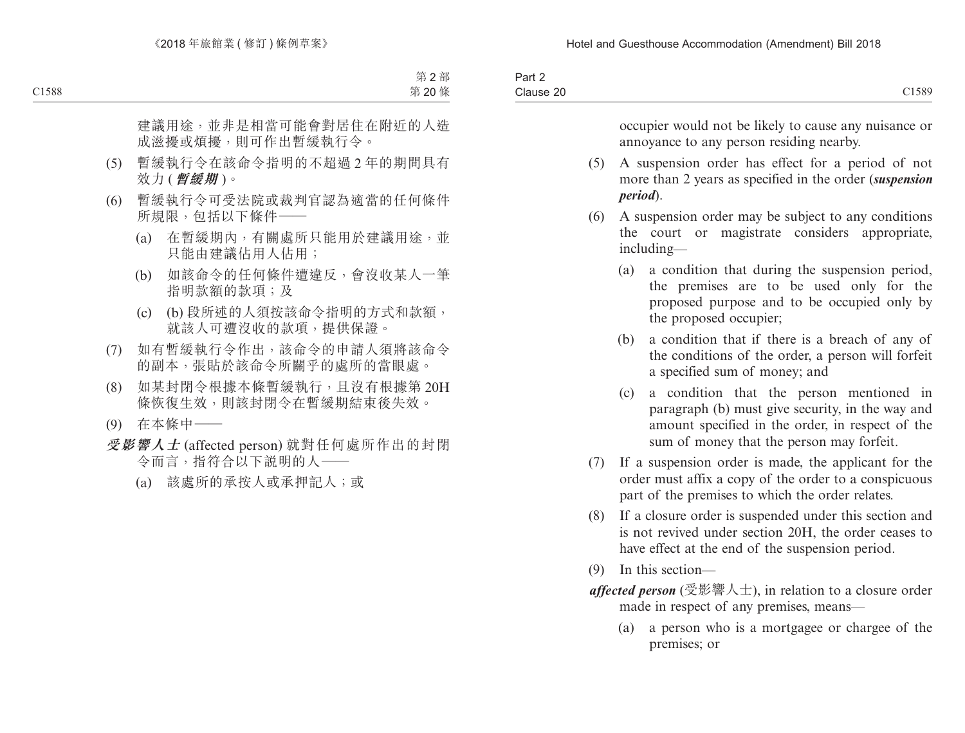| $\sim$<br>Part 2 |       |
|------------------|-------|
| Clause 20        | C1589 |

occupier would not be likely to cause any nuisance or annoyance to any person residing nearby.

- (5) A suspension order has effect for a period of not more than 2 years as specified in the order (*suspension period*).
- (6) A suspension order may be subject to any conditions the court or magistrate considers appropriate, including—
	- (a) a condition that during the suspension period, the premises are to be used only for the proposed purpose and to be occupied only by the proposed occupier;
	- (b) a condition that if there is a breach of any of the conditions of the order, a person will forfeit a specified sum of money; and
	- (c) a condition that the person mentioned in paragraph (b) must give security, in the way and amount specified in the order, in respect of the sum of money that the person may forfeit.
- (7) If a suspension order is made, the applicant for the order must affix a copy of the order to a conspicuous part of the premises to which the order relates.
- (8) If a closure order is suspended under this section and is not revived under section 20H, the order ceases to have effect at the end of the suspension period.
- (9) In this section—
- *affected person* (受影響人士), in relation to a closure order made in respect of any premises, means—
	- (a) a person who is a mortgagee or chargee of the premises; or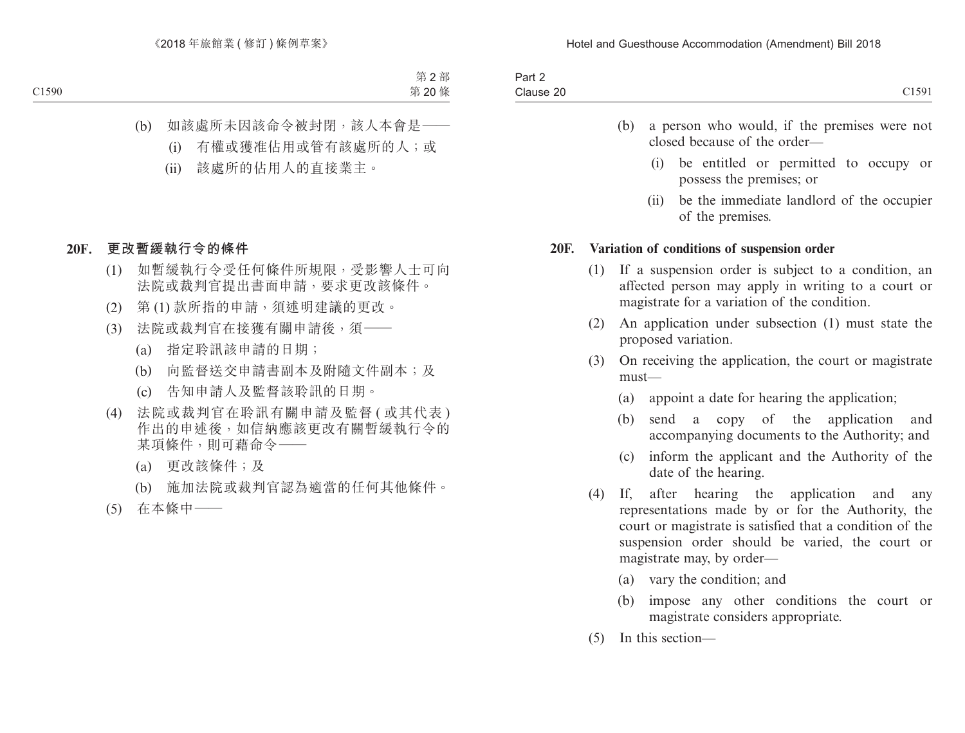| $\sim$<br>Part 2 |       |
|------------------|-------|
|                  |       |
|                  | 31501 |
| Clause 20        | 0.001 |

- (b) a person who would, if the premises were not closed because of the order—
	- (i) be entitled or permitted to occupy or possess the premises; or
	- (ii) be the immediate landlord of the occupier of the premises.

#### **20F. Variation of conditions of suspension order**

- (1) If a suspension order is subject to a condition, an affected person may apply in writing to a court or magistrate for a variation of the condition.
- (2) An application under subsection (1) must state the proposed variation.
- (3) On receiving the application, the court or magistrate must—
	- (a) appoint a date for hearing the application;
	- (b) send a copy of the application and accompanying documents to the Authority; and
	- (c) inform the applicant and the Authority of the date of the hearing.
- (4) If, after hearing the application and any representations made by or for the Authority, the court or magistrate is satisfied that a condition of the suspension order should be varied, the court or magistrate may, by order—
	- (a) vary the condition; and
	- (b) impose any other conditions the court or magistrate considers appropriate.
- (5) In this section—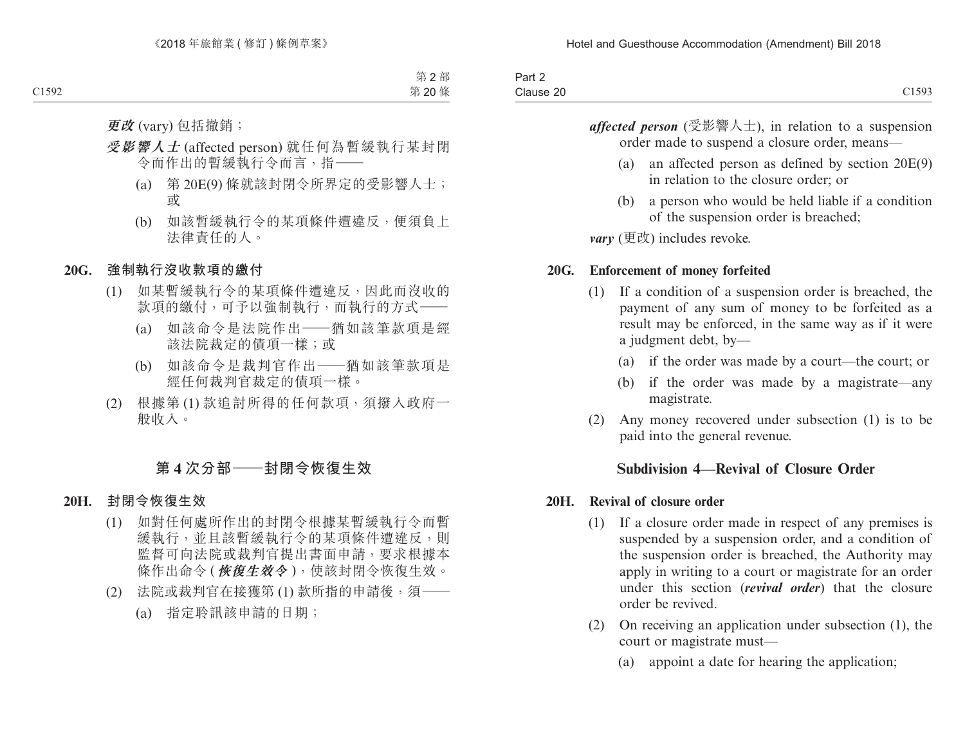| $\sim$<br>Part 2 |                               |
|------------------|-------------------------------|
| Clause 20        | C1593<br>$\cup$ $\cup$ $\cup$ |

*affected person* (受影響人士), in relation to a suspension order made to suspend a closure order, means—

- (a) an affected person as defined by section 20E(9) in relation to the closure order; or
- (b) a person who would be held liable if a condition of the suspension order is breached;

*vary* (更改) includes revoke.

### **20G. Enforcement of money forfeited**

- (1) If a condition of a suspension order is breached, the payment of any sum of money to be forfeited as a result may be enforced, in the same way as if it were a judgment debt, by—
	- (a) if the order was made by a court—the court; or
	- (b) if the order was made by a magistrate—any magistrate.
- (2) Any money recovered under subsection (1) is to be paid into the general revenue.

## **Subdivision 4—Revival of Closure Order**

### **20H. Revival of closure order**

- (1) If a closure order made in respect of any premises is suspended by a suspension order, and a condition of the suspension order is breached, the Authority may apply in writing to a court or magistrate for an order under this section (*revival order*) that the closure order be revived.
- (2) On receiving an application under subsection (1), the court or magistrate must—
	- (a) appoint a date for hearing the application;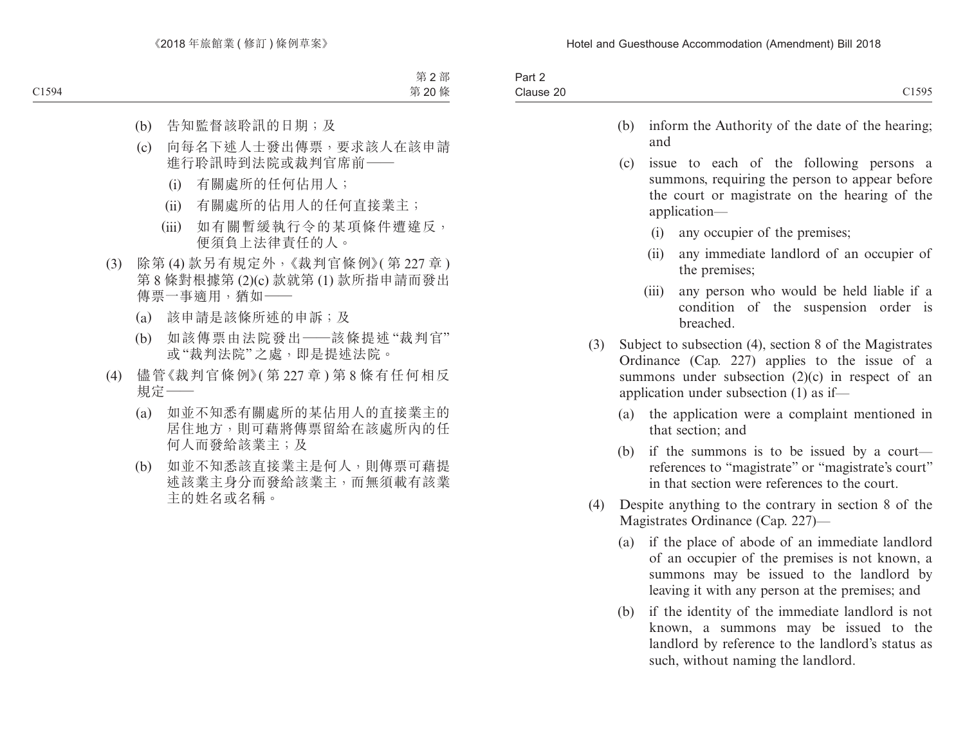| 1595<br>- - - |
|---------------|
|               |

- (b) inform the Authority of the date of the hearing; and
- (c) issue to each of the following persons a summons, requiring the person to appear before the court or magistrate on the hearing of the application—
	- (i) any occupier of the premises;
	- (ii) any immediate landlord of an occupier of the premises;
	- (iii) any person who would be held liable if a condition of the suspension order is breached.
- (3) Subject to subsection (4), section 8 of the Magistrates Ordinance (Cap. 227) applies to the issue of a summons under subsection  $(2)(c)$  in respect of an application under subsection (1) as if—
	- (a) the application were a complaint mentioned in that section; and
	- (b) if the summons is to be issued by a court references to "magistrate" or "magistrate's court" in that section were references to the court.
- (4) Despite anything to the contrary in section 8 of the Magistrates Ordinance (Cap. 227)—
	- (a) if the place of abode of an immediate landlord of an occupier of the premises is not known, a summons may be issued to the landlord by leaving it with any person at the premises; and
	- (b) if the identity of the immediate landlord is not known, a summons may be issued to the landlord by reference to the landlord's status as such, without naming the landlord.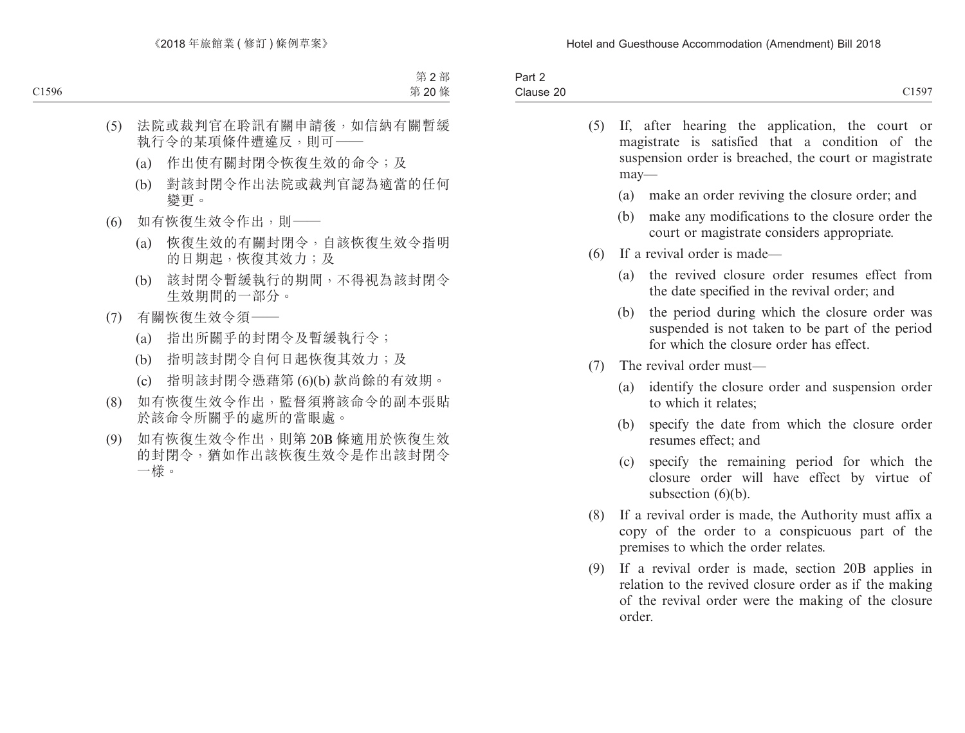| 3 <sub>0</sub><br>ail 4 |                |
|-------------------------|----------------|
| Clause 20               | C1597<br>CIJII |

- (5) If, after hearing the application, the court or magistrate is satisfied that a condition of the suspension order is breached, the court or magistrate may—
	- (a) make an order reviving the closure order; and
	- (b) make any modifications to the closure order the court or magistrate considers appropriate.
- (6) If a revival order is made—
	- (a) the revived closure order resumes effect from the date specified in the revival order; and
	- (b) the period during which the closure order was suspended is not taken to be part of the period for which the closure order has effect.
- (7) The revival order must—
	- (a) identify the closure order and suspension order to which it relates;
	- (b) specify the date from which the closure order resumes effect; and
	- (c) specify the remaining period for which the closure order will have effect by virtue of subsection (6)(b).
- (8) If a revival order is made, the Authority must affix a copy of the order to a conspicuous part of the premises to which the order relates.
- (9) If a revival order is made, section 20B applies in relation to the revived closure order as if the making of the revival order were the making of the closure order.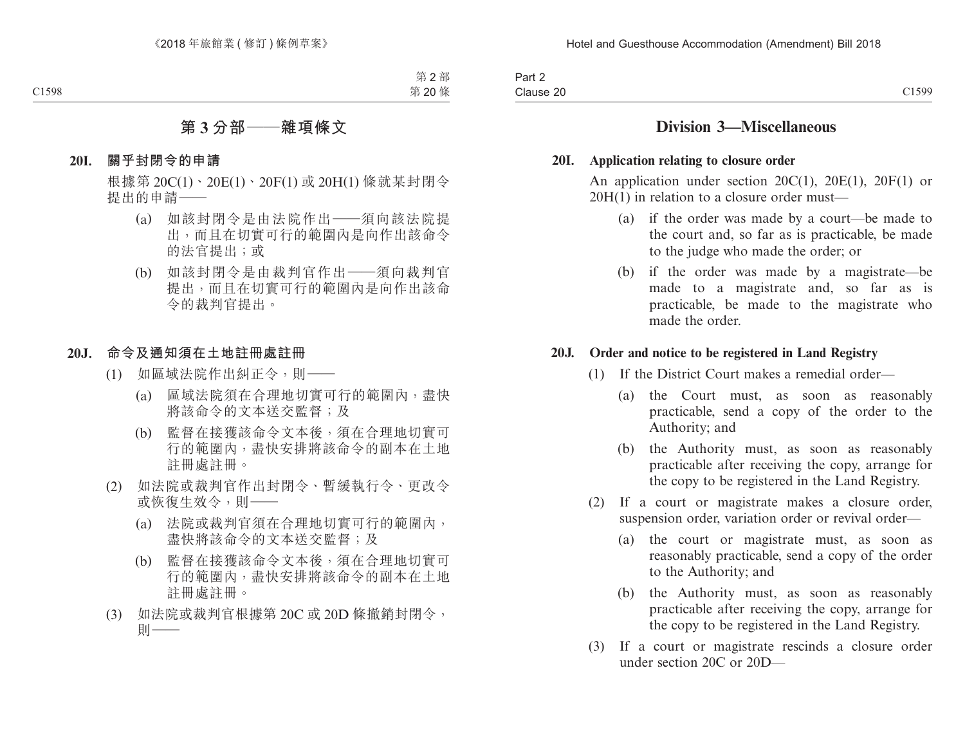| -<br>Part 2 |       |
|-------------|-------|
| Clause 20   | C1599 |

# **Division 3—Miscellaneous**

### **20I. Application relating to closure order**

An application under section  $20C(1)$ ,  $20E(1)$ ,  $20F(1)$  or 20H(1) in relation to a closure order must—

- (a) if the order was made by a court—be made to the court and, so far as is practicable, be made to the judge who made the order; or
- (b) if the order was made by a magistrate—be made to a magistrate and, so far as is practicable, be made to the magistrate who made the order.

## **20J. Order and notice to be registered in Land Registry**

- (1) If the District Court makes a remedial order—
	- (a) the Court must, as soon as reasonably practicable, send a copy of the order to the Authority; and
	- (b) the Authority must, as soon as reasonably practicable after receiving the copy, arrange for the copy to be registered in the Land Registry.
- (2) If a court or magistrate makes a closure order, suspension order, variation order or revival order—
	- (a) the court or magistrate must, as soon as reasonably practicable, send a copy of the order to the Authority; and
	- (b) the Authority must, as soon as reasonably practicable after receiving the copy, arrange for the copy to be registered in the Land Registry.
- (3) If a court or magistrate rescinds a closure order under section 20C or 20D—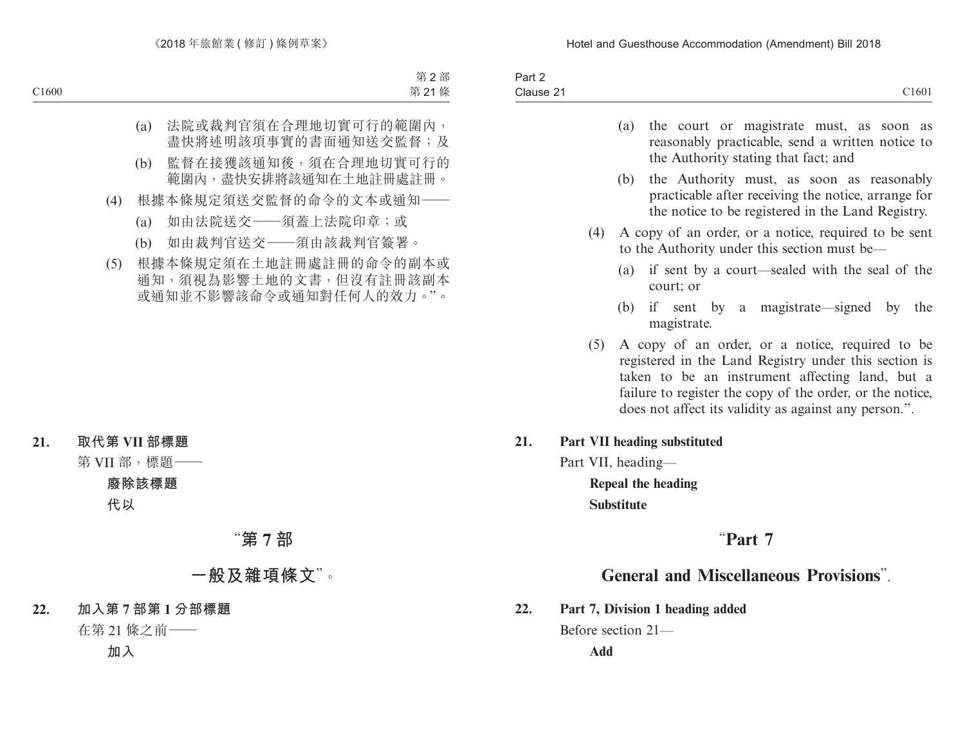| $\overline{\phantom{a}}$<br>າ~~+<br>Part 2 |               |
|--------------------------------------------|---------------|
| Clause 21                                  | ${\rm C}1601$ |

- (a) the court or magistrate must, as soon as reasonably practicable, send a written notice to the Authority stating that fact; and
- (b) the Authority must, as soon as reasonably practicable after receiving the notice, arrange for the notice to be registered in the Land Registry.
- (4) A copy of an order, or a notice, required to be sent to the Authority under this section must be—
	- (a) if sent by a court—sealed with the seal of the court; or
	- (b) if sent by a magistrate—signed by the magistrate.
- (5) A copy of an order, or a notice, required to be registered in the Land Registry under this section is taken to be an instrument affecting land, but a failure to register the copy of the order, or the notice, does not affect its validity as against any person.".

#### **21. Part VII heading substituted**

Part VII, heading—

**Repeal the heading Substitute**

# "**Part 7**

# **General and Miscellaneous Provisions**".

**22. Part 7, Division 1 heading added**

Before section 21—

**Add**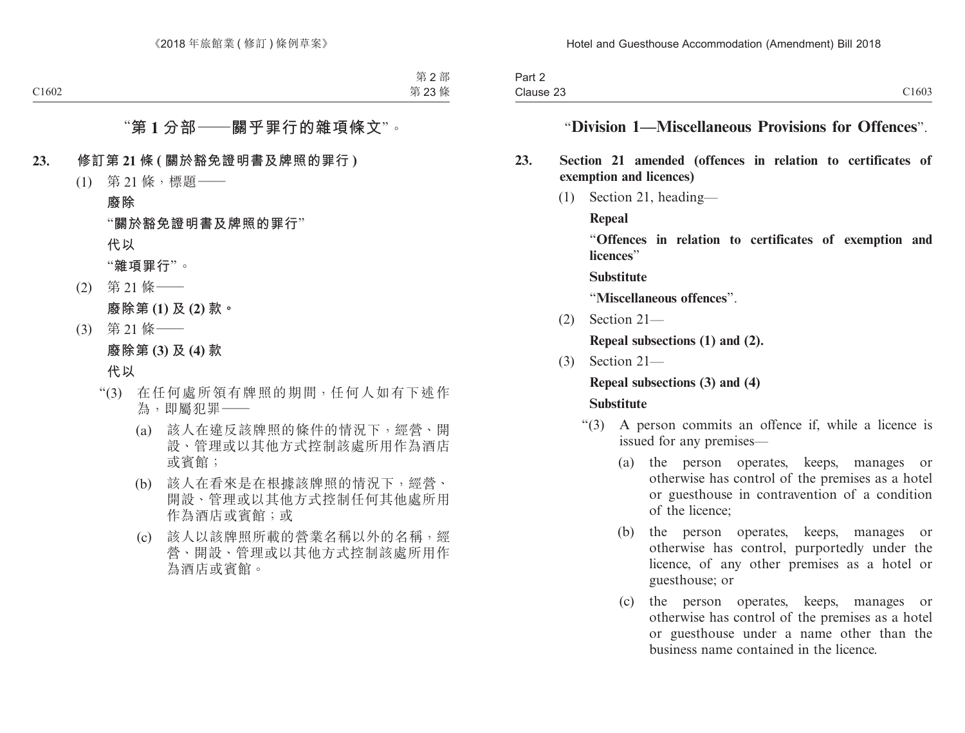| Part 2    |       |
|-----------|-------|
| Clause 23 | C1603 |

# "**Division 1—Miscellaneous Provisions for Offences**".

## **23. Section 21 amended (offences in relation to certificates of exemption and licences)**

(1) Section 21, heading—

**Repeal**

"**Offences in relation to certificates of exemption and licences**"

**Substitute**

"**Miscellaneous offences**".

(2) Section 21—

**Repeal subsections (1) and (2).**

(3) Section 21—

#### **Repeal subsections (3) and (4)**

#### **Substitute**

- "(3) A person commits an offence if, while a licence is issued for any premises—
	- (a) the person operates, keeps, manages or otherwise has control of the premises as a hotel or guesthouse in contravention of a condition of the licence;
	- (b) the person operates, keeps, manages or otherwise has control, purportedly under the licence, of any other premises as a hotel or guesthouse; or
	- (c) the person operates, keeps, manages or otherwise has control of the premises as a hotel or guesthouse under a name other than the business name contained in the licence.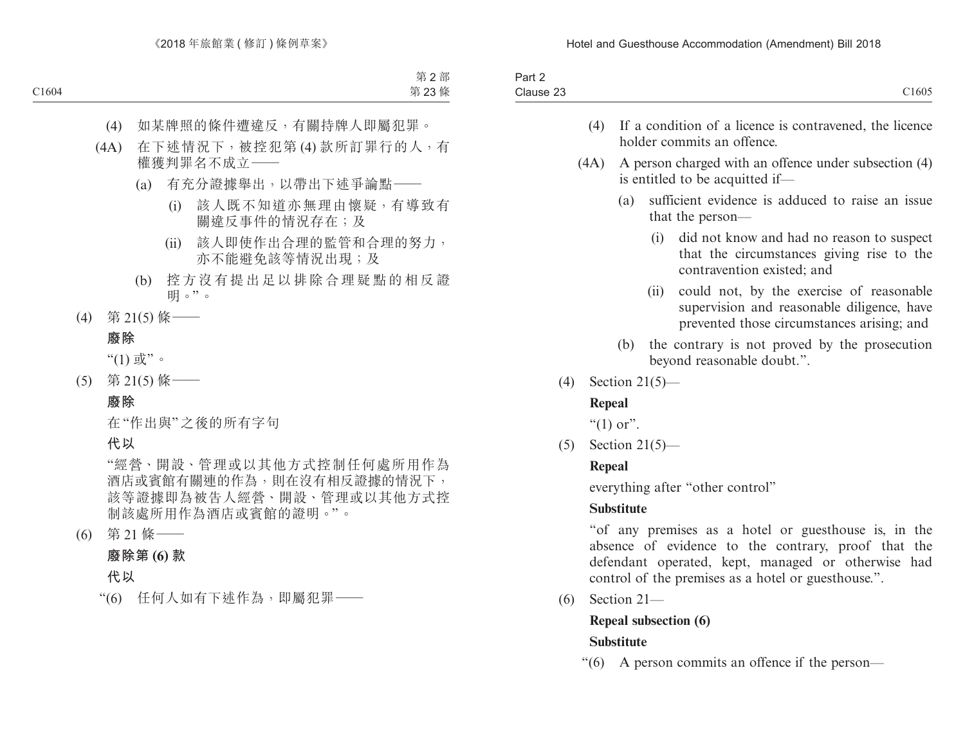| C <sub>1605</sub>                                                                                                                                                                                                        |               |                   |      |
|--------------------------------------------------------------------------------------------------------------------------------------------------------------------------------------------------------------------------|---------------|-------------------|------|
| If a condition of a licence is contravened, the licence<br>holder commits an offence.                                                                                                                                    |               | (4)               |      |
| A person charged with an offence under subsection (4)<br>is entitled to be acquitted if-                                                                                                                                 |               |                   | (4A) |
| sufficient evidence is adduced to raise an issue<br>that the person—                                                                                                                                                     |               | (a)               |      |
| did not know and had no reason to suspect<br>(i)<br>that the circumstances giving rise to the<br>contravention existed; and                                                                                              |               |                   |      |
| could not, by the exercise of reasonable<br>(ii)<br>supervision and reasonable diligence, have<br>prevented those circumstances arising; and                                                                             |               |                   |      |
| the contrary is not proved by the prosecution<br>beyond reasonable doubt.".                                                                                                                                              |               | (b)               |      |
| Section $21(5)$ —                                                                                                                                                                                                        |               |                   | (4)  |
|                                                                                                                                                                                                                          |               | Repeal            |      |
|                                                                                                                                                                                                                          |               | "(1) or".         |      |
| Section $21(5)$ —                                                                                                                                                                                                        |               |                   | (5)  |
|                                                                                                                                                                                                                          | <b>Repeal</b> |                   |      |
| everything after "other control"                                                                                                                                                                                         |               |                   |      |
|                                                                                                                                                                                                                          |               | <b>Substitute</b> |      |
| "of any premises as a hotel or guesthouse is, in the<br>absence of evidence to the contrary, proof that the<br>defendant operated, kept, managed or otherwise had<br>control of the premises as a hotel or guesthouse.". |               |                   |      |
|                                                                                                                                                                                                                          |               | Section 21-       | (6)  |
| Repeal subsection (6)                                                                                                                                                                                                    |               |                   |      |
|                                                                                                                                                                                                                          |               | <b>Substitute</b> |      |
| "(6) A person commits an offence if the person—                                                                                                                                                                          |               |                   |      |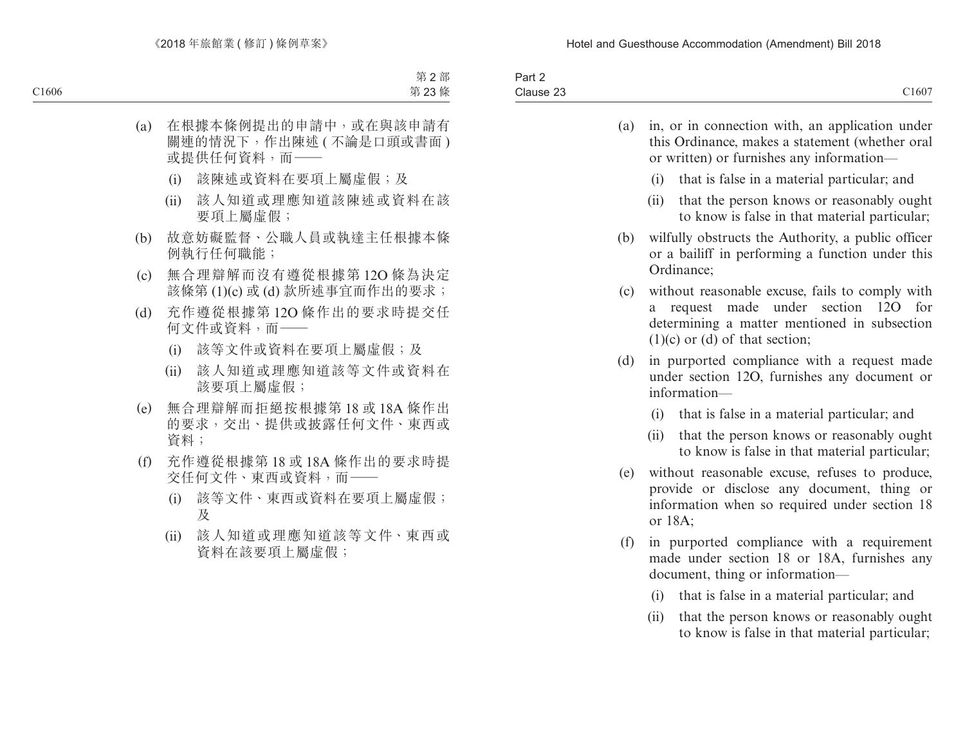| $\sim$<br>Part 2 |       |
|------------------|-------|
| Clause 23        | C1607 |

| (a) | in, or in connection with, an application under<br>this Ordinance, makes a statement (whether oral<br>or written) or furnishes any information-                                        |
|-----|----------------------------------------------------------------------------------------------------------------------------------------------------------------------------------------|
|     | (i)<br>that is false in a material particular; and                                                                                                                                     |
|     | that the person knows or reasonably ought<br>(ii)<br>to know is false in that material particular;                                                                                     |
| (b) | wilfully obstructs the Authority, a public officer<br>or a bailiff in performing a function under this<br>Ordinance;                                                                   |
| (c) | without reasonable excuse, fails to comply with<br>request made under section<br>12O<br>for<br>a<br>determining a matter mentioned in subsection<br>$(1)(c)$ or $(d)$ of that section; |
| (d) | in purported compliance with a request made<br>under section 12O, furnishes any document or<br>information-                                                                            |
|     | that is false in a material particular; and<br>(i)                                                                                                                                     |
|     | that the person knows or reasonably ought<br>(ii)<br>to know is false in that material particular;                                                                                     |
| (e) | without reasonable excuse, refuses to produce,<br>provide or disclose any document, thing or<br>information when so required under section 18<br>or 18A;                               |
| (f) | in purported compliance with a requirement<br>made under section 18 or 18A, furnishes any<br>document, thing or information-                                                           |

- (i) that is false in a material particular; and
- (ii) that the person knows or reasonably ought to know is false in that material particular;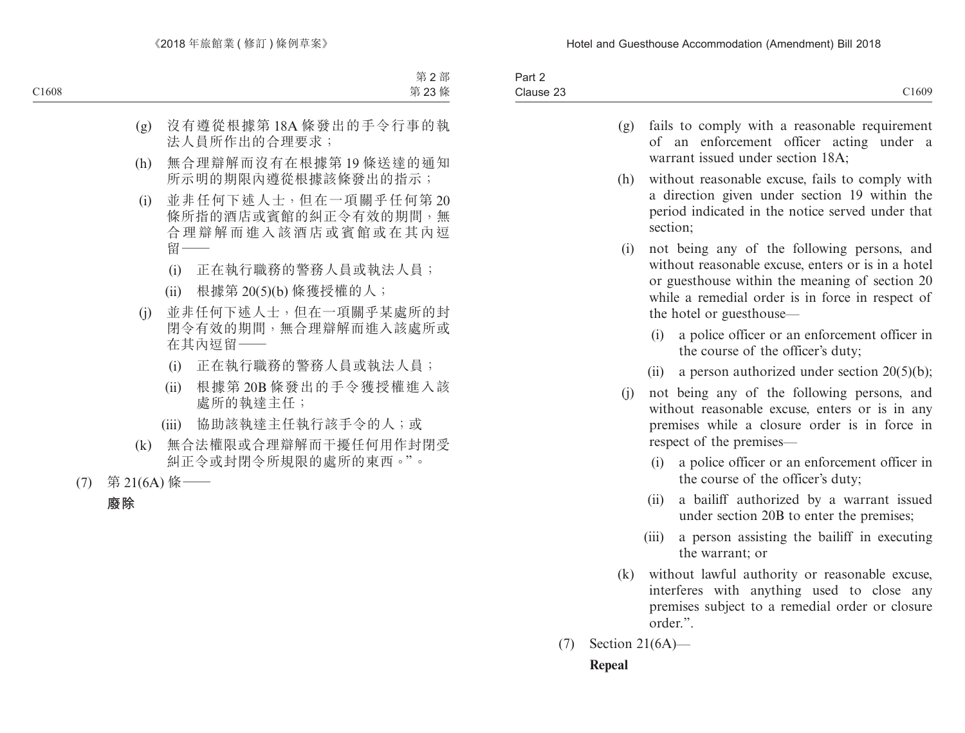| -<br>$30r +$<br><b>Fail</b> |       |
|-----------------------------|-------|
| Clause 23                   | C1609 |

- (g) fails to comply with a reasonable requirement of an enforcement officer acting under a warrant issued under section 18A;
- (h) without reasonable excuse, fails to comply with a direction given under section 19 within the period indicated in the notice served under that section;
- (i) not being any of the following persons, and without reasonable excuse, enters or is in a hotel or guesthouse within the meaning of section 20 while a remedial order is in force in respect of the hotel or guesthouse—
	- (i) a police officer or an enforcement officer in the course of the officer's duty;
	- (ii) a person authorized under section  $20(5)(b)$ ;
- (j) not being any of the following persons, and without reasonable excuse, enters or is in any premises while a closure order is in force in respect of the premises—
	- (i) a police officer or an enforcement officer in the course of the officer's duty;
	- (ii) a bailiff authorized by a warrant issued under section 20B to enter the premises;
	- (iii) a person assisting the bailiff in executing the warrant; or
- (k) without lawful authority or reasonable excuse, interferes with anything used to close any premises subject to a remedial order or closure order.".
- (7) Section 21(6A)— **Repeal**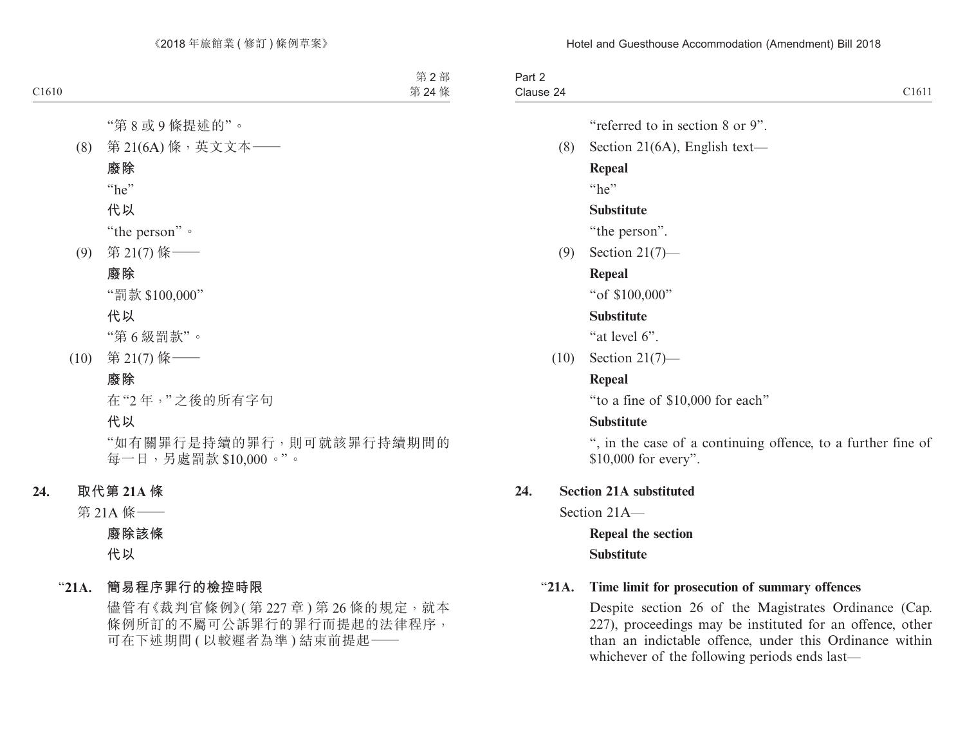Part 2 Clause 24 Clause 24 Cloud Cloud Cloud Cloud Cloud Cloud Cloud Cloud Cloud Cloud Cloud Cloud Cloud Cloud Cloud Cloud Cloud

"referred to in section 8 or 9".

(8) Section 21(6A), English text—

**Repeal**

 $<sup>14</sup>$ </sup>

#### **Substitute**

"the person".

(9) Section 21(7)—

## **Repeal**

"of \$100,000"

### **Substitute**

"at level 6".

(10) Section 21(7)—

## **Repeal**

"to a fine of \$10,000 for each"

## **Substitute**

", in the case of a continuing offence, to a further fine of \$10,000 for every".

### **24. Section 21A substituted**

Section 21A—

**Repeal the section Substitute**

## "**21A. Time limit for prosecution of summary offences**

Despite section 26 of the Magistrates Ordinance (Cap. 227), proceedings may be instituted for an offence, other than an indictable offence, under this Ordinance within whichever of the following periods ends last—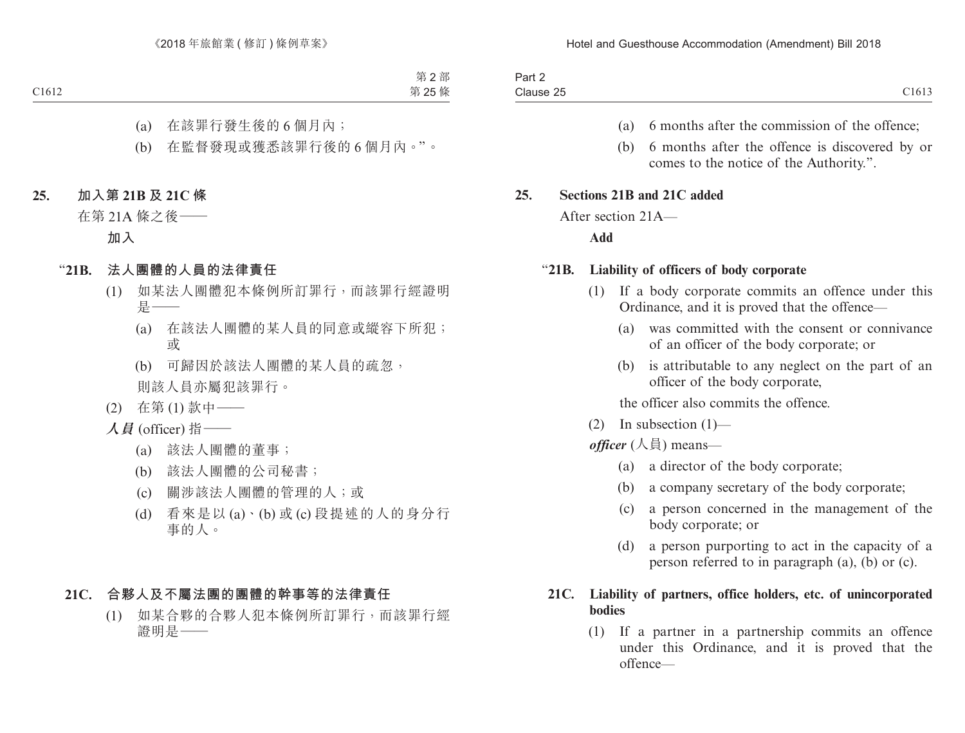| $\sim$<br>Part 2 |       |
|------------------|-------|
| Clause 25        | C1613 |

- (a) 6 months after the commission of the offence;
- (b) 6 months after the offence is discovered by or comes to the notice of the Authority.".

### **25. Sections 21B and 21C added**

After section 21A—

**Add**

## "**21B. Liability of officers of body corporate**

- (1) If a body corporate commits an offence under this Ordinance, and it is proved that the offence—
	- (a) was committed with the consent or connivance of an officer of the body corporate; or
	- (b) is attributable to any neglect on the part of an officer of the body corporate,

the officer also commits the offence.

 $(2)$  In subsection  $(1)$ —

*officer* (人員) means—

- (a) a director of the body corporate;
- (b) a company secretary of the body corporate;
- (c) a person concerned in the management of the body corporate; or
- (d) a person purporting to act in the capacity of a person referred to in paragraph (a), (b) or (c).

### **21C. Liability of partners, office holders, etc. of unincorporated bodies**

(1) If a partner in a partnership commits an offence under this Ordinance, and it is proved that the offence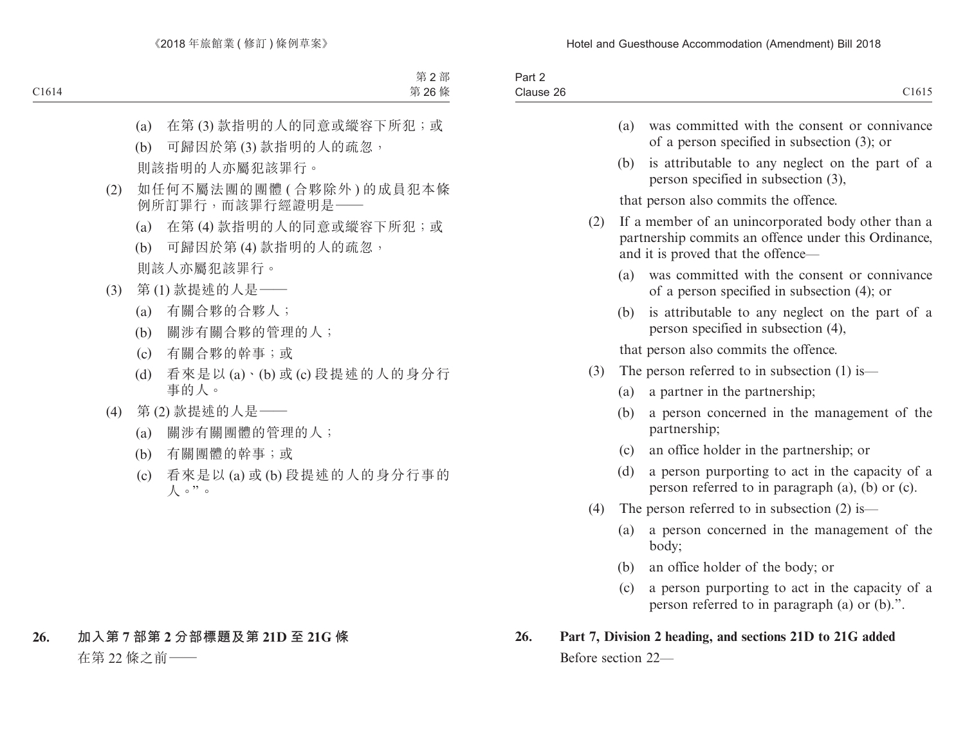Part 2

| C1615                                                                                                                                            |     |     |
|--------------------------------------------------------------------------------------------------------------------------------------------------|-----|-----|
| was committed with the consent or connivance<br>of a person specified in subsection $(3)$ ; or                                                   | (a) |     |
| is attributable to any neglect on the part of a<br>person specified in subsection (3),                                                           | (b) |     |
| that person also commits the offence.                                                                                                            |     |     |
| If a member of an unincorporated body other than a<br>partnership commits an offence under this Ordinance,<br>and it is proved that the offence— |     | (2) |
| was committed with the consent or connivance<br>of a person specified in subsection $(4)$ ; or                                                   | (a) |     |
| is attributable to any neglect on the part of a<br>person specified in subsection (4),                                                           | (b) |     |
| that person also commits the offence.                                                                                                            |     |     |
| The person referred to in subsection $(1)$ is—                                                                                                   |     | (3) |
| a partner in the partnership;                                                                                                                    | (a) |     |
| a person concerned in the management of the<br>partnership;                                                                                      | (b) |     |
| an office holder in the partnership; or                                                                                                          | (c) |     |
| a person purporting to act in the capacity of a<br>person referred to in paragraph $(a)$ , $(b)$ or $(c)$ .                                      | (d) |     |
| The person referred to in subsection $(2)$ is—                                                                                                   |     | (4) |
| a person concerned in the management of the<br>body;                                                                                             | (a) |     |
| an office holder of the body; or                                                                                                                 | (b) |     |
| a person purporting to act in the capacity of a<br>person referred to in paragraph (a) or (b).".                                                 | (c) |     |

# **26. Part 7, Division 2 heading, and sections 21D to 21G added** Before section 22—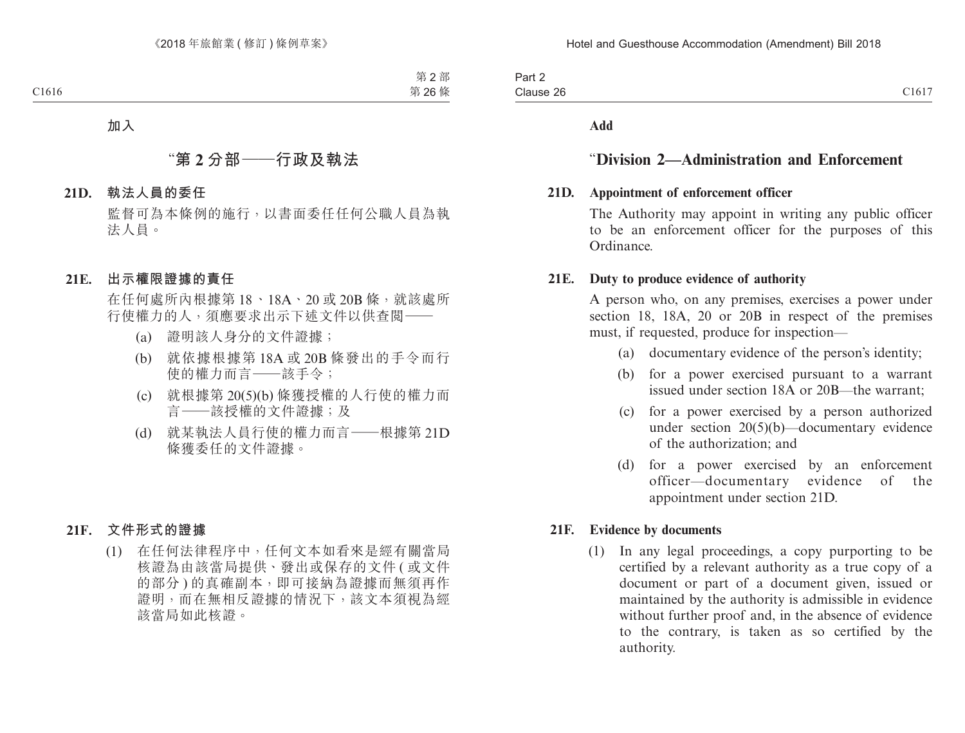Part 2 Clause 26 Clause  $26$  Clause  $26$ 

**Add**

# "**Division 2—Administration and Enforcement**

## **21D. Appointment of enforcement officer**

The Authority may appoint in writing any public officer to be an enforcement officer for the purposes of this Ordinance.

## **21E. Duty to produce evidence of authority**

A person who, on any premises, exercises a power under section 18, 18A, 20 or 20B in respect of the premises must, if requested, produce for inspection—

- (a) documentary evidence of the person's identity;
- (b) for a power exercised pursuant to a warrant issued under section 18A or 20B—the warrant;
- (c) for a power exercised by a person authorized under section 20(5)(b)—documentary evidence of the authorization; and
- (d) for a power exercised by an enforcement officer—documentary evidence of the appointment under section 21D.

## **21F. Evidence by documents**

(1) In any legal proceedings, a copy purporting to be certified by a relevant authority as a true copy of a document or part of a document given, issued or maintained by the authority is admissible in evidence without further proof and, in the absence of evidence to the contrary, is taken as so certified by the authority.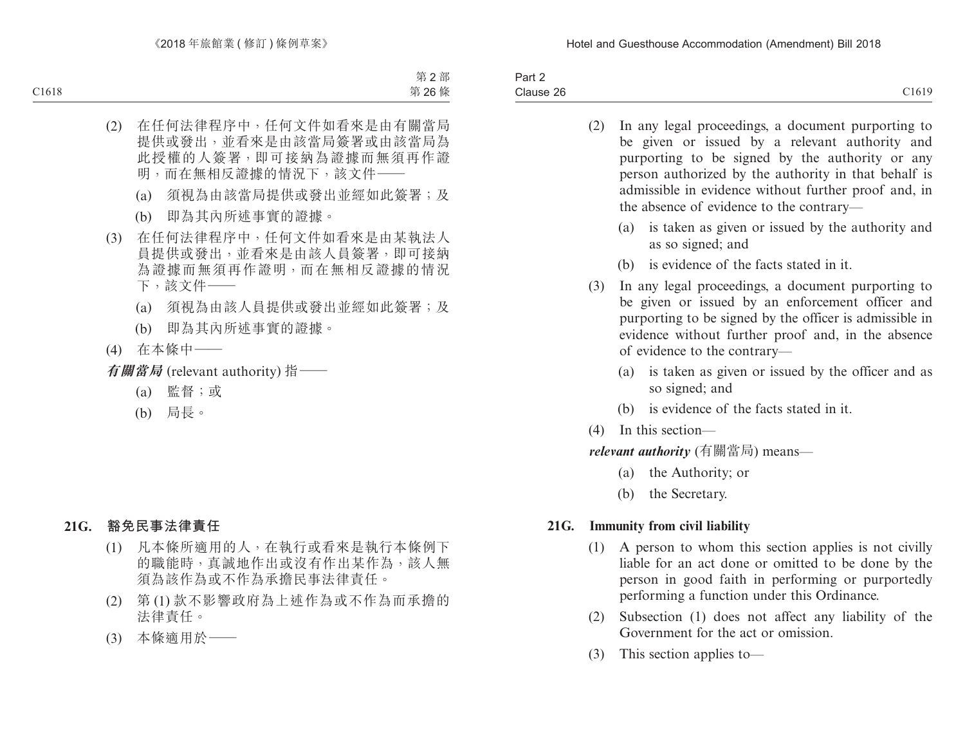| $\sim$ $\sim$<br>-<br>Part $\sim$ |       |
|-----------------------------------|-------|
| $\sim$<br>Clause 26               | C1619 |

- (2) In any legal proceedings, a document purporting to be given or issued by a relevant authority and purporting to be signed by the authority or any person authorized by the authority in that behalf is admissible in evidence without further proof and, in the absence of evidence to the contrary—
	- (a) is taken as given or issued by the authority and as so signed; and
	- (b) is evidence of the facts stated in it.
- (3) In any legal proceedings, a document purporting to be given or issued by an enforcement officer and purporting to be signed by the officer is admissible in evidence without further proof and, in the absence of evidence to the contrary—
	- (a) is taken as given or issued by the officer and as so signed; and
	- (b) is evidence of the facts stated in it.
- (4) In this section—

*relevant authority* (有關當局) means—

- (a) the Authority; or
- (b) the Secretary.

## **21G. Immunity from civil liability**

- (1) A person to whom this section applies is not civilly liable for an act done or omitted to be done by the person in good faith in performing or purportedly performing a function under this Ordinance.
- (2) Subsection (1) does not affect any liability of the Government for the act or omission.
- (3) This section applies to—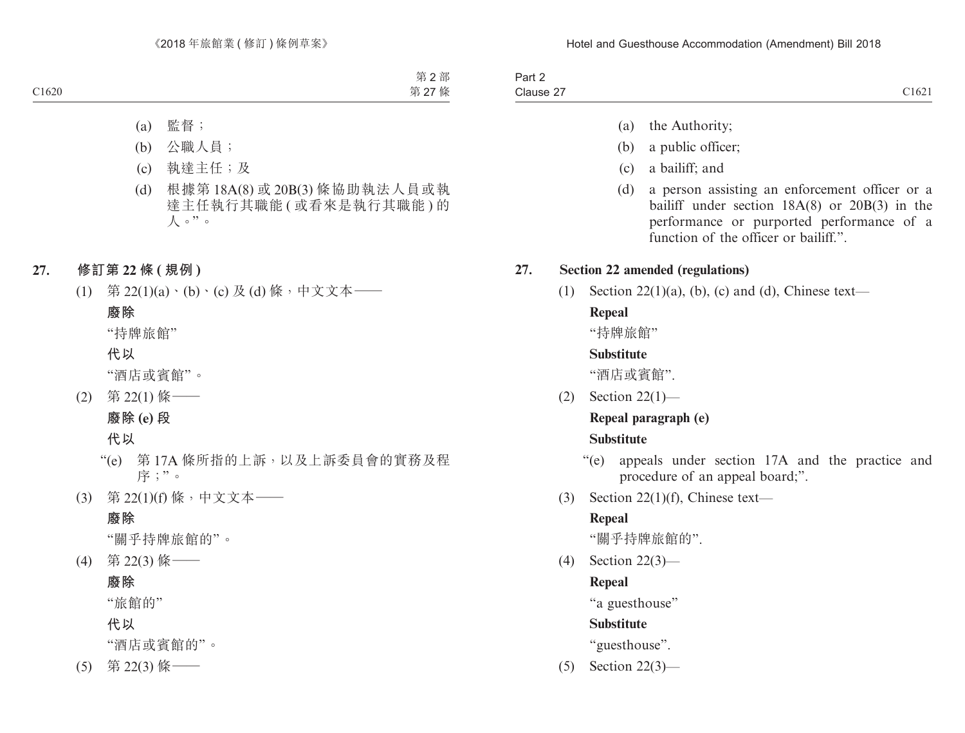| $\overline{\phantom{a}}$<br>າ~~+<br>−ail 4 |                             |
|--------------------------------------------|-----------------------------|
|                                            |                             |
| $\sim$ $-$                                 | $\sim$ $\sim$ $\sim$ $\sim$ |
| Clause 2                                   | -1621                       |
|                                            |                             |

- (a) the Authority;
- (b) a public officer;
- (c) a bailiff; and
- (d) a person assisting an enforcement officer or a bailiff under section 18A(8) or 20B(3) in the performance or purported performance of a function of the officer or bailiff."

# **27. Section 22 amended (regulations)**

(1) Section 22(1)(a), (b), (c) and (d), Chinese text—

# **Repeal**

"持牌旅館"

# **Substitute**

"酒店或賓館".

(2) Section 22(1)—

# **Repeal paragraph (e)**

# **Substitute**

- "(e) appeals under section 17A and the practice and procedure of an appeal board;".
- (3) Section 22(1)(f), Chinese text—

# **Repeal**

"關乎持牌旅館的".

(4) Section 22(3)—

# **Repeal**

"a guesthouse"

# **Substitute**

"guesthouse".

(5) Section 22(3)—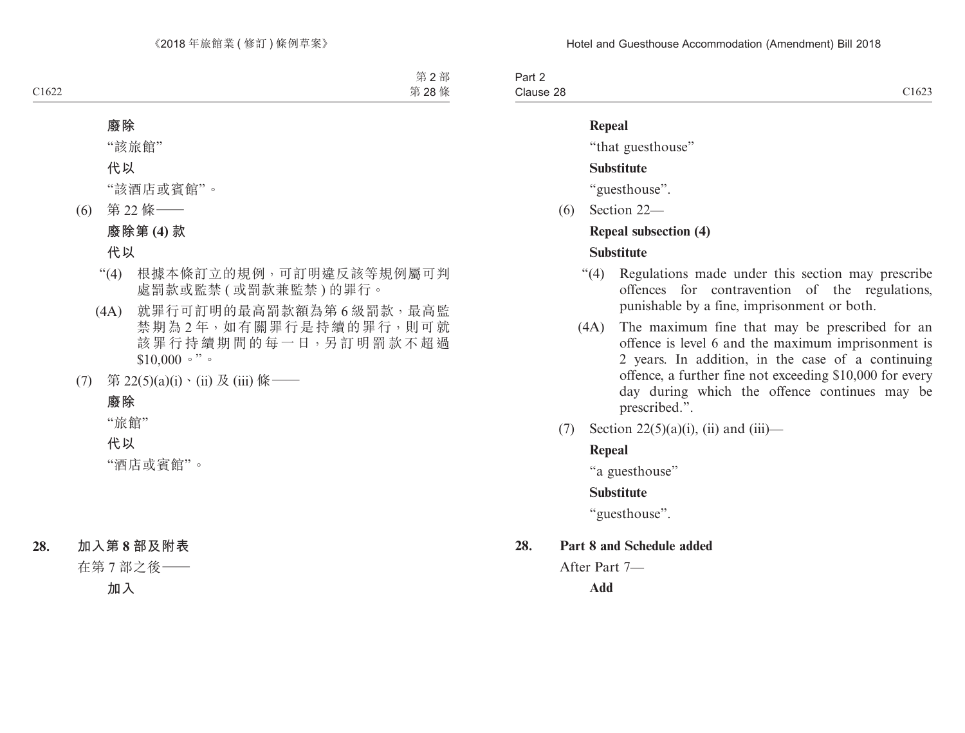Part 2 Clause 28 Clause 28 and 2016 23 and 2016 23 and 2016 23 and 2016 23 and 2016 23 and 2016 23 and 2016 23 and 2016 23 and 2016 23 and 2016 23 and 2016 23 and 2016 23 and 2016 23 and 2016 23 and 2016 23 and 2016 23 and 2017 2017 2017 2

#### **Repeal**

"that guesthouse"

### **Substitute**

"guesthouse".

(6) Section 22—

### **Repeal subsection (4)**

## **Substitute**

- "(4) Regulations made under this section may prescribe offences for contravention of the regulations, punishable by a fine, imprisonment or both.
- (4A) The maximum fine that may be prescribed for an offence is level 6 and the maximum imprisonment is 2 years. In addition, in the case of a continuing offence, a further fine not exceeding \$10,000 for every day during which the offence continues may be prescribed.".
- (7) Section  $22(5)(a)(i)$ , (ii) and (iii)—

# **Repeal**

"a guesthouse"

## **Substitute**

"guesthouse".

## **28. Part 8 and Schedule added**

After Part 7—

**Add**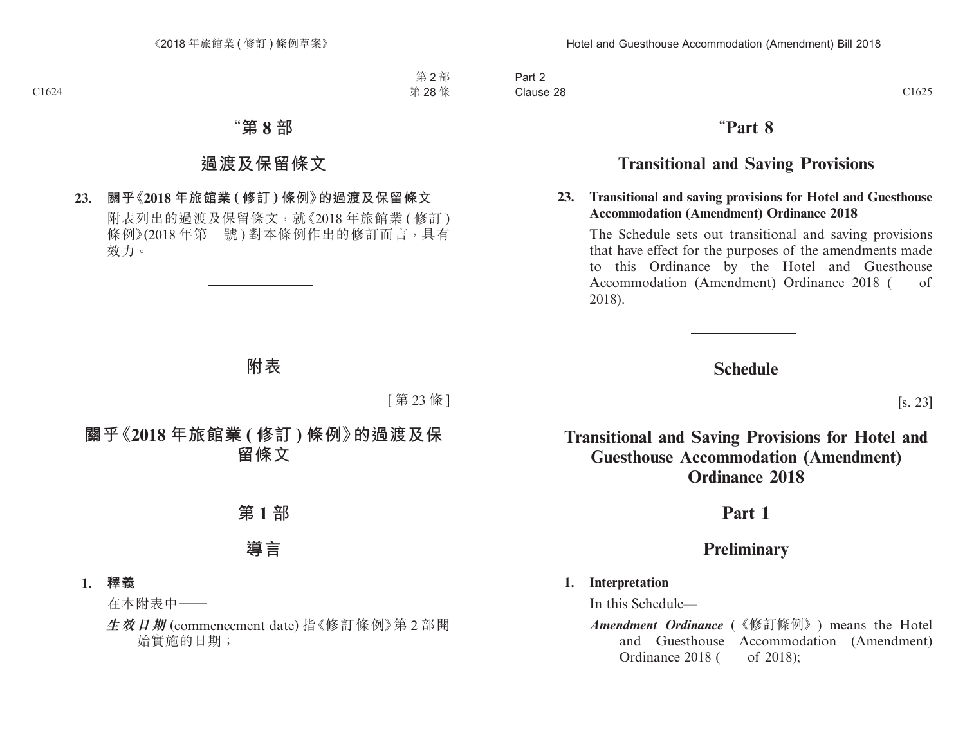| $\sim$<br>Part $\geq$ |       |
|-----------------------|-------|
| Clause 28             | C1625 |

# "**Part 8**

# **Transitional and Saving Provisions**

## **23. Transitional and saving provisions for Hotel and Guesthouse Accommodation (Amendment) Ordinance 2018**

The Schedule sets out transitional and saving provisions that have effect for the purposes of the amendments made to this Ordinance by the Hotel and Guesthouse Accommodation (Amendment) Ordinance 2018 ( of 2018).

# **Schedule**

[s. 23]

# **Transitional and Saving Provisions for Hotel and Guesthouse Accommodation (Amendment) Ordinance 2018**

# **Part 1**

# **Preliminary**

# **1. Interpretation**

In this Schedule—

*Amendment Ordinance* (《修訂條例》) means the Hotel and Guesthouse Accommodation (Amendment) Ordinance 2018 ( of 2018);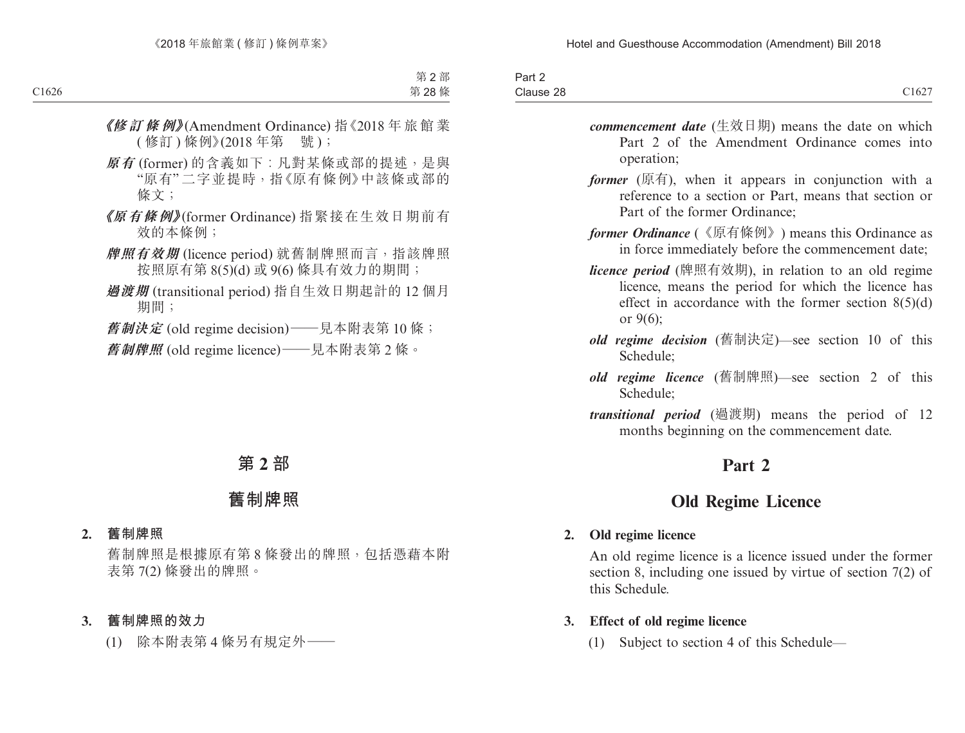| $ -$<br>$\sim$<br>າ~~+<br>Part 2 |       |
|----------------------------------|-------|
| Clause 28<br>--------            | C1627 |

- *commencement date* (生效日期) means the date on which Part 2 of the Amendment Ordinance comes into operation;
- *former* (原有), when it appears in conjunction with a reference to a section or Part, means that section or Part of the former Ordinance;
- *former Ordinance* (《原有條例》) means this Ordinance as in force immediately before the commencement date;
- *licence period* (牌照有效期), in relation to an old regime licence, means the period for which the licence has effect in accordance with the former section  $8(5)(d)$ or 9(6);
- *old regime decision* (舊制決定)—see section 10 of this Schedule;
- *old regime licence* (舊制牌照)—see section 2 of this Schedule;
- *transitional period* (過渡期) means the period of 12 months beginning on the commencement date.

# **Part 2**

# **Old Regime Licence**

## **2. Old regime licence**

An old regime licence is a licence issued under the former section 8, including one issued by virtue of section 7(2) of this Schedule.

- **3. Effect of old regime licence**
	- (1) Subject to section 4 of this Schedule—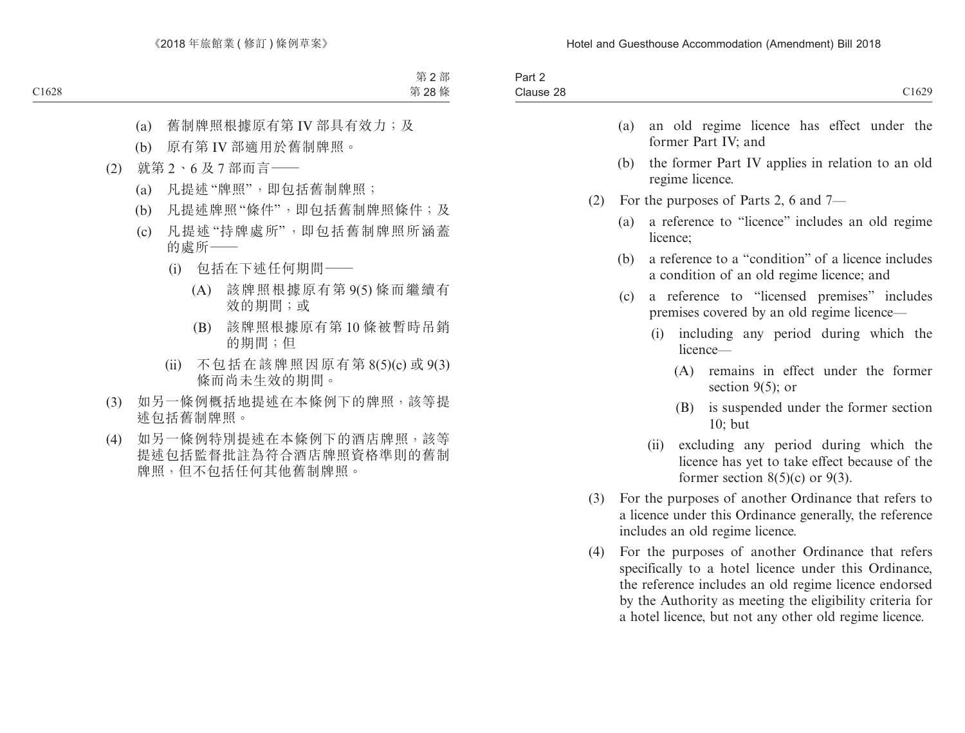| C1629                                                                                                                                                               |     | Part 2<br>Clause 28 |
|---------------------------------------------------------------------------------------------------------------------------------------------------------------------|-----|---------------------|
| an old regime licence has effect under the<br>former Part IV; and                                                                                                   | (a) |                     |
| the former Part IV applies in relation to an old<br>regime licence.                                                                                                 | (b) |                     |
| For the purposes of Parts 2, 6 and 7—                                                                                                                               | (2) |                     |
| a reference to "licence" includes an old regime<br>licence;                                                                                                         | (a) |                     |
| a reference to a "condition" of a licence includes<br>a condition of an old regime licence; and                                                                     | (b) |                     |
| a reference to "licensed premises" includes<br>premises covered by an old regime licence—                                                                           | (c) |                     |
| (i) including any period during which the<br>licence—                                                                                                               |     |                     |
| remains in effect under the former<br>(A)<br>section $9(5)$ ; or                                                                                                    |     |                     |
| is suspended under the former section<br>(B)<br>$10$ ; but                                                                                                          |     |                     |
| excluding any period during which the<br>(ii)<br>licence has yet to take effect because of the<br>former section $8(5)(c)$ or $9(3)$ .                              |     |                     |
| For the purposes of another Ordinance that refers to<br>a licence under this Ordinance generally, the reference<br>includes an old regime licence.                  | (3) |                     |
| For the purposes of another Ordinance that refers<br>specifically to a hotel licence under this Ordinance,<br>the reference includes an old regime licence endorsed | (4) |                     |

by the Authority as meeting the eligibility criteria for a hotel licence, but not any other old regime licence.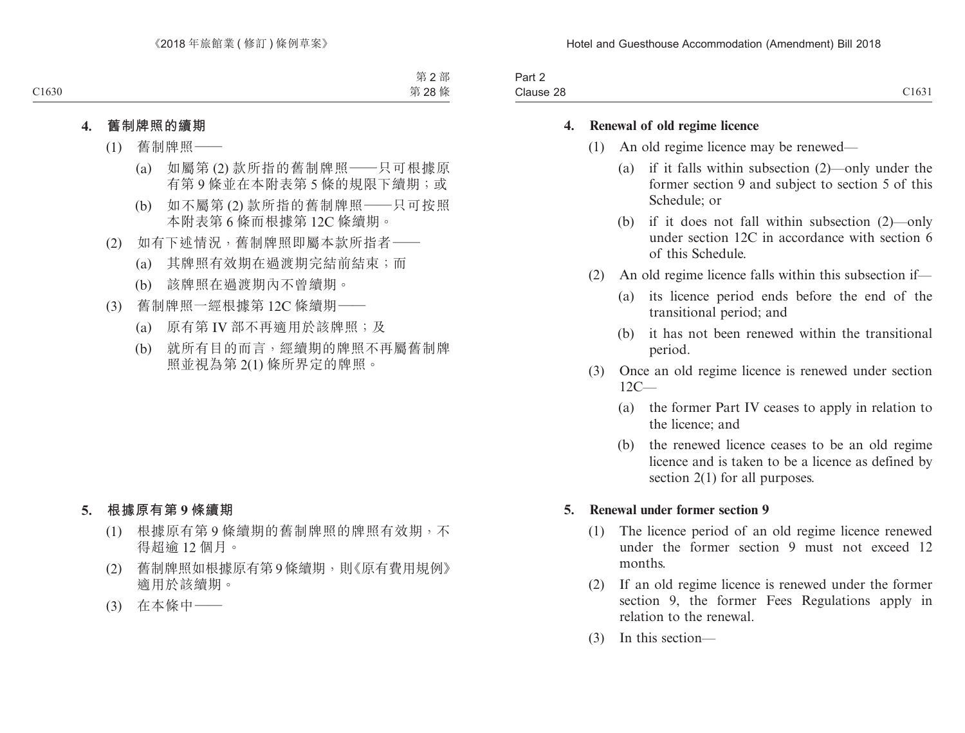| า~~<br>°a⊓t∠       |
|--------------------|
| Clause 28<br>C1631 |
|                    |

#### **4. Renewal of old regime licence**

- (1) An old regime licence may be renewed—
	- (a) if it falls within subsection (2)—only under the former section 9 and subject to section 5 of this Schedule; or
	- (b) if it does not fall within subsection (2)—only under section 12C in accordance with section 6 of this Schedule.
- (2) An old regime licence falls within this subsection if—
	- (a) its licence period ends before the end of the transitional period; and
	- (b) it has not been renewed within the transitional period.
- (3) Once an old regime licence is renewed under section  $12C_{-}$ 
	- (a) the former Part IV ceases to apply in relation to the licence; and
	- (b) the renewed licence ceases to be an old regime licence and is taken to be a licence as defined by section 2(1) for all purposes.

#### **5. Renewal under former section 9**

- (1) The licence period of an old regime licence renewed under the former section 9 must not exceed 12 months.
- (2) If an old regime licence is renewed under the former section 9, the former Fees Regulations apply in relation to the renewal.
- (3) In this section—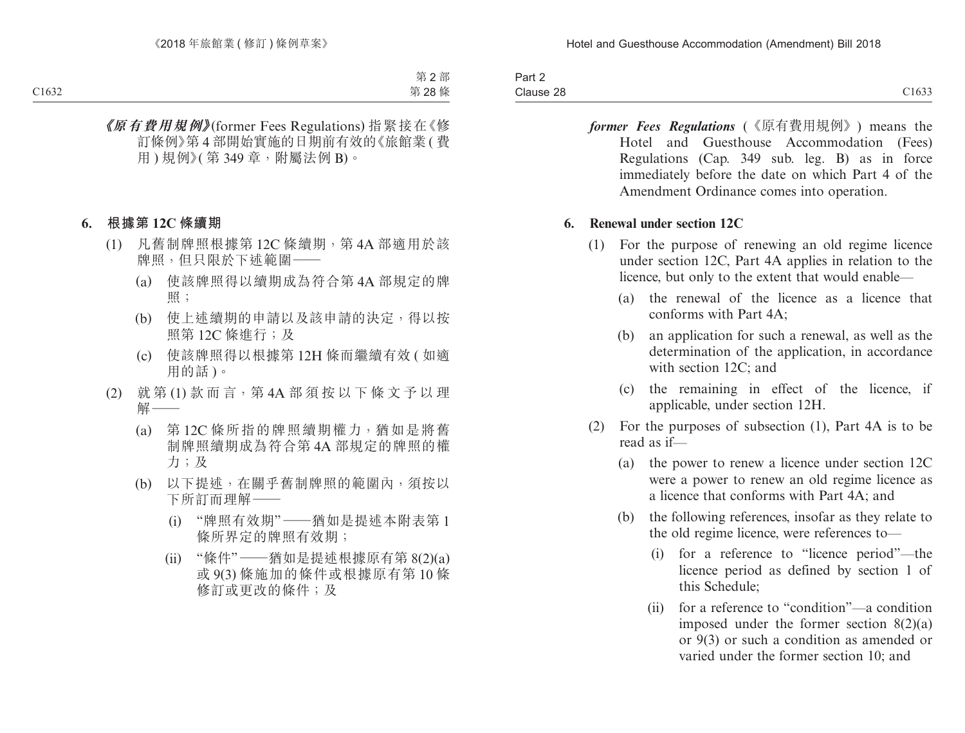| -<br>Part 2 |                |
|-------------|----------------|
| Clause 28   | 01022<br>C1633 |

*former Fees Regulations* (《原有費用規例》) means the Hotel and Guesthouse Accommodation (Fees) Regulations (Cap. 349 sub. leg. B) as in force immediately before the date on which Part 4 of the Amendment Ordinance comes into operation.

#### **6. Renewal under section 12C**

- (1) For the purpose of renewing an old regime licence under section 12C, Part 4A applies in relation to the licence, but only to the extent that would enable—
	- (a) the renewal of the licence as a licence that conforms with Part 4A;
	- (b) an application for such a renewal, as well as the determination of the application, in accordance with section 12C; and
	- (c) the remaining in effect of the licence, if applicable, under section 12H.
- (2) For the purposes of subsection (1), Part 4A is to be read as if—
	- (a) the power to renew a licence under section 12C were a power to renew an old regime licence as a licence that conforms with Part 4A; and
	- (b) the following references, insofar as they relate to the old regime licence, were references to—
		- (i) for a reference to "licence period"—the licence period as defined by section 1 of this Schedule;
		- (ii) for a reference to "condition"—a condition imposed under the former section  $8(2)(a)$ or 9(3) or such a condition as amended or varied under the former section 10; and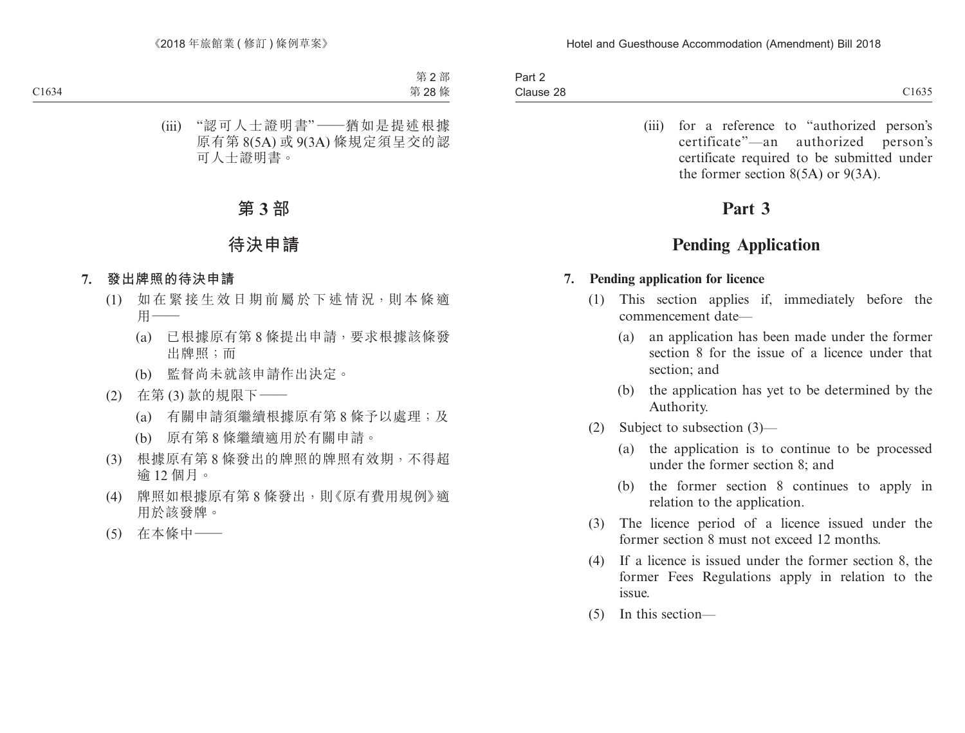| -<br>Part ∠         |                              |
|---------------------|------------------------------|
| $\sim$<br>Clause 28 | $\sim$ $\sim$ $\sim$<br>1635 |

(iii) for a reference to "authorized person's certificate"—an authorized person's certificate required to be submitted under the former section 8(5A) or 9(3A).

# **Part 3**

# **Pending Application**

#### **7. Pending application for licence**

- (1) This section applies if, immediately before the commencement date—
	- (a) an application has been made under the former section 8 for the issue of a licence under that section; and
	- (b) the application has yet to be determined by the Authority.
- (2) Subject to subsection (3)—
	- (a) the application is to continue to be processed under the former section 8; and
	- (b) the former section 8 continues to apply in relation to the application.
- (3) The licence period of a licence issued under the former section 8 must not exceed 12 months.
- (4) If a licence is issued under the former section 8, the former Fees Regulations apply in relation to the issue.
- (5) In this section—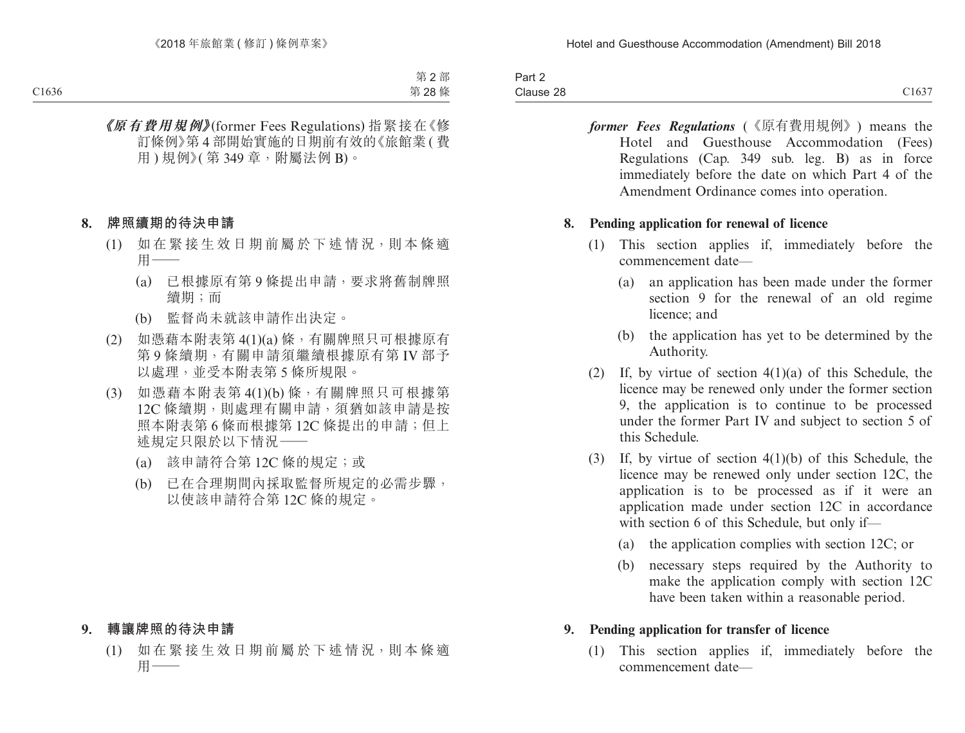| -<br>Part 2 |                |
|-------------|----------------|
| Clause 28   | 01000<br>C1637 |

*former Fees Regulations* (《原有費用規例》) means the Hotel and Guesthouse Accommodation (Fees) Regulations (Cap. 349 sub. leg. B) as in force immediately before the date on which Part 4 of the Amendment Ordinance comes into operation.

#### **8. Pending application for renewal of licence**

- (1) This section applies if, immediately before the commencement date—
	- (a) an application has been made under the former section 9 for the renewal of an old regime licence; and
	- (b) the application has yet to be determined by the Authority.
- (2) If, by virtue of section 4(1)(a) of this Schedule, the licence may be renewed only under the former section 9, the application is to continue to be processed under the former Part IV and subject to section 5 of this Schedule.
- (3) If, by virtue of section 4(1)(b) of this Schedule, the licence may be renewed only under section 12C, the application is to be processed as if it were an application made under section 12C in accordance with section 6 of this Schedule, but only if—
	- (a) the application complies with section 12C; or
	- (b) necessary steps required by the Authority to make the application comply with section 12C have been taken within a reasonable period.

#### **9. Pending application for transfer of licence**

(1) This section applies if, immediately before the commencement date—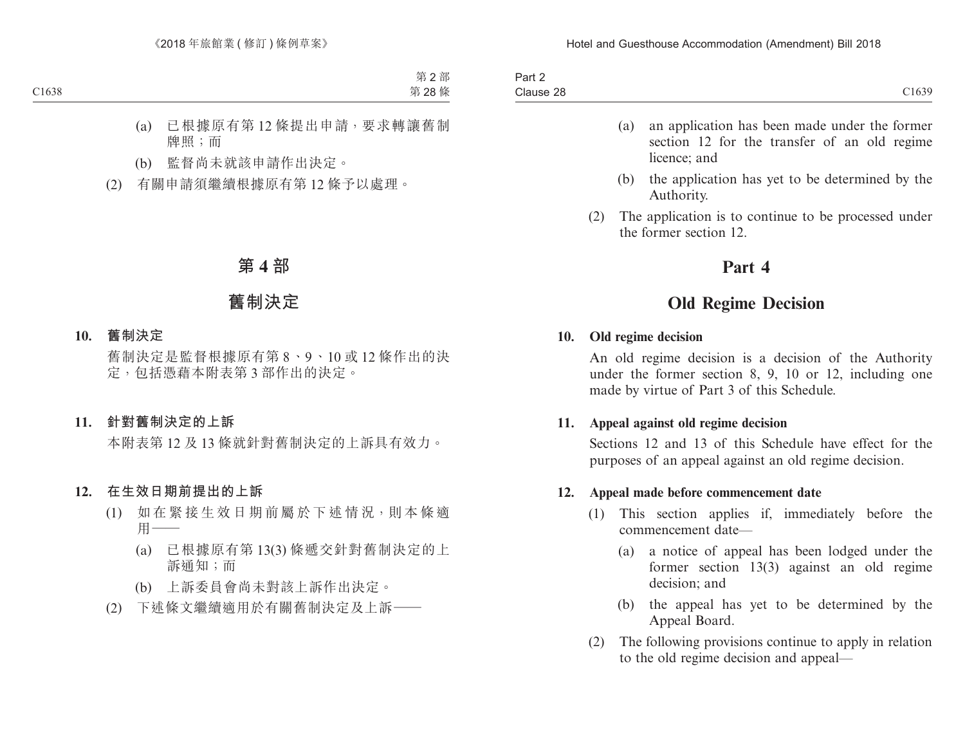| <b>Contract Contract Contract</b><br>$\overline{\phantom{a}}$<br>າ~~+<br><b>rait</b> |       |
|--------------------------------------------------------------------------------------|-------|
| Clause 28                                                                            | C1639 |

- (a) an application has been made under the former section 12 for the transfer of an old regime licence; and
- (b) the application has yet to be determined by the Authority.
- (2) The application is to continue to be processed under the former section 12.

# **Part 4**

# **Old Regime Decision**

### **10. Old regime decision**

An old regime decision is a decision of the Authority under the former section 8, 9, 10 or 12, including one made by virtue of Part 3 of this Schedule.

### **11. Appeal against old regime decision**

Sections 12 and 13 of this Schedule have effect for the purposes of an appeal against an old regime decision.

### **12. Appeal made before commencement date**

- (1) This section applies if, immediately before the commencement date—
	- (a) a notice of appeal has been lodged under the former section 13(3) against an old regime decision; and
	- (b) the appeal has yet to be determined by the Appeal Board.
- (2) The following provisions continue to apply in relation to the old regime decision and appeal—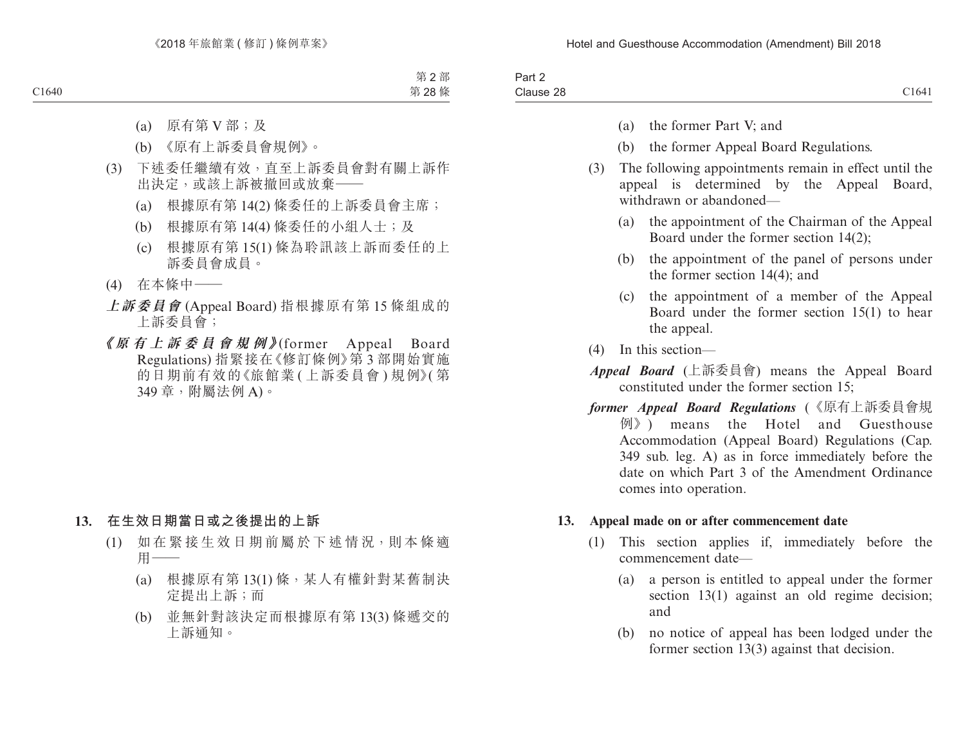| $U = U$ | .<br>. 164<br>- - - - - |
|---------|-------------------------|
|         |                         |

- (a) the former Part V; and
- (b) the former Appeal Board Regulations.
- (3) The following appointments remain in effect until the appeal is determined by the Appeal Board, withdrawn or abandoned—
	- (a) the appointment of the Chairman of the Appeal Board under the former section 14(2);
	- (b) the appointment of the panel of persons under the former section 14(4); and
	- (c) the appointment of a member of the Appeal Board under the former section 15(1) to hear the appeal.
- (4) In this section—
- *Appeal Board* (上訴委員會) means the Appeal Board constituted under the former section 15;
- *former Appeal Board Regulations* (《原有上訴委員會規 例》) means the Hotel and Guesthouse Accommodation (Appeal Board) Regulations (Cap. 349 sub. leg. A) as in force immediately before the date on which Part 3 of the Amendment Ordinance comes into operation.

#### **13. Appeal made on or after commencement date**

- (1) This section applies if, immediately before the commencement date—
	- (a) a person is entitled to appeal under the former section 13(1) against an old regime decision; and
	- (b) no notice of appeal has been lodged under the former section 13(3) against that decision.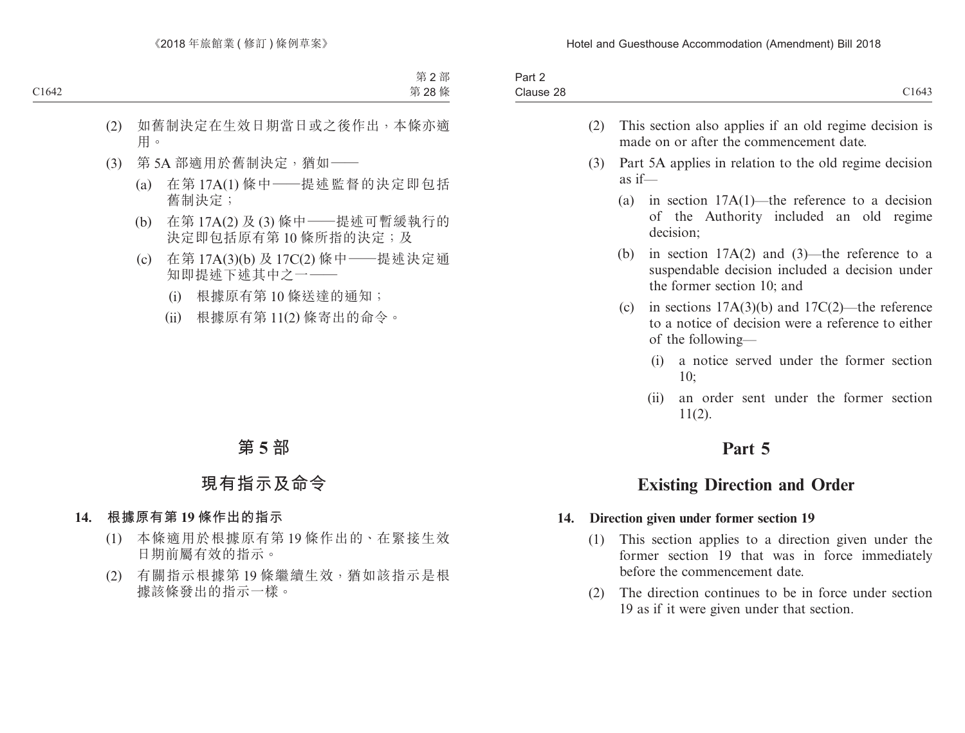| $\sim$<br>$\overline{\phantom{a}}$<br><b>Dort</b><br>∽arı ∠<br>$\cdots$ $\cdots$ |       |
|----------------------------------------------------------------------------------|-------|
| Clause 2F                                                                        | C1643 |
|                                                                                  |       |

- (2) This section also applies if an old regime decision is made on or after the commencement date.
- (3) Part 5A applies in relation to the old regime decision as if—
	- (a) in section 17A(1)—the reference to a decision of the Authority included an old regime decision;
	- (b) in section 17A(2) and (3)—the reference to a suspendable decision included a decision under the former section 10; and
	- (c) in sections  $17A(3)(b)$  and  $17C(2)$ —the reference to a notice of decision were a reference to either of the following—
		- (i) a notice served under the former section 10;
		- (ii) an order sent under the former section  $11(2)$ .

# **Part 5**

# **Existing Direction and Order**

### **14. Direction given under former section 19**

- (1) This section applies to a direction given under the former section 19 that was in force immediately before the commencement date.
- (2) The direction continues to be in force under section 19 as if it were given under that section.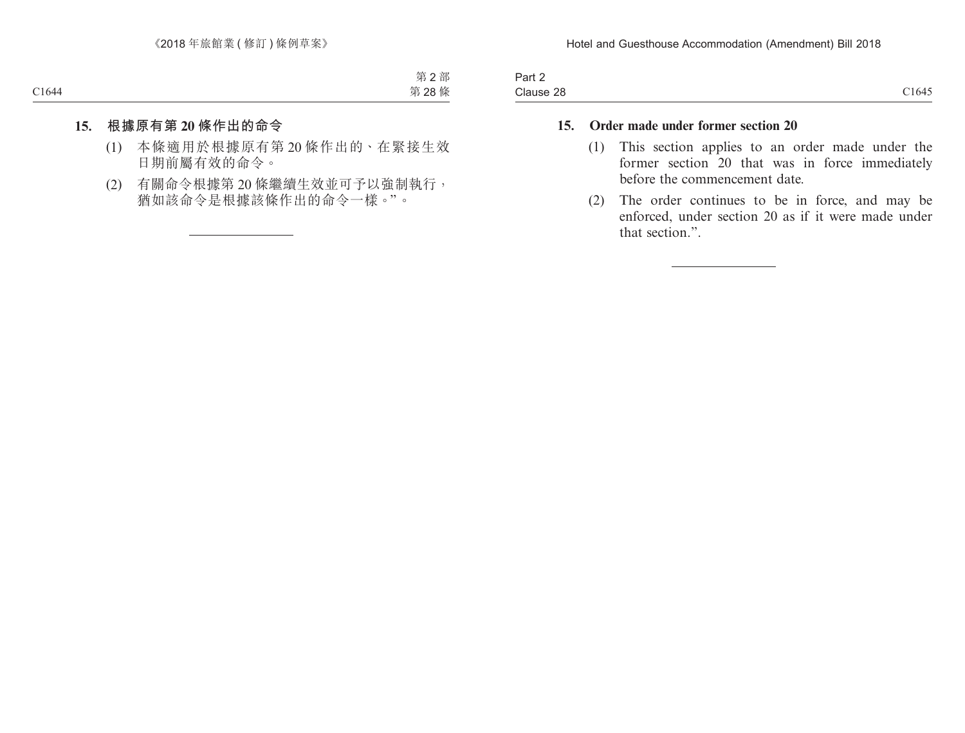| $\overline{\phantom{a}}$<br>า~~+<br>−ail 4 |                                   |
|--------------------------------------------|-----------------------------------|
| Clause 28                                  | C1CAE<br>102<br>$\cup$ 10+ $\cup$ |

# **15. Order made under former section 20**

- (1) This section applies to an order made under the former section 20 that was in force immediately before the commencement date.
- (2) The order continues to be in force, and may be enforced, under section 20 as if it were made under that section.".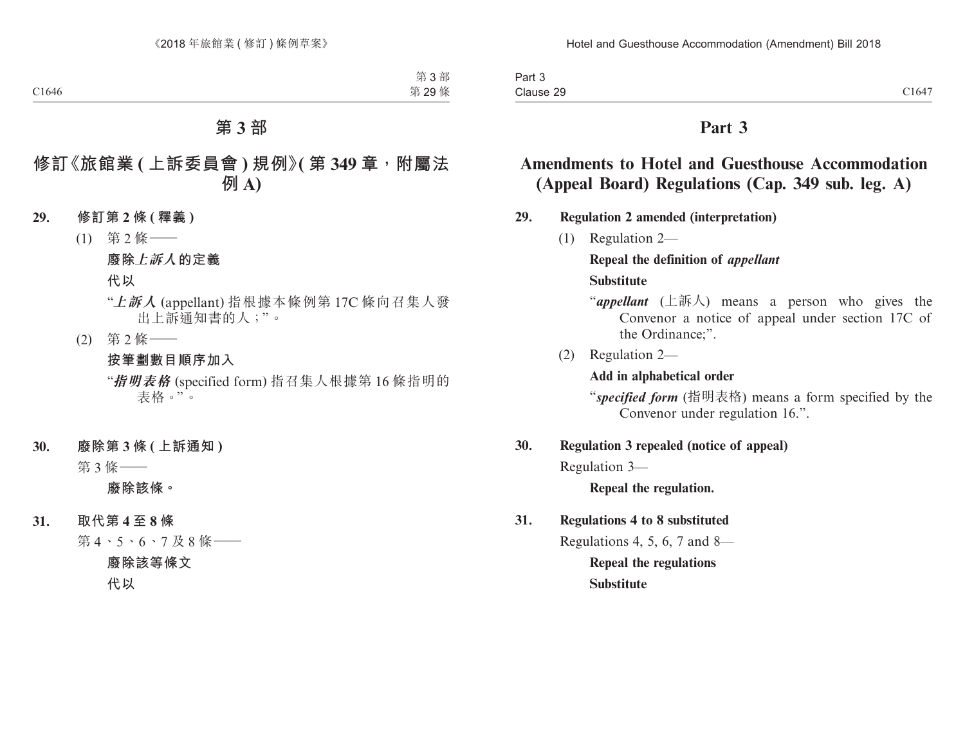# **Part 3**

# **Amendments to Hotel and Guesthouse Accommodation (Appeal Board) Regulations (Cap. 349 sub. leg. A)**

## **29. Regulation 2 amended (interpretation)**

(1) Regulation 2—

# **Repeal the definition of** *appellant* **Substitute**

- "*appellant* (上訴人) means a person who gives the Convenor a notice of appeal under section 17C of the Ordinance;".
- (2) Regulation 2—

### **Add in alphabetical order**

"*specified form* (指明表格) means a form specified by the Convenor under regulation 16.".

# **30. Regulation 3 repealed (notice of appeal)**

Regulation 3—

**Repeal the regulation.**

## **31. Regulations 4 to 8 substituted**

Regulations 4, 5, 6, 7 and 8— **Repeal the regulations**

**Substitute**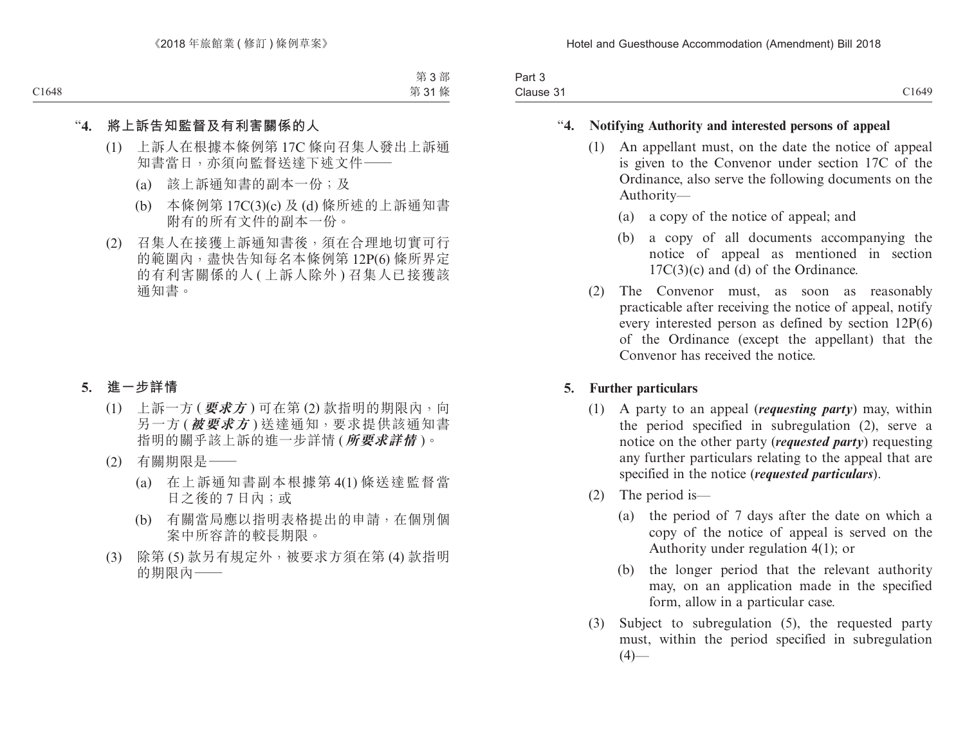| Part 3    |       |
|-----------|-------|
| Clause 31 | C1649 |

# "**4. Notifying Authority and interested persons of appeal**

- (1) An appellant must, on the date the notice of appeal is given to the Convenor under section 17C of the Ordinance, also serve the following documents on the Authority—
	- (a) a copy of the notice of appeal; and
	- (b) a copy of all documents accompanying the notice of appeal as mentioned in section 17C(3)(c) and (d) of the Ordinance.
- (2) The Convenor must, as soon as reasonably practicable after receiving the notice of appeal, notify every interested person as defined by section 12P(6) of the Ordinance (except the appellant) that the Convenor has received the notice.

## **5. Further particulars**

- (1) A party to an appeal (*requesting party*) may, within the period specified in subregulation (2), serve a notice on the other party (*requested party*) requesting any further particulars relating to the appeal that are specified in the notice (*requested particulars*).
- (2) The period is—
	- (a) the period of 7 days after the date on which a copy of the notice of appeal is served on the Authority under regulation 4(1); or
	- (b) the longer period that the relevant authority may, on an application made in the specified form, allow in a particular case.
- (3) Subject to subregulation (5), the requested party must, within the period specified in subregulation  $(4)$ —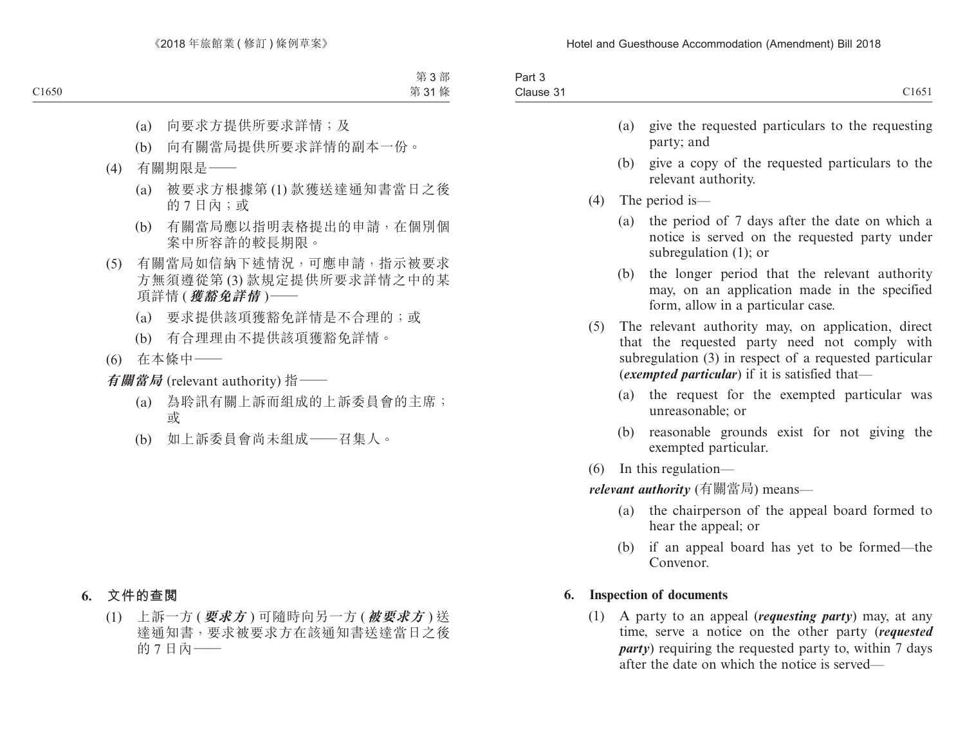| Part 3                          |                                                               |
|---------------------------------|---------------------------------------------------------------|
| Clause 3 <sup>-</sup><br>.<br>. | $\sim$ $\sim$ $\sim$ $\sim$ $\sim$<br>- 105.<br>$\sim$ $\sim$ |
|                                 |                                                               |

- (a) give the requested particulars to the requesting party; and
- (b) give a copy of the requested particulars to the relevant authority.
- (4) The period is—
	- (a) the period of 7 days after the date on which a notice is served on the requested party under subregulation (1); or
	- (b) the longer period that the relevant authority may, on an application made in the specified form, allow in a particular case.
- (5) The relevant authority may, on application, direct that the requested party need not comply with subregulation (3) in respect of a requested particular (*exempted particular*) if it is satisfied that—
	- (a) the request for the exempted particular was unreasonable; or
	- (b) reasonable grounds exist for not giving the exempted particular.
- (6) In this regulation—

*relevant authority* (有關當局) means—

- (a) the chairperson of the appeal board formed to hear the appeal; or
- (b) if an appeal board has yet to be formed—the Convenor.

### **6. Inspection of documents**

(1) A party to an appeal (*requesting party*) may, at any time, serve a notice on the other party (*requested party*) requiring the requested party to, within 7 days after the date on which the notice is served—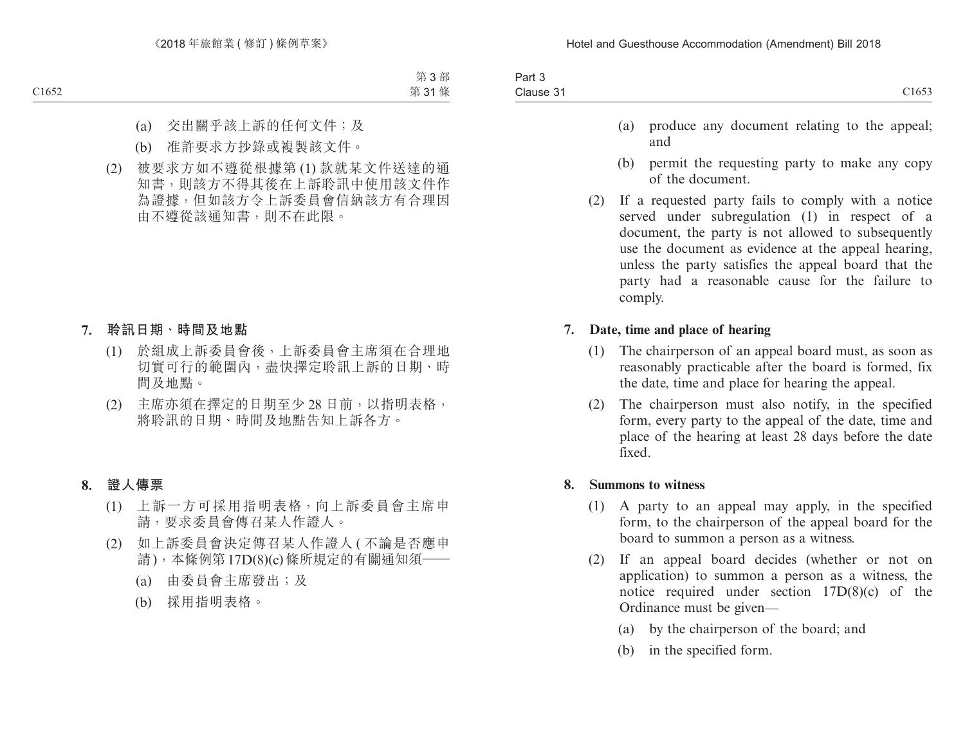| າ~~+<br>ail J<br>---- |                |
|-----------------------|----------------|
| -<br>Clause 31        | 01752<br>ددە1. |

- (a) produce any document relating to the appeal; and
- (b) permit the requesting party to make any copy of the document.
- (2) If a requested party fails to comply with a notice served under subregulation (1) in respect of a document, the party is not allowed to subsequently use the document as evidence at the appeal hearing, unless the party satisfies the appeal board that the party had a reasonable cause for the failure to comply.

#### **7. Date, time and place of hearing**

- (1) The chairperson of an appeal board must, as soon as reasonably practicable after the board is formed, fix the date, time and place for hearing the appeal.
- (2) The chairperson must also notify, in the specified form, every party to the appeal of the date, time and place of the hearing at least 28 days before the date fixed.

#### **8. Summons to witness**

- (1) A party to an appeal may apply, in the specified form, to the chairperson of the appeal board for the board to summon a person as a witness.
- (2) If an appeal board decides (whether or not on application) to summon a person as a witness, the notice required under section 17D(8)(c) of the Ordinance must be given—
	- (a) by the chairperson of the board; and
	- (b) in the specified form.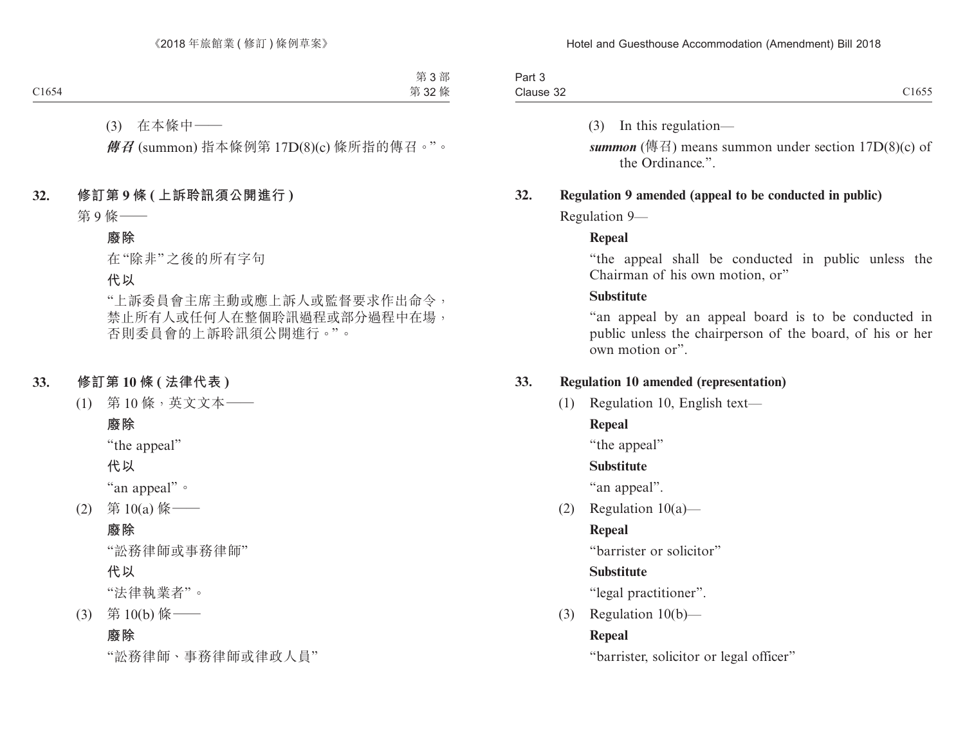| 3 <sub>0</sub><br>ail J |                                             |
|-------------------------|---------------------------------------------|
| Clause 32               | $\sim$ $\sim$ $\sim$ $\sim$ $\sim$<br>-1055 |

(3) In this regulation—

**summon** (傳召) means summon under section  $17D(8)(c)$  of the Ordinance."

### **32. Regulation 9 amended (appeal to be conducted in public)**

Regulation 9—

#### **Repeal**

"the appeal shall be conducted in public unless the Chairman of his own motion, or"

#### **Substitute**

"an appeal by an appeal board is to be conducted in public unless the chairperson of the board, of his or her own motion or".

### **33. Regulation 10 amended (representation)**

(1) Regulation 10, English text—

### **Repeal**

"the appeal"

#### **Substitute**

"an appeal".

(2) Regulation 10(a)—

### **Repeal**

"barrister or solicitor"

## **Substitute**

"legal practitioner".

(3) Regulation 10(b)—

#### **Repeal**

"barrister, solicitor or legal officer"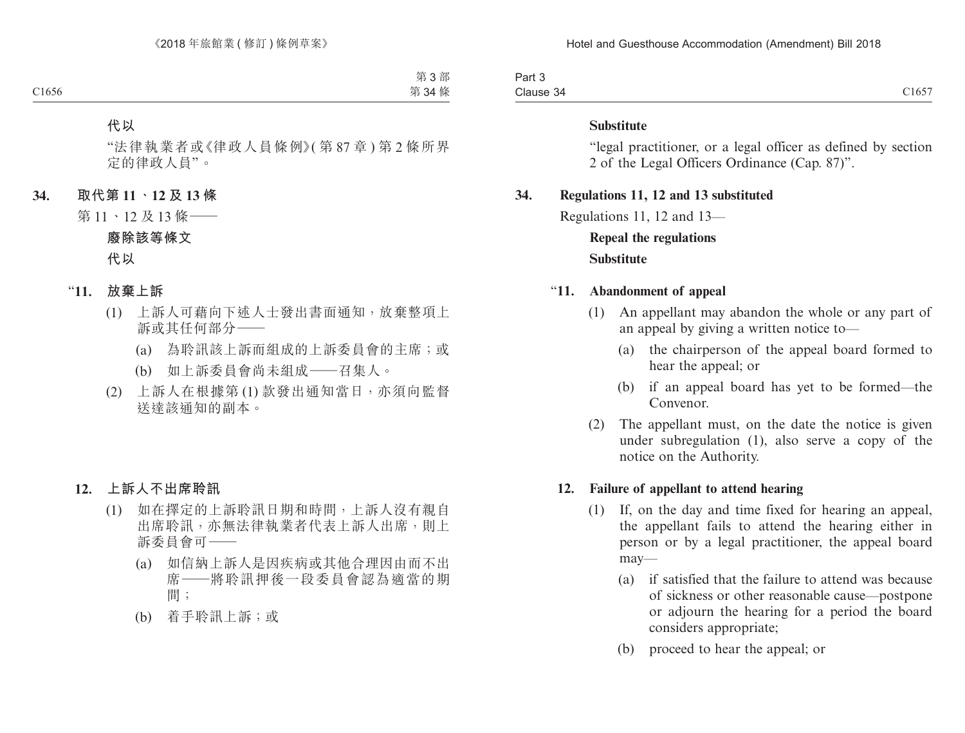| _<br>Part 5 |                                     |
|-------------|-------------------------------------|
| Clause 34   | $\sim$ $\sim$ $\sim$ $\sim$<br>103/ |

#### **Substitute**

"legal practitioner, or a legal officer as defined by section 2 of the Legal Officers Ordinance (Cap. 87)".

### **34. Regulations 11, 12 and 13 substituted**

Regulations 11, 12 and 13—

## **Repeal the regulations Substitute**

#### "**11. Abandonment of appeal**

- (1) An appellant may abandon the whole or any part of an appeal by giving a written notice to—
	- (a) the chairperson of the appeal board formed to hear the appeal; or
	- (b) if an appeal board has yet to be formed—the Convenor.
- (2) The appellant must, on the date the notice is given under subregulation (1), also serve a copy of the notice on the Authority.

#### **12. Failure of appellant to attend hearing**

- (1) If, on the day and time fixed for hearing an appeal, the appellant fails to attend the hearing either in person or by a legal practitioner, the appeal board may—
	- (a) if satisfied that the failure to attend was because of sickness or other reasonable cause—postpone or adjourn the hearing for a period the board considers appropriate;
	- (b) proceed to hear the appeal; or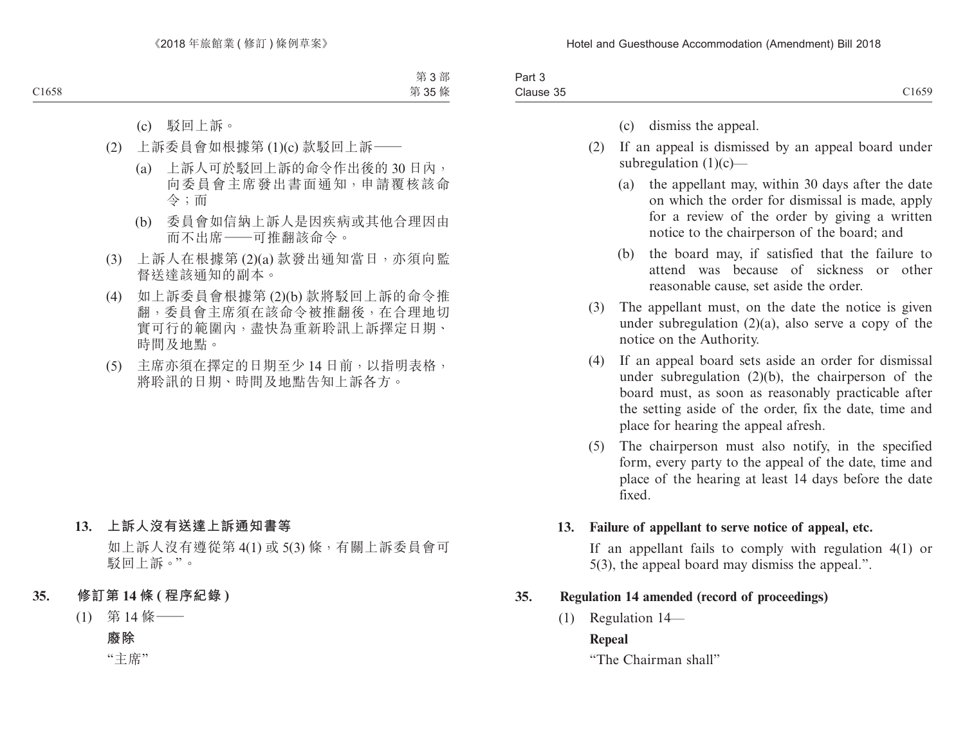| $\sim$ $\sim$ $\sim$ $\sim$<br>Clause 35<br>-1659 | Part 3 |  |
|---------------------------------------------------|--------|--|
|                                                   |        |  |

- (c) dismiss the appeal.
- (2) If an appeal is dismissed by an appeal board under subregulation  $(1)(c)$ —
	- (a) the appellant may, within 30 days after the date on which the order for dismissal is made, apply for a review of the order by giving a written notice to the chairperson of the board; and
	- (b) the board may, if satisfied that the failure to attend was because of sickness or other reasonable cause, set aside the order.
- (3) The appellant must, on the date the notice is given under subregulation  $(2)(a)$ , also serve a copy of the notice on the Authority.
- (4) If an appeal board sets aside an order for dismissal under subregulation  $(2)(b)$ , the chairperson of the board must, as soon as reasonably practicable after the setting aside of the order, fix the date, time and place for hearing the appeal afresh.
- (5) The chairperson must also notify, in the specified form, every party to the appeal of the date, time and place of the hearing at least 14 days before the date fixed.

### **13. Failure of appellant to serve notice of appeal, etc.**

If an appellant fails to comply with regulation 4(1) or 5(3), the appeal board may dismiss the appeal.".

## **35. Regulation 14 amended (record of proceedings)**

(1) Regulation 14—

# **Repeal**

"The Chairman shall"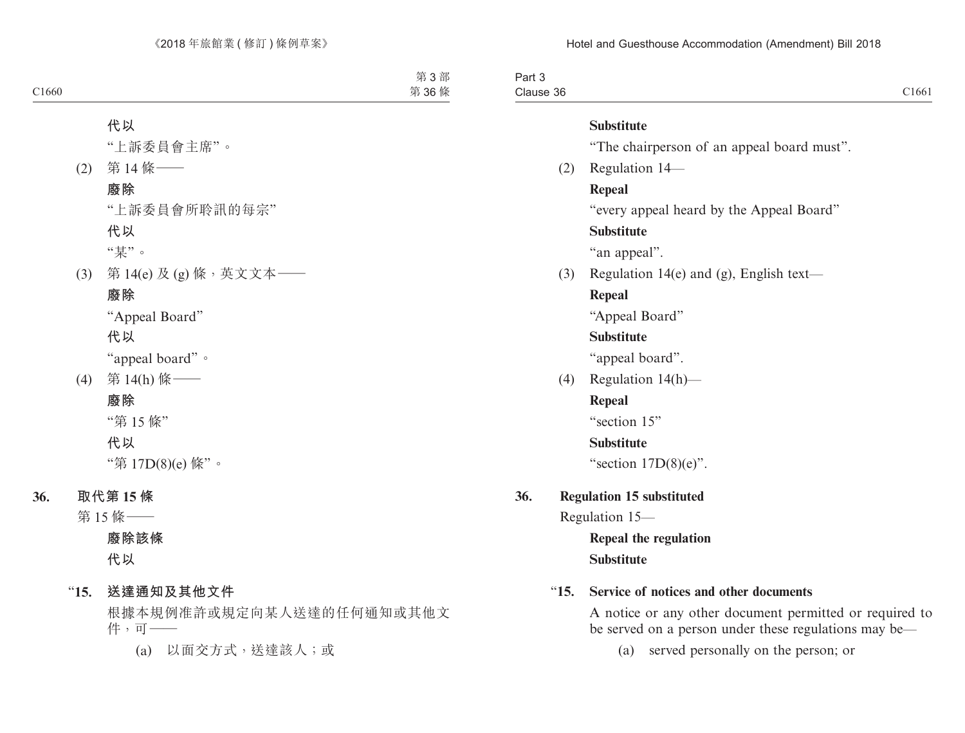| $. \,$<br>Fail c |                                        |
|------------------|----------------------------------------|
| Clause 36        | $\sim$ 1 $\sim$ 1<br>C <sub>1661</sub> |

#### **Substitute**

"The chairperson of an appeal board must".

(2) Regulation 14—

#### **Repeal**

"every appeal heard by the Appeal Board"

## **Substitute**

"an appeal".

(3) Regulation 14(e) and (g), English text—

## **Repeal**

"Appeal Board"

# **Substitute**

"appeal board".

(4) Regulation 14(h)—

# **Repeal**

"section 15"

# **Substitute**

"section  $17D(8)(e)$ ".

# **36. Regulation 15 substituted**

Regulation 15—

**Repeal the regulation**

# **Substitute**

## "**15. Service of notices and other documents**

A notice or any other document permitted or required to be served on a person under these regulations may be—

(a) served personally on the person; or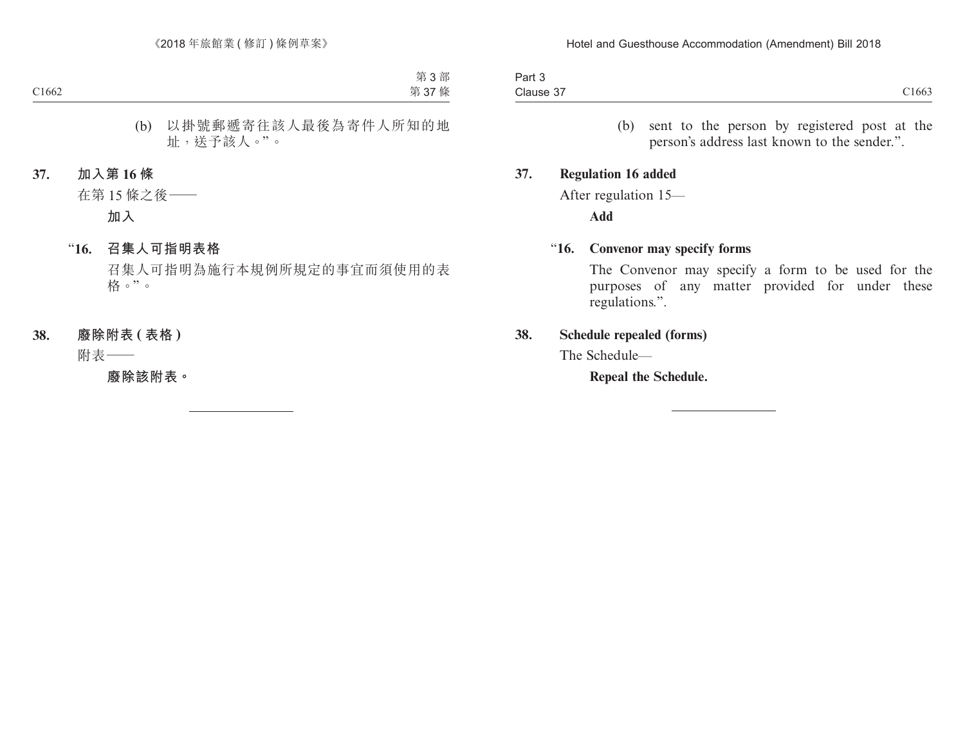| Part 3    |       |
|-----------|-------|
| Clause 37 | C1663 |

(b) sent to the person by registered post at the person's address last known to the sender.".

### **37. Regulation 16 added**

After regulation 15—

**Add**

### "**16. Convenor may specify forms**

The Convenor may specify a form to be used for the purposes of any matter provided for under these regulations.".

## **38. Schedule repealed (forms)**

The Schedule—

**Repeal the Schedule.**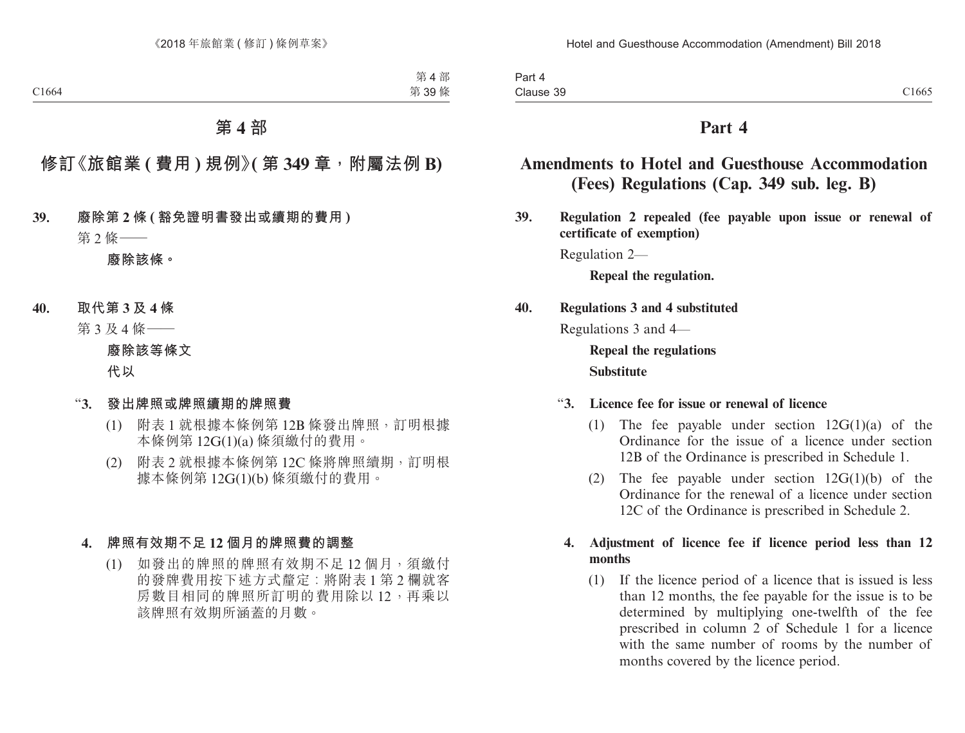# **Part 4**

# **Amendments to Hotel and Guesthouse Accommodation (Fees) Regulations (Cap. 349 sub. leg. B)**

**39. Regulation 2 repealed (fee payable upon issue or renewal of certificate of exemption)**

Regulation 2—

**Repeal the regulation.**

# **40. Regulations 3 and 4 substituted**

Regulations 3 and 4—

**Repeal the regulations Substitute**

### "**3. Licence fee for issue or renewal of licence**

- (1) The fee payable under section 12G(1)(a) of the Ordinance for the issue of a licence under section 12B of the Ordinance is prescribed in Schedule 1.
- (2) The fee payable under section  $12G(1)(b)$  of the Ordinance for the renewal of a licence under section 12C of the Ordinance is prescribed in Schedule 2.

## **4. Adjustment of licence fee if licence period less than 12 months**

(1) If the licence period of a licence that is issued is less than 12 months, the fee payable for the issue is to be determined by multiplying one-twelfth of the fee prescribed in column 2 of Schedule 1 for a licence with the same number of rooms by the number of months covered by the licence period.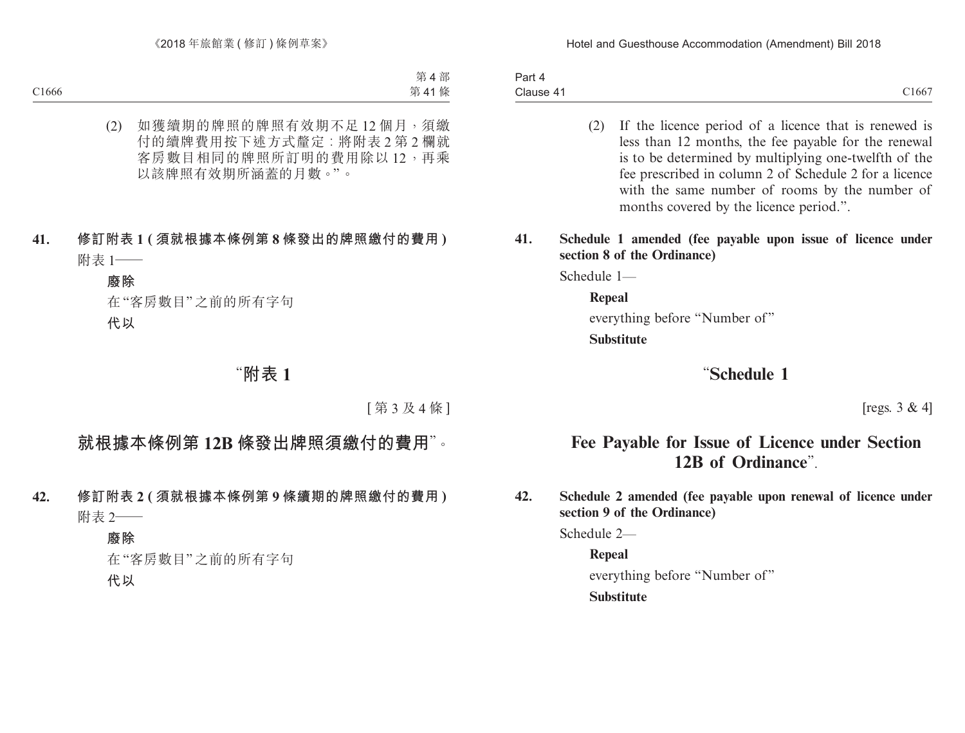Part 4 Clause 41 Clause 41  $C1667$ 

- (2) If the licence period of a licence that is renewed is less than 12 months, the fee payable for the renewal is to be determined by multiplying one-twelfth of the fee prescribed in column 2 of Schedule 2 for a licence with the same number of rooms by the number of months covered by the licence period.".
- **41. Schedule 1 amended (fee payable upon issue of licence under section 8 of the Ordinance)**

Schedule 1—

**Repeal**  everything before "Number of" **Substitute**

# "**Schedule 1**

[regs. 3 & 4]

# **Fee Payable for Issue of Licence under Section 12B of Ordinance**".

**42. Schedule 2 amended (fee payable upon renewal of licence under section 9 of the Ordinance)**

Schedule 2—

**Repeal**

everything before "Number of" **Substitute**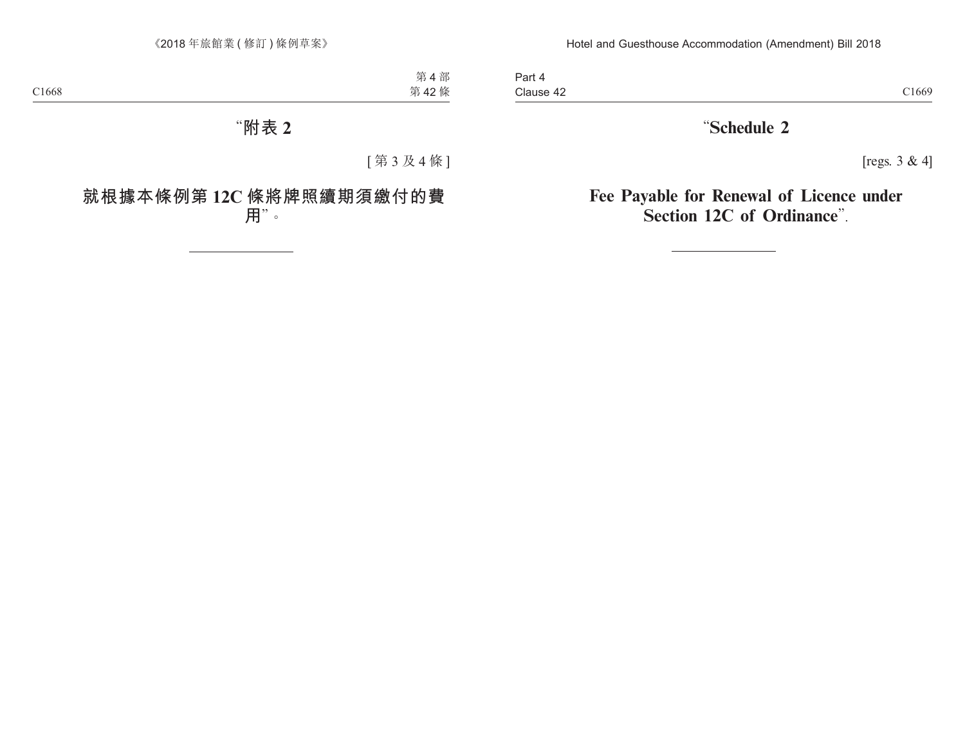Part 4 Clause 42 Clause  $42$  Close  $42$ 

# "**Schedule 2**

[regs. 3 & 4]

**Fee Payable for Renewal of Licence under Section 12C of Ordinance**".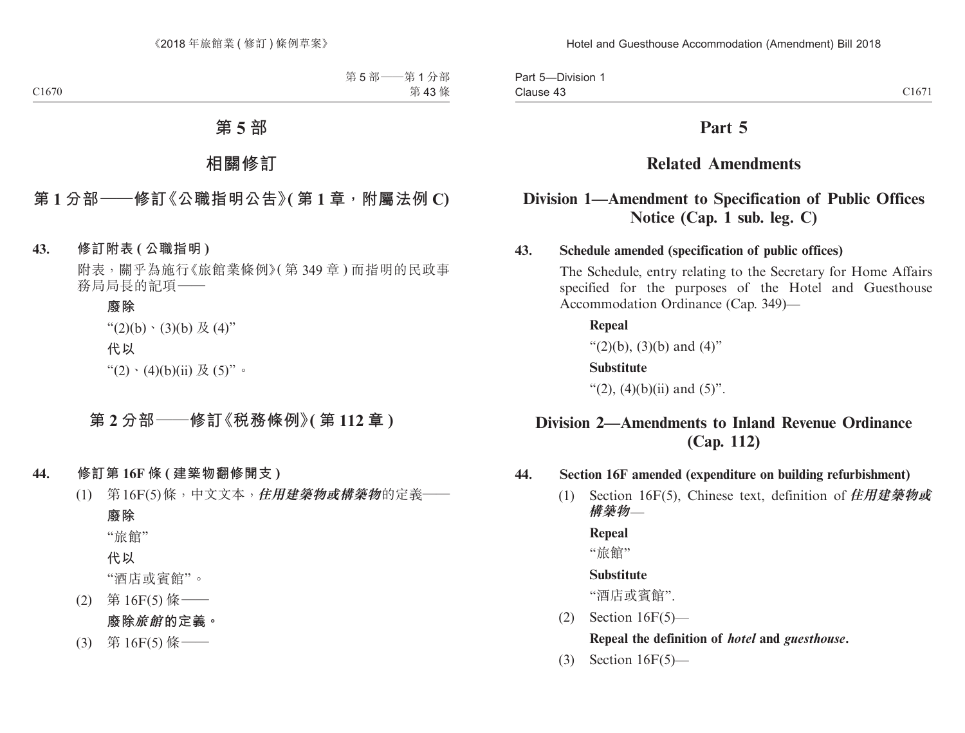# **Part 5**

# **Related Amendments**

# **Division 1—Amendment to Specification of Public Offices Notice (Cap. 1 sub. leg. C)**

## **43. Schedule amended (specification of public offices)**

The Schedule, entry relating to the Secretary for Home Affairs specified for the purposes of the Hotel and Guesthouse Accommodation Ordinance (Cap. 349)—

**Repeal** " $(2)(b)$ ,  $(3)(b)$  and  $(4)$ " **Substitute** "(2),  $(4)(b)(ii)$  and  $(5)$ ".

# **Division 2—Amendments to Inland Revenue Ordinance (Cap. 112)**

## **44. Section 16F amended (expenditure on building refurbishment)**

(1) Section 16F(5), Chinese text, definition of **住用建築物或 構築物**—

**Repeal**

"旅館"

## **Substitute**

"酒店或賓館".

(2) Section 16F(5)—

## **Repeal the definition of** *hotel* **and** *guesthouse***.**

(3) Section 16F(5)—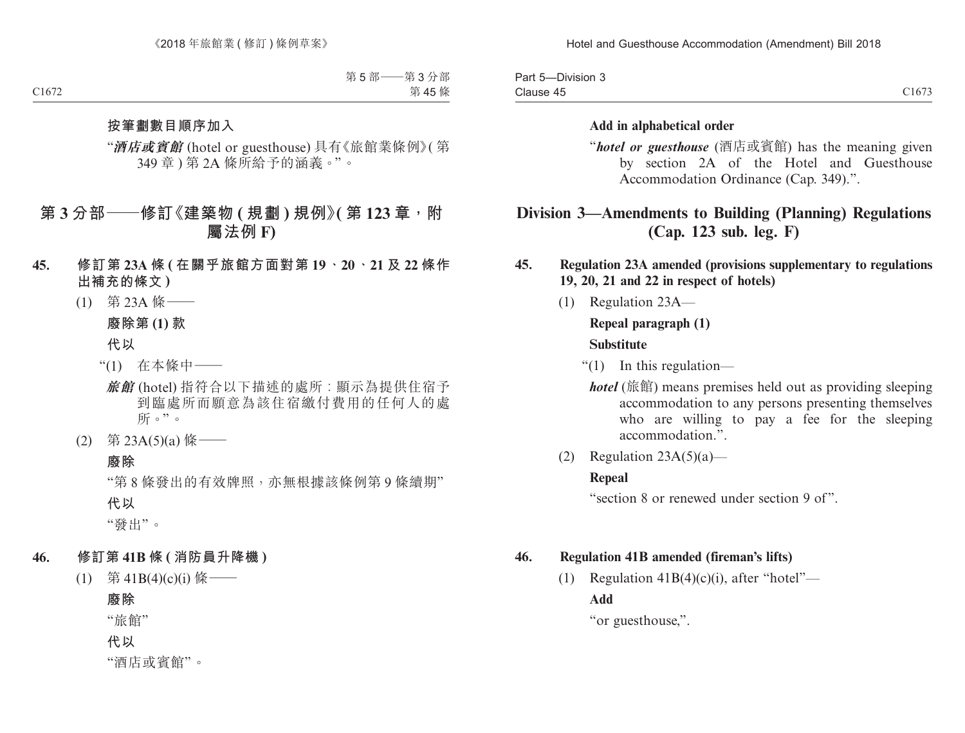| Division 3<br>Part 5- |       |
|-----------------------|-------|
| Clause 45             | C1673 |

### **Add in alphabetical order**

"*hotel or guesthouse* (酒店或賓館) has the meaning given by section 2A of the Hotel and Guesthouse Accommodation Ordinance (Cap. 349).".

# **Division 3—Amendments to Building (Planning) Regulations (Cap. 123 sub. leg. F)**

## **45. Regulation 23A amended (provisions supplementary to regulations 19, 20, 21 and 22 in respect of hotels)**

(1) Regulation 23A—

## **Repeal paragraph (1)**

### **Substitute**

- "(1) In this regulation
	- *hotel* (旅館) means premises held out as providing sleeping accommodation to any persons presenting themselves who are willing to pay a fee for the sleeping accommodation<sup>"</sup>
- (2) Regulation  $23A(5)(a)$ —

### **Repeal**

"section 8 or renewed under section 9 of".

### **46. Regulation 41B amended (fireman's lifts)**

(1) Regulation  $41B(4)(c)(i)$ , after "hotel"— **Add**

"or guesthouse,".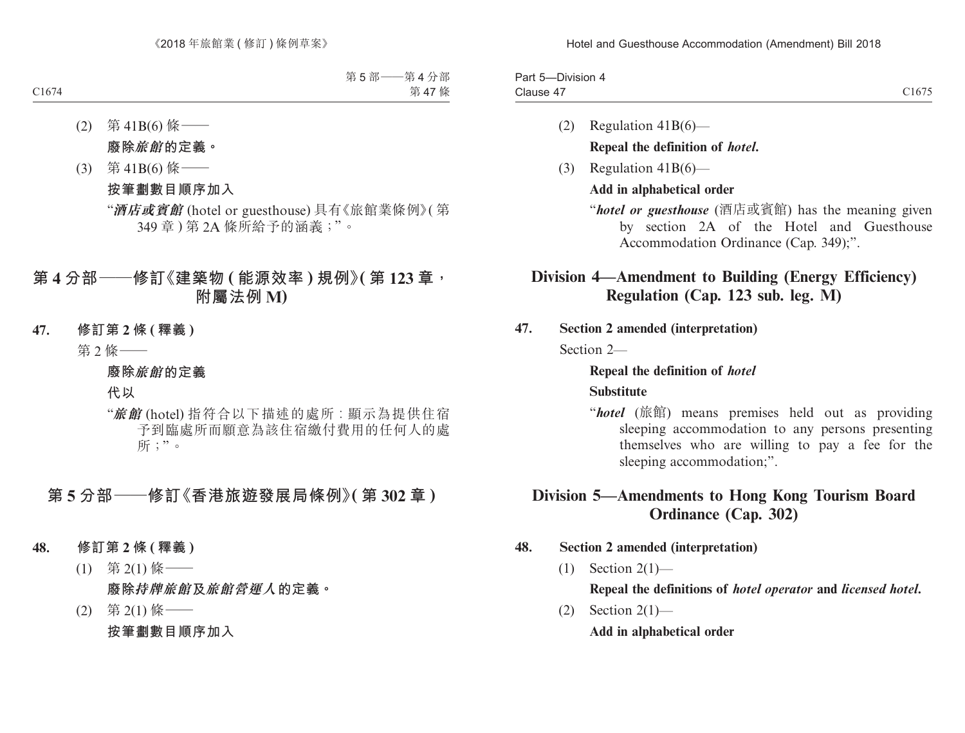| Division $4$<br>າ~~+<br>. .<br>-arı o |       |
|---------------------------------------|-------|
| Clause 4.<br>$\sim$                   | C1675 |

- (2) Regulation 41B(6)— **Repeal the definition of** *hotel***.**
- (3) Regulation 41B(6)—

## **Add in alphabetical order**

"*hotel or guesthouse* (酒店或賓館) has the meaning given by section 2A of the Hotel and Guesthouse Accommodation Ordinance (Cap. 349);".

# **Division 4—Amendment to Building (Energy Efficiency) Regulation (Cap. 123 sub. leg. M)**

**47. Section 2 amended (interpretation)**

Section 2—

## **Repeal the definition of** *hotel*

## **Substitute**

"*hotel* (旅館) means premises held out as providing sleeping accommodation to any persons presenting themselves who are willing to pay a fee for the sleeping accommodation;".

# **Division 5—Amendments to Hong Kong Tourism Board Ordinance (Cap. 302)**

## **48. Section 2 amended (interpretation)**

(1) Section 2(1)—

**Repeal the definitions of** *hotel operator* **and** *licensed hotel***.**

 $(2)$  Section  $2(1)$ —

**Add in alphabetical order**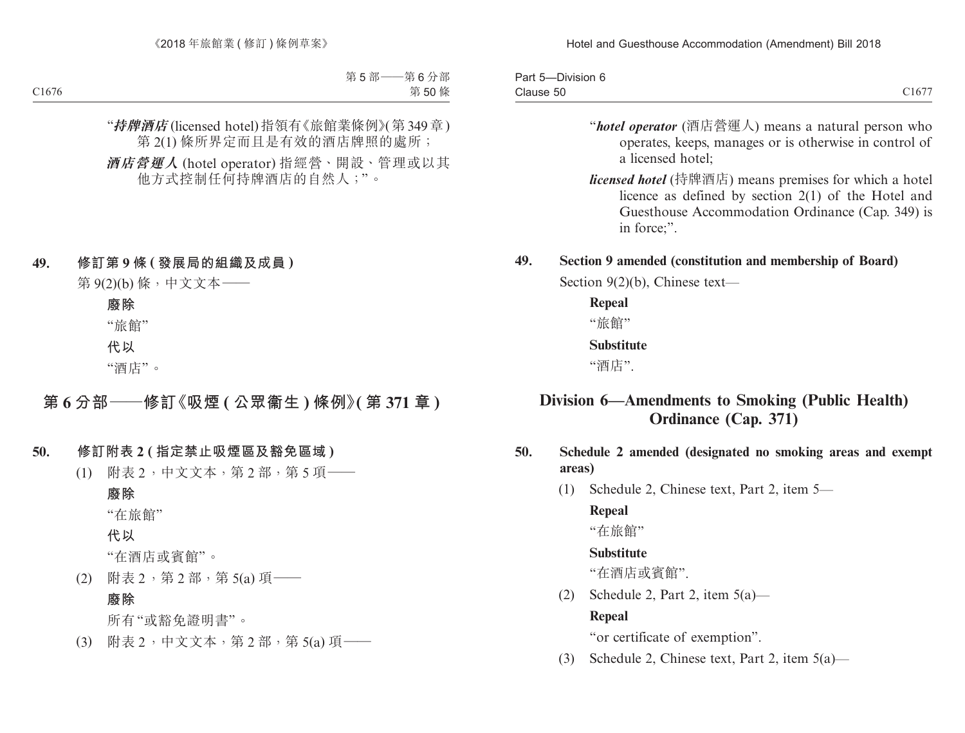| Jort ≀<br>-Division 6<br>−a⊓t |                |
|-------------------------------|----------------|
| Clause 50                     | C1CD7<br>J1677 |

- "*hotel operator* (酒店營運人) means a natural person who operates, keeps, manages or is otherwise in control of a licensed hotel;
- *licensed hotel* (持牌酒店) means premises for which a hotel licence as defined by section 2(1) of the Hotel and Guesthouse Accommodation Ordinance (Cap. 349) is in force;".

### **49. Section 9 amended (constitution and membership of Board)**

Section 9(2)(b), Chinese text—

**Repeal**

"旅館"

## **Substitute**

"酒店".

## **Division 6—Amendments to Smoking (Public Health) Ordinance (Cap. 371)**

- **50. Schedule 2 amended (designated no smoking areas and exempt areas)**
	- (1) Schedule 2, Chinese text, Part 2, item 5—

### **Repeal**

"在旅館"

### **Substitute**

"在酒店或賓館".

(2) Schedule 2, Part 2, item  $5(a)$ —

### **Repeal**

"or certificate of exemption".

(3) Schedule 2, Chinese text, Part 2, item 5(a)—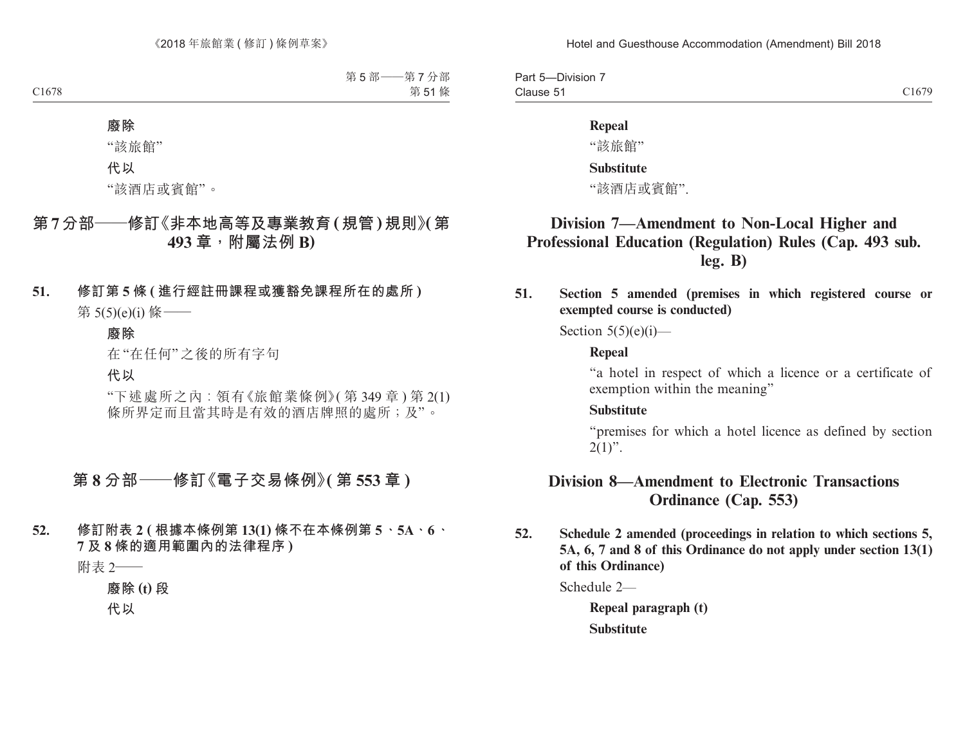Part 5—Division 7 Clause 51 Clause 51 Clause 2016 Clause 2016 Clause 2016 2016 2020 Clause 2016 2020 Clause 2016 2020 Clause 2016 2020 Cla

#### **Repeal**

"該旅館"

#### **Substitute**

"該酒店或賓館".

# **Division 7—Amendment to Non-Local Higher and Professional Education (Regulation) Rules (Cap. 493 sub. leg. B)**

**51. Section 5 amended (premises in which registered course or exempted course is conducted)**

Section  $5(5)(e)(i)$ —

### **Repeal**

"a hotel in respect of which a licence or a certificate of exemption within the meaning"

### **Substitute**

"premises for which a hotel licence as defined by section  $2(1)$ ".

## **Division 8—Amendment to Electronic Transactions Ordinance (Cap. 553)**

**52. Schedule 2 amended (proceedings in relation to which sections 5, 5A, 6, 7 and 8 of this Ordinance do not apply under section 13(1) of this Ordinance)**

Schedule 2—

**Repeal paragraph (t) Substitute**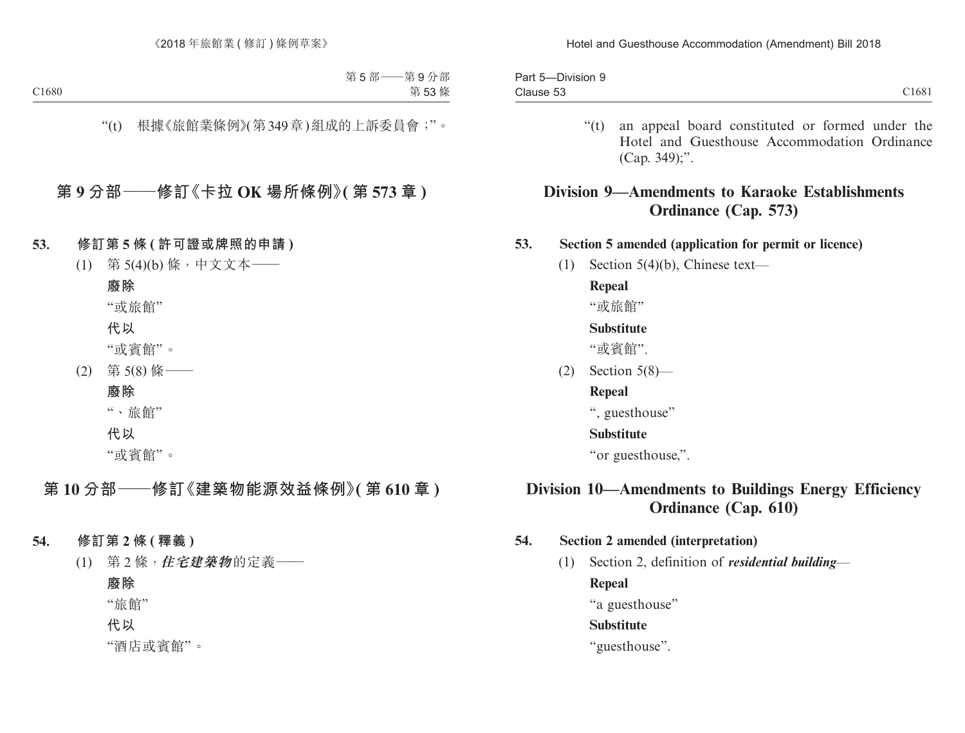#### Hotel and Guesthouse Accommodation (Amendment) Bill 2018

| -<br>Par.<br>-Division 9<br>$\cdots$ |                       |
|--------------------------------------|-----------------------|
| Clause 53                            | $\sim$ $\sim$<br>4681 |

"(t) an appeal board constituted or formed under the Hotel and Guesthouse Accommodation Ordinance (Cap. 349);".

# **Division 9—Amendments to Karaoke Establishments Ordinance (Cap. 573)**

## **53. Section 5 amended (application for permit or licence)**

(1) Section 5(4)(b), Chinese text—

**Repeal**

"或旅館"

### **Substitute**

"或賓館".

(2) Section 5(8)—

## **Repeal**

", guesthouse"

## **Substitute**

"or guesthouse,".

## **Division 10—Amendments to Buildings Energy Efficiency Ordinance (Cap. 610)**

## **54. Section 2 amended (interpretation)**

(1) Section 2, definition of *residential building*—

**Repeal**

"a guesthouse"

## **Substitute**

"guesthouse".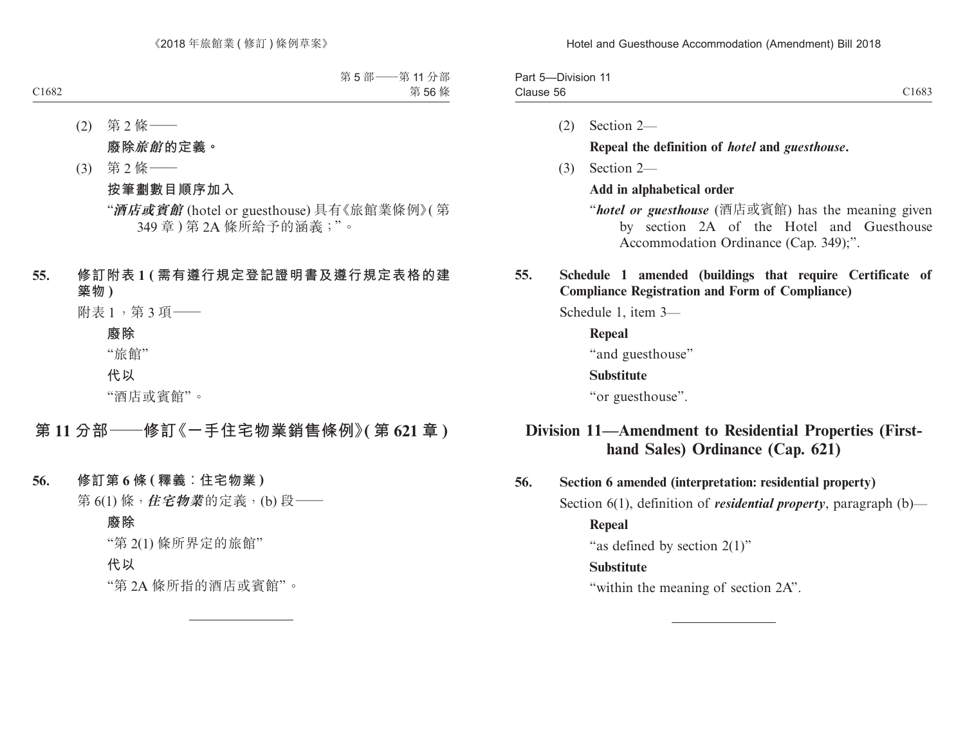| $\overline{ }$<br>3 <sub>cm</sub><br>Division<br>∽<br>″dl<br>$\overline{\phantom{a}}$ |       |
|---------------------------------------------------------------------------------------|-------|
| $\bigcap$<br>ulause oo                                                                | C1683 |

- (2) Section 2— **Repeal the definition of** *hotel* **and** *guesthouse***.**
- (3) Section 2—

**Add in alphabetical order**

"*hotel or guesthouse* (酒店或賓館) has the meaning given by section 2A of the Hotel and Guesthouse Accommodation Ordinance (Cap. 349);".

## **55. Schedule 1 amended (buildings that require Certificate of Compliance Registration and Form of Compliance)**

Schedule 1, item 3—

**Repeal** "and guesthouse"

## **Substitute**

"or guesthouse".

# **Division 11—Amendment to Residential Properties (Firsthand Sales) Ordinance (Cap. 621)**

**56. Section 6 amended (interpretation: residential property)**

Section 6(1), definition of *residential property*, paragraph (b)— **Repeal**

"as defined by section 2(1)"

**Substitute**

"within the meaning of section 2A".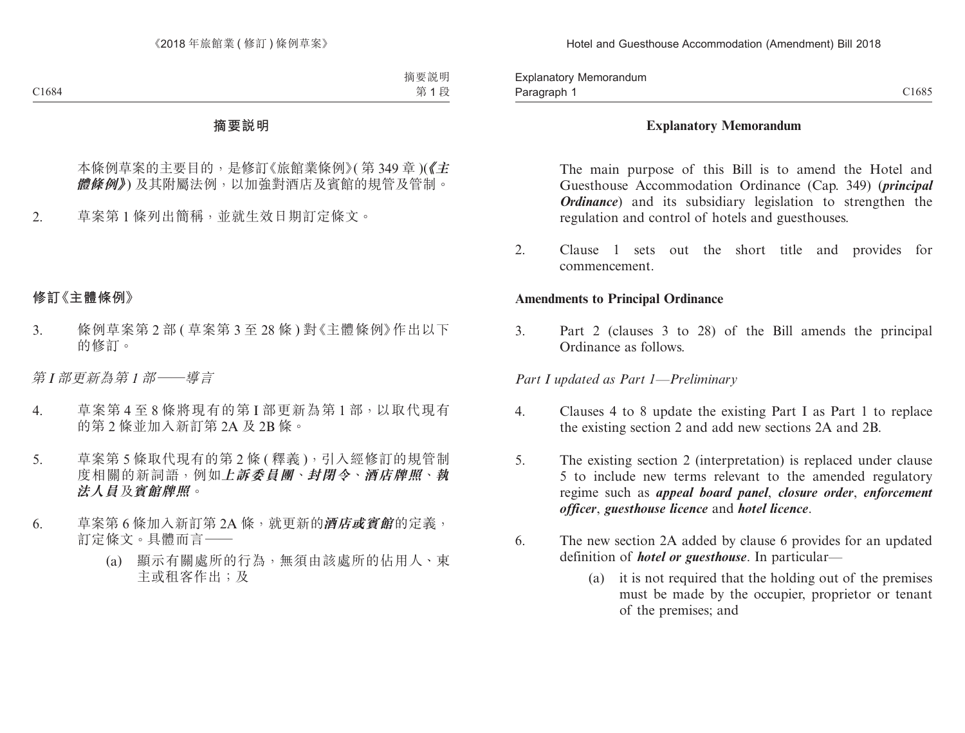## **Explanatory Memorandum**

The main purpose of this Bill is to amend the Hotel and Guesthouse Accommodation Ordinance (Cap. 349) (*principal Ordinance*) and its subsidiary legislation to strengthen the regulation and control of hotels and guesthouses.

2. Clause 1 sets out the short title and provides for commencement.

## **Amendments to Principal Ordinance**

3. Part 2 (clauses 3 to 28) of the Bill amends the principal Ordinance as follows.

*Part I updated as Part 1—Preliminary*

- 4. Clauses 4 to 8 update the existing Part I as Part 1 to replace the existing section 2 and add new sections 2A and 2B.
- 5. The existing section 2 (interpretation) is replaced under clause 5 to include new terms relevant to the amended regulatory regime such as *appeal board panel*, *closure order*, *enforcement officer*, *guesthouse licence* and *hotel licence*.
- 6. The new section 2A added by clause 6 provides for an updated definition of *hotel or guesthouse*. In particular—
	- (a) it is not required that the holding out of the premises must be made by the occupier, proprietor or tenant of the premises; and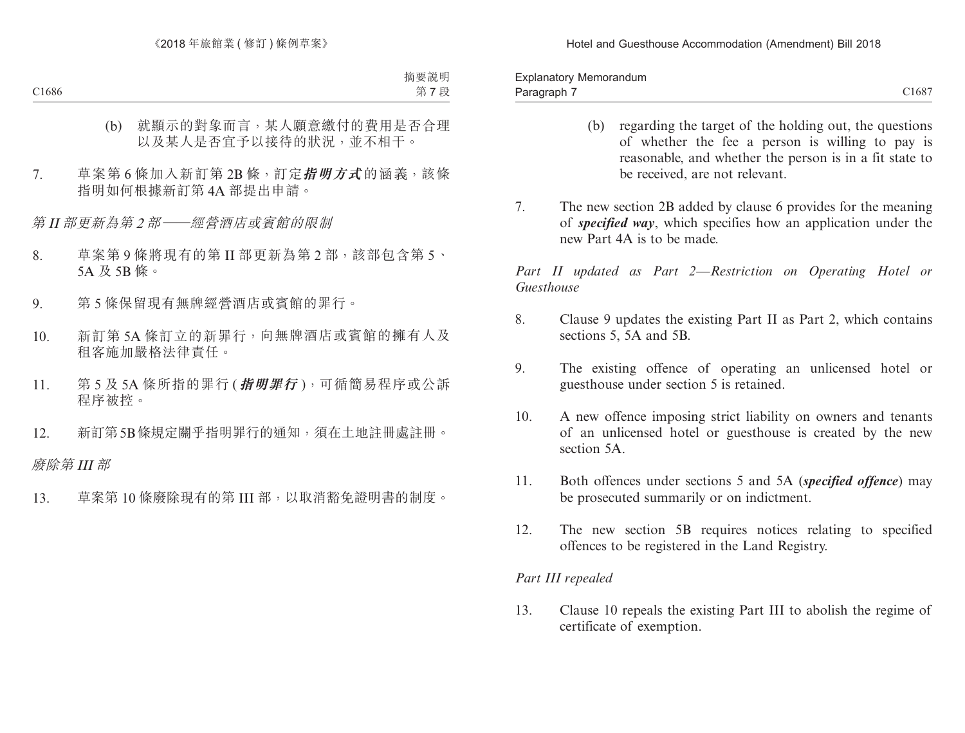Paragraph 7 and 2016 C1687 Explanatory Memorandum Paragraph 7

- (b) regarding the target of the holding out, the questions of whether the fee a person is willing to pay is reasonable, and whether the person is in a fit state to be received, are not relevant.
- 7. The new section 2B added by clause 6 provides for the meaning of *specified way*, which specifies how an application under the new Part 4A is to be made.

*Part II updated as Part 2—Restriction on Operating Hotel or Guesthouse*

- 8. Clause 9 updates the existing Part II as Part 2, which contains sections 5, 5A and 5B.
- 9. The existing offence of operating an unlicensed hotel or guesthouse under section 5 is retained.
- 10. A new offence imposing strict liability on owners and tenants of an unlicensed hotel or guesthouse is created by the new section 5A.
- 11. Both offences under sections 5 and 5A (*specified offence*) may be prosecuted summarily or on indictment.
- 12. The new section 5B requires notices relating to specified offences to be registered in the Land Registry.

## *Part III repealed*

13. Clause 10 repeals the existing Part III to abolish the regime of certificate of exemption.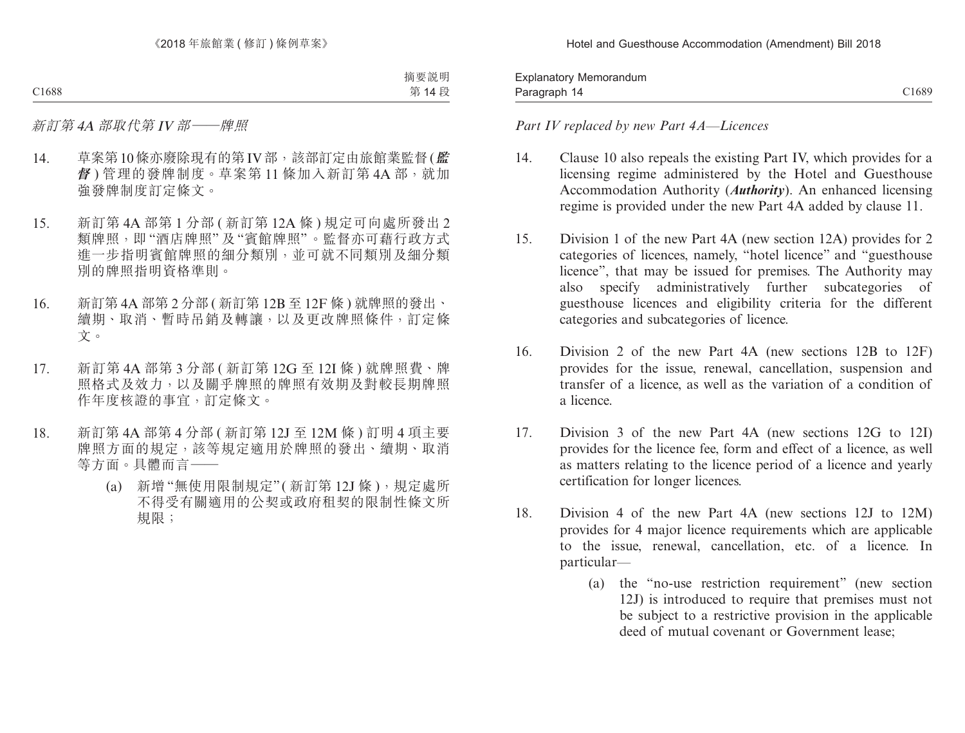Paragraph 14 and 2008 C1689 Explanatory Memorandum Paragraph 14

## *Part IV replaced by new Part 4A—Licences*

- 14. Clause 10 also repeals the existing Part IV, which provides for a licensing regime administered by the Hotel and Guesthouse Accommodation Authority (*Authority*). An enhanced licensing regime is provided under the new Part 4A added by clause 11.
- 15. Division 1 of the new Part 4A (new section 12A) provides for 2 categories of licences, namely, "hotel licence" and "guesthouse licence", that may be issued for premises. The Authority may also specify administratively further subcategories of guesthouse licences and eligibility criteria for the different categories and subcategories of licence.
- 16. Division 2 of the new Part 4A (new sections 12B to 12F) provides for the issue, renewal, cancellation, suspension and transfer of a licence, as well as the variation of a condition of a licence.
- 17. Division 3 of the new Part 4A (new sections 12G to 12I) provides for the licence fee, form and effect of a licence, as well as matters relating to the licence period of a licence and yearly certification for longer licences.
- 18. Division 4 of the new Part 4A (new sections 12J to 12M) provides for 4 major licence requirements which are applicable to the issue, renewal, cancellation, etc. of a licence. In particular—
	- (a) the "no-use restriction requirement" (new section 12J) is introduced to require that premises must not be subject to a restrictive provision in the applicable deed of mutual covenant or Government lease;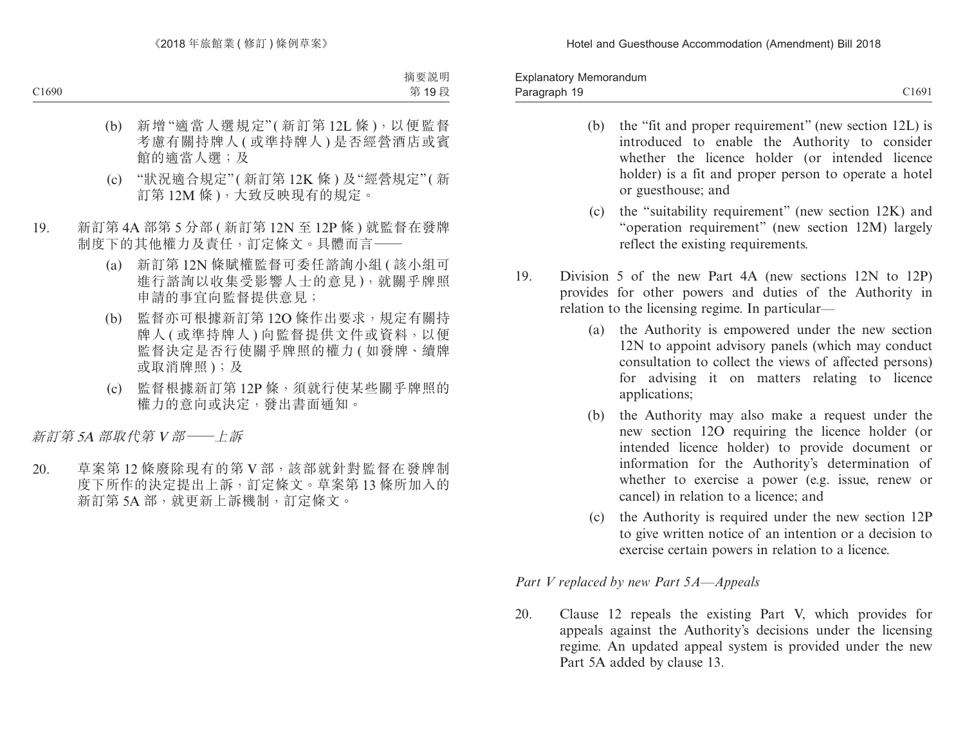Paragraph 19 and 200 and 200 and 200 and 200 and 200 and 200 and 200 and 200 and 200 and 200 and 200 and 200 and 200 and 200 and 200 and 200 and 200 and 200 and 200 and 200 and 200 and 200 and 200 and 200 and 200 and 200 a Explanatory Memorandum Paragraph 19

- (b) the "fit and proper requirement" (new section 12L) is introduced to enable the Authority to consider whether the licence holder (or intended licence holder) is a fit and proper person to operate a hotel or guesthouse; and
- (c) the "suitability requirement" (new section 12K) and "operation requirement" (new section 12M) largely reflect the existing requirements.
- 19. Division 5 of the new Part 4A (new sections 12N to 12P) provides for other powers and duties of the Authority in relation to the licensing regime. In particular—
	- (a) the Authority is empowered under the new section 12N to appoint advisory panels (which may conduct consultation to collect the views of affected persons) for advising it on matters relating to licence applications:
	- (b) the Authority may also make a request under the new section 12O requiring the licence holder (or intended licence holder) to provide document or information for the Authority's determination of whether to exercise a power (e.g. issue, renew or cancel) in relation to a licence; and
	- (c) the Authority is required under the new section 12P to give written notice of an intention or a decision to exercise certain powers in relation to a licence.

## *Part V replaced by new Part 5A—Appeals*

20. Clause 12 repeals the existing Part V, which provides for appeals against the Authority's decisions under the licensing regime. An updated appeal system is provided under the new Part 5A added by clause 13.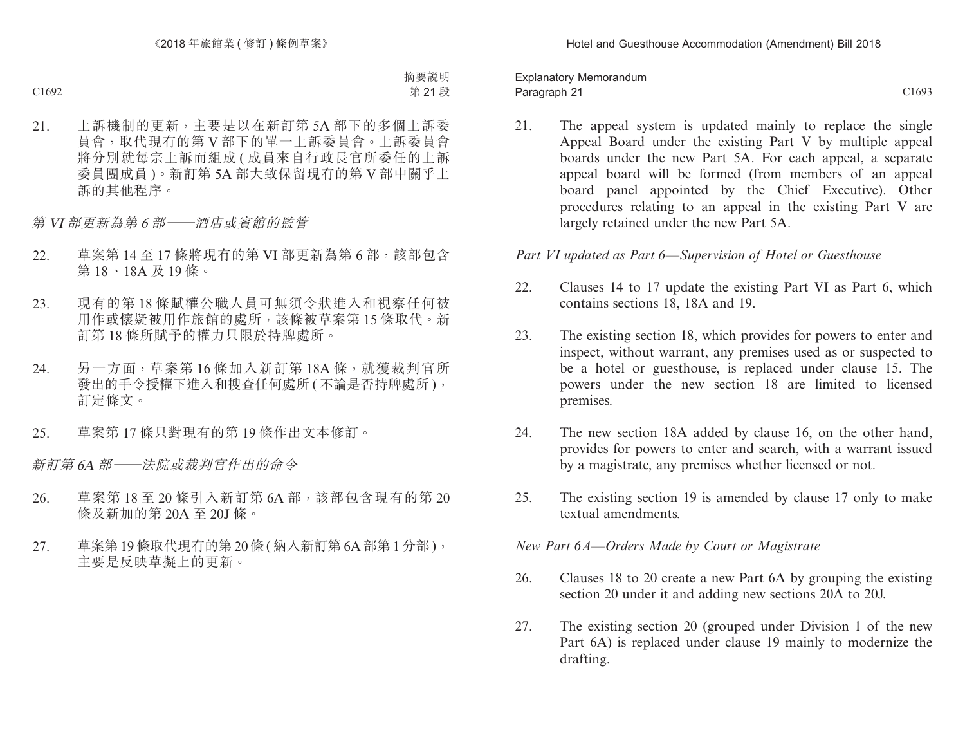Paragraph 21 and 2016 and 2016 and 2016 and 2016 and 2016 2016 2016 2017 and 2016 2017 2018 2017 2018 2017 201 Explanatory Memorandum Paragraph 21

21. The appeal system is updated mainly to replace the single Appeal Board under the existing Part V by multiple appeal boards under the new Part 5A. For each appeal, a separate appeal board will be formed (from members of an appeal board panel appointed by the Chief Executive). Other procedures relating to an appeal in the existing Part V are largely retained under the new Part 5A.

*Part VI updated as Part 6—Supervision of Hotel or Guesthouse*

- 22. Clauses 14 to 17 update the existing Part VI as Part 6, which contains sections 18, 18A and 19.
- 23. The existing section 18, which provides for powers to enter and inspect, without warrant, any premises used as or suspected to be a hotel or guesthouse, is replaced under clause 15. The powers under the new section 18 are limited to licensed premises.
- 24. The new section 18A added by clause 16, on the other hand, provides for powers to enter and search, with a warrant issued by a magistrate, any premises whether licensed or not.
- 25. The existing section 19 is amended by clause 17 only to make textual amendments.

*New Part 6A—Orders Made by Court or Magistrate*

- 26. Clauses 18 to 20 create a new Part 6A by grouping the existing section 20 under it and adding new sections 20A to 20J.
- 27. The existing section 20 (grouped under Division 1 of the new Part 6A) is replaced under clause 19 mainly to modernize the drafting.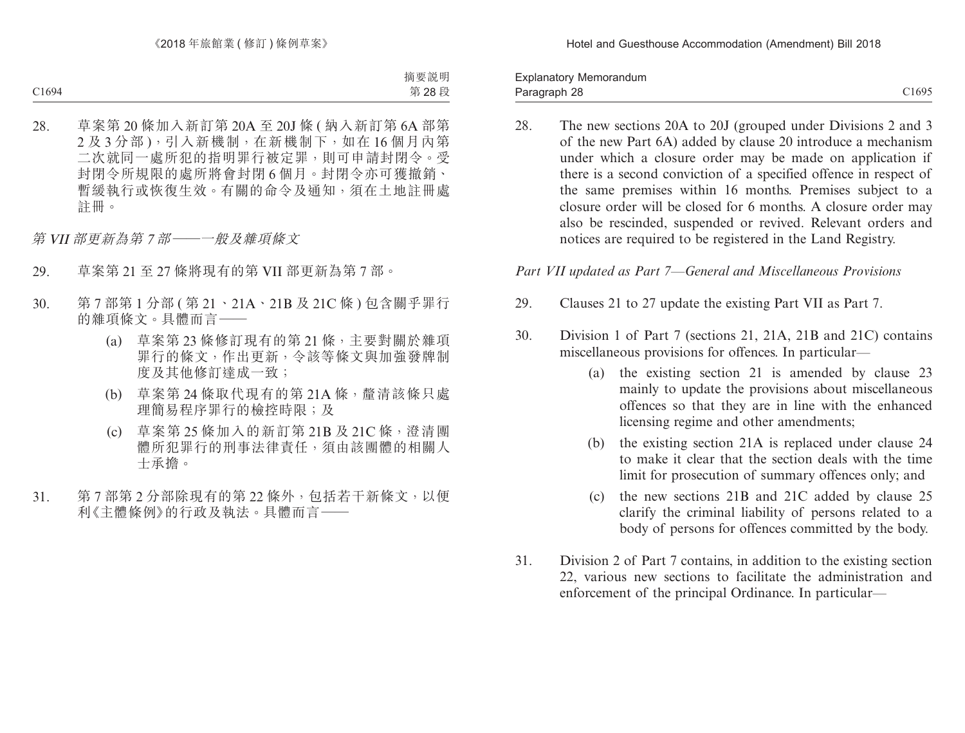Paragraph 28 and 2016 C1695 Explanatory Memorandum Paragraph 28

28. The new sections 20A to 20J (grouped under Divisions 2 and 3 of the new Part 6A) added by clause 20 introduce a mechanism under which a closure order may be made on application if there is a second conviction of a specified offence in respect of the same premises within 16 months. Premises subject to a closure order will be closed for 6 months. A closure order may also be rescinded, suspended or revived. Relevant orders and notices are required to be registered in the Land Registry.

*Part VII updated as Part 7—General and Miscellaneous Provisions*

- 29. Clauses 21 to 27 update the existing Part VII as Part 7.
- 30. Division 1 of Part 7 (sections 21, 21A, 21B and 21C) contains miscellaneous provisions for offences. In particular—
	- (a) the existing section 21 is amended by clause 23 mainly to update the provisions about miscellaneous offences so that they are in line with the enhanced licensing regime and other amendments;
	- (b) the existing section 21A is replaced under clause 24 to make it clear that the section deals with the time limit for prosecution of summary offences only; and
	- (c) the new sections 21B and 21C added by clause 25 clarify the criminal liability of persons related to a body of persons for offences committed by the body.
- 31. Division 2 of Part 7 contains, in addition to the existing section 22, various new sections to facilitate the administration and enforcement of the principal Ordinance. In particular—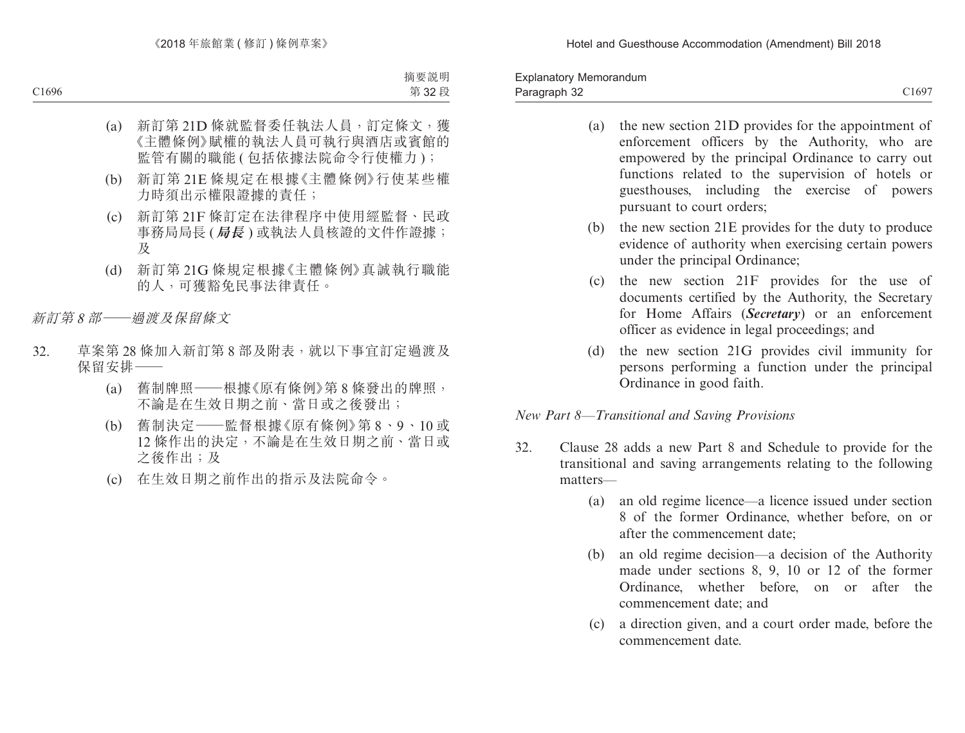Paragraph 32 and 2016 C1697 Explanatory Memorandum Paragraph 32

- (a) the new section 21D provides for the appointment of enforcement officers by the Authority, who are empowered by the principal Ordinance to carry out functions related to the supervision of hotels or guesthouses, including the exercise of powers pursuant to court orders;
- (b) the new section 21E provides for the duty to produce evidence of authority when exercising certain powers under the principal Ordinance;
- (c) the new section 21F provides for the use of documents certified by the Authority, the Secretary for Home Affairs (*Secretary*) or an enforcement officer as evidence in legal proceedings; and
- (d) the new section 21G provides civil immunity for persons performing a function under the principal Ordinance in good faith.

*New Part 8—Transitional and Saving Provisions*

- 32. Clause 28 adds a new Part 8 and Schedule to provide for the transitional and saving arrangements relating to the following matters—
	- (a) an old regime licence—a licence issued under section 8 of the former Ordinance, whether before, on or after the commencement date;
	- (b) an old regime decision—a decision of the Authority made under sections 8, 9, 10 or 12 of the former Ordinance, whether before, on or after the commencement date; and
	- (c) a direction given, and a court order made, before the commencement date.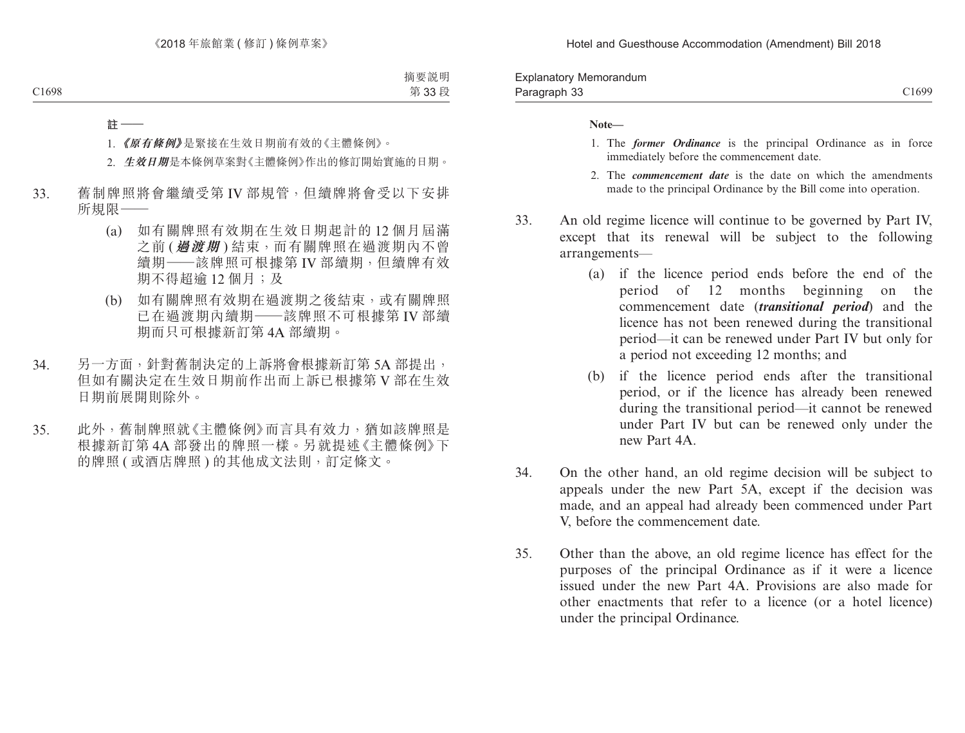| $\overline{\phantom{a}}$<br>Explanatory Memorandum                                                                                               |                   |
|--------------------------------------------------------------------------------------------------------------------------------------------------|-------------------|
| $\sim$<br>the contract of the contract of the contract of the contract of the contract of the contract of the contract of<br>Paragraph 35<br>. . | C <sub>1699</sub> |

#### **Note—**

- 1. The *former Ordinance* is the principal Ordinance as in force immediately before the commencement date.
- 2. The *commencement date* is the date on which the amendments made to the principal Ordinance by the Bill come into operation.
- 33. An old regime licence will continue to be governed by Part IV, except that its renewal will be subject to the following arrangements—
	- (a) if the licence period ends before the end of the period of 12 months beginning on the commencement date (*transitional period*) and the licence has not been renewed during the transitional period—it can be renewed under Part IV but only for a period not exceeding 12 months; and
	- (b) if the licence period ends after the transitional period, or if the licence has already been renewed during the transitional period—it cannot be renewed under Part IV but can be renewed only under the new Part 4A.
- 34. On the other hand, an old regime decision will be subject to appeals under the new Part 5A, except if the decision was made, and an appeal had already been commenced under Part V, before the commencement date.
- 35. Other than the above, an old regime licence has effect for the purposes of the principal Ordinance as if it were a licence issued under the new Part 4A. Provisions are also made for other enactments that refer to a licence (or a hotel licence) under the principal Ordinance.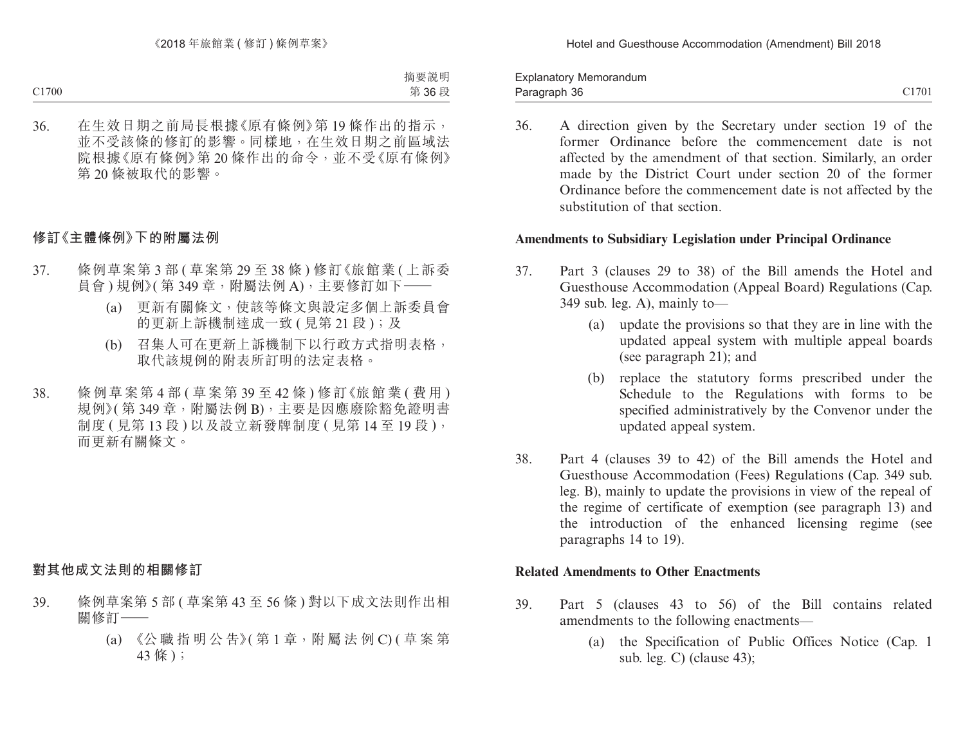Paragraph 36 and 200 and 200 and 200 and 200 and 200 and 200 and 200 and 200 and 200 and 200 and 200 and 200 and 200 and 200 and 200 and 200 and 200 and 200 and 200 and 200 and 200 and 200 and 200 and 200 and 200 and 200 a Explanatory Memorandum Paragraph 36

- 
- 36. A direction given by the Secretary under section 19 of the former Ordinance before the commencement date is not affected by the amendment of that section. Similarly, an order made by the District Court under section 20 of the former Ordinance before the commencement date is not affected by the substitution of that section.

## **Amendments to Subsidiary Legislation under Principal Ordinance**

- 37. Part 3 (clauses 29 to 38) of the Bill amends the Hotel and Guesthouse Accommodation (Appeal Board) Regulations (Cap. 349 sub. leg. A), mainly to—
	- (a) update the provisions so that they are in line with the updated appeal system with multiple appeal boards (see paragraph 21); and
	- (b) replace the statutory forms prescribed under the Schedule to the Regulations with forms to be specified administratively by the Convenor under the updated appeal system.
- 38. Part 4 (clauses 39 to 42) of the Bill amends the Hotel and Guesthouse Accommodation (Fees) Regulations (Cap. 349 sub. leg. B), mainly to update the provisions in view of the repeal of the regime of certificate of exemption (see paragraph 13) and the introduction of the enhanced licensing regime (see paragraphs 14 to 19).

## **Related Amendments to Other Enactments**

- 39. Part 5 (clauses 43 to 56) of the Bill contains related amendments to the following enactments—
	- (a) the Specification of Public Offices Notice (Cap. 1 sub. leg. C) (clause 43);